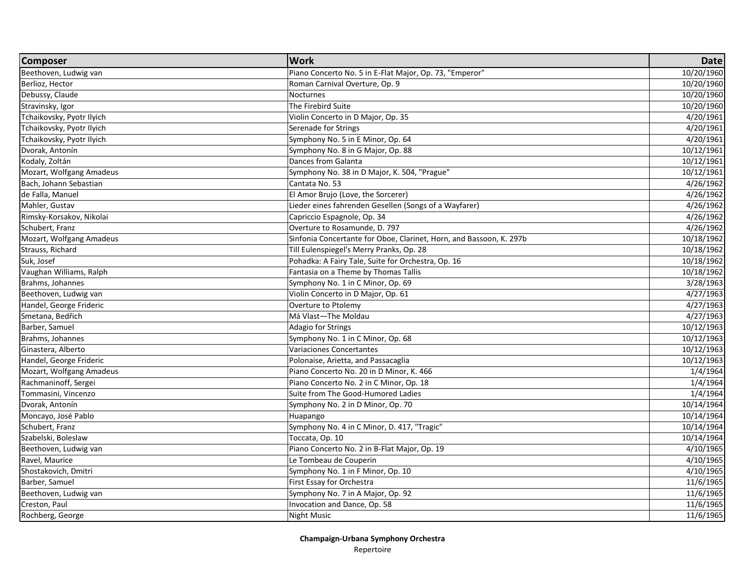| <b>Composer</b>           | <b>Work</b>                                                         | <b>Date</b> |
|---------------------------|---------------------------------------------------------------------|-------------|
| Beethoven, Ludwig van     | Piano Concerto No. 5 in E-Flat Major, Op. 73, "Emperor"             | 10/20/1960  |
| Berlioz, Hector           | Roman Carnival Overture, Op. 9                                      | 10/20/1960  |
| Debussy, Claude           | Nocturnes                                                           | 10/20/1960  |
| Stravinsky, Igor          | The Firebird Suite                                                  | 10/20/1960  |
| Tchaikovsky, Pyotr Ilyich | Violin Concerto in D Major, Op. 35                                  | 4/20/1961   |
| Tchaikovsky, Pyotr Ilyich | Serenade for Strings                                                | 4/20/1961   |
| Tchaikovsky, Pyotr Ilyich | Symphony No. 5 in E Minor, Op. 64                                   | 4/20/1961   |
| Dvorak, Antonín           | Symphony No. 8 in G Major, Op. 88                                   | 10/12/1961  |
| Kodaly, Zoltán            | Dances from Galanta                                                 | 10/12/1961  |
| Mozart, Wolfgang Amadeus  | Symphony No. 38 in D Major, K. 504, "Prague"                        | 10/12/1961  |
| Bach, Johann Sebastian    | Cantata No. 53                                                      | 4/26/1962   |
| de Falla, Manuel          | El Amor Brujo (Love, the Sorcerer)                                  | 4/26/1962   |
| Mahler, Gustav            | Lieder eines fahrenden Gesellen (Songs of a Wayfarer)               | 4/26/1962   |
| Rimsky-Korsakov, Nikolai  | Capriccio Espagnole, Op. 34                                         | 4/26/1962   |
| Schubert, Franz           | Overture to Rosamunde, D. 797                                       | 4/26/1962   |
| Mozart, Wolfgang Amadeus  | Sinfonia Concertante for Oboe, Clarinet, Horn, and Bassoon, K. 297b | 10/18/1962  |
| Strauss, Richard          | Till Eulenspiegel's Merry Pranks, Op. 28                            | 10/18/1962  |
| Suk, Josef                | Pohadka: A Fairy Tale, Suite for Orchestra, Op. 16                  | 10/18/1962  |
| Vaughan Williams, Ralph   | Fantasia on a Theme by Thomas Tallis                                | 10/18/1962  |
| Brahms, Johannes          | Symphony No. 1 in C Minor, Op. 69                                   | 3/28/1963   |
| Beethoven, Ludwig van     | Violin Concerto in D Major, Op. 61                                  | 4/27/1963   |
| Handel, George Frideric   | Overture to Ptolemy                                                 | 4/27/1963   |
| Smetana, Bedřich          | Má Vlast-The Moldau                                                 | 4/27/1963   |
| Barber, Samuel            | Adagio for Strings                                                  | 10/12/1963  |
| Brahms, Johannes          | Symphony No. 1 in C Minor, Op. 68                                   | 10/12/1963  |
| Ginastera, Alberto        | Variaciones Concertantes                                            | 10/12/1963  |
| Handel, George Frideric   | Polonaise, Arietta, and Passacaglia                                 | 10/12/1963  |
| Mozart, Wolfgang Amadeus  | Piano Concerto No. 20 in D Minor, K. 466                            | 1/4/1964    |
| Rachmaninoff, Sergei      | Piano Concerto No. 2 in C Minor, Op. 18                             | 1/4/1964    |
| Tommasini, Vincenzo       | Suite from The Good-Humored Ladies                                  | 1/4/1964    |
| Dvorak, Antonín           | Symphony No. 2 in D Minor, Op. 70                                   | 10/14/1964  |
| Moncayo, José Pablo       | Huapango                                                            | 10/14/1964  |
| Schubert, Franz           | Symphony No. 4 in C Minor, D. 417, "Tragic"                         | 10/14/1964  |
| Szabelski, Boleslaw       | Toccata, Op. 10                                                     | 10/14/1964  |
| Beethoven, Ludwig van     | Piano Concerto No. 2 in B-Flat Major, Op. 19                        | 4/10/1965   |
| Ravel, Maurice            | Le Tombeau de Couperin                                              | 4/10/1965   |
| Shostakovich, Dmitri      | Symphony No. 1 in F Minor, Op. 10                                   | 4/10/1965   |
| Barber, Samuel            | First Essay for Orchestra                                           | 11/6/1965   |
| Beethoven, Ludwig van     | Symphony No. 7 in A Major, Op. 92                                   | 11/6/1965   |
| Creston, Paul             | Invocation and Dance, Op. 58                                        | 11/6/1965   |
| Rochberg, George          | Night Music                                                         | 11/6/1965   |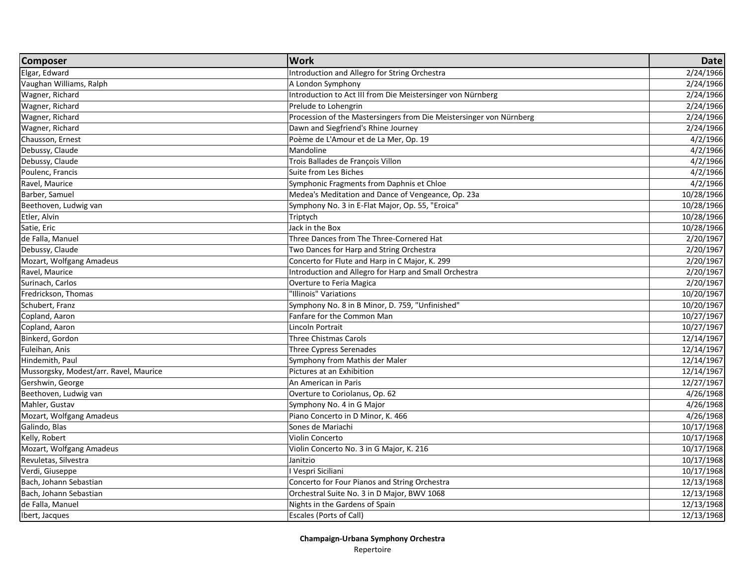| <b>Composer</b>                        | <b>Work</b>                                                         | <b>Date</b> |
|----------------------------------------|---------------------------------------------------------------------|-------------|
| Elgar, Edward                          | Introduction and Allegro for String Orchestra                       | 2/24/1966   |
| Vaughan Williams, Ralph                | A London Symphony                                                   | 2/24/1966   |
| Wagner, Richard                        | Introduction to Act III from Die Meistersinger von Nürnberg         | 2/24/1966   |
| Wagner, Richard                        | Prelude to Lohengrin                                                | 2/24/1966   |
| Wagner, Richard                        | Procession of the Mastersingers from Die Meistersinger von Nürnberg | 2/24/1966   |
| Wagner, Richard                        | Dawn and Siegfriend's Rhine Journey                                 | 2/24/1966   |
| Chausson, Ernest                       | Poème de L'Amour et de La Mer, Op. 19                               | 4/2/1966    |
| Debussy, Claude                        | Mandoline                                                           | 4/2/1966    |
| Debussy, Claude                        | Trois Ballades de François Villon                                   | 4/2/1966    |
| Poulenc, Francis                       | Suite from Les Biches                                               | 4/2/1966    |
| Ravel, Maurice                         | Symphonic Fragments from Daphnis et Chloe                           | 4/2/1966    |
| Barber, Samuel                         | Medea's Meditation and Dance of Vengeance, Op. 23a                  | 10/28/1966  |
| Beethoven, Ludwig van                  | Symphony No. 3 in E-Flat Major, Op. 55, "Eroica"                    | 10/28/1966  |
| Etler, Alvin                           | Triptych                                                            | 10/28/1966  |
| Satie, Eric                            | Jack in the Box                                                     | 10/28/1966  |
| de Falla, Manuel                       | Three Dances from The Three-Cornered Hat                            | 2/20/1967   |
| Debussy, Claude                        | Two Dances for Harp and String Orchestra                            | 2/20/1967   |
| Mozart, Wolfgang Amadeus               | Concerto for Flute and Harp in C Major, K. 299                      | 2/20/1967   |
| Ravel, Maurice                         | Introduction and Allegro for Harp and Small Orchestra               | 2/20/1967   |
| Surinach, Carlos                       | Overture to Feria Magica                                            | 2/20/1967   |
| Fredrickson, Thomas                    | "Illinois" Variations                                               | 10/20/1967  |
| Schubert, Franz                        | Symphony No. 8 in B Minor, D. 759, "Unfinished"                     | 10/20/1967  |
| Copland, Aaron                         | Fanfare for the Common Man                                          | 10/27/1967  |
| Copland, Aaron                         | Lincoln Portrait                                                    | 10/27/1967  |
| Binkerd, Gordon                        | <b>Three Chistmas Carols</b>                                        | 12/14/1967  |
| Fuleihan, Anis                         | Three Cypress Serenades                                             | 12/14/1967  |
| Hindemith, Paul                        | Symphony from Mathis der Maler                                      | 12/14/1967  |
| Mussorgsky, Modest/arr. Ravel, Maurice | Pictures at an Exhibition                                           | 12/14/1967  |
| Gershwin, George                       | An American in Paris                                                | 12/27/1967  |
| Beethoven, Ludwig van                  | Overture to Coriolanus, Op. 62                                      | 4/26/1968   |
| Mahler, Gustav                         | Symphony No. 4 in G Major                                           | 4/26/1968   |
| Mozart, Wolfgang Amadeus               | Piano Concerto in D Minor, K. 466                                   | 4/26/1968   |
| Galindo, Blas                          | Sones de Mariachi                                                   | 10/17/1968  |
| Kelly, Robert                          | Violin Concerto                                                     | 10/17/1968  |
| Mozart, Wolfgang Amadeus               | Violin Concerto No. 3 in G Major, K. 216                            | 10/17/1968  |
| Revuletas, Silvestra                   | Janitzio                                                            | 10/17/1968  |
| Verdi, Giuseppe                        | I Vespri Siciliani                                                  | 10/17/1968  |
| Bach, Johann Sebastian                 | Concerto for Four Pianos and String Orchestra                       | 12/13/1968  |
| Bach, Johann Sebastian                 | Orchestral Suite No. 3 in D Major, BWV 1068                         | 12/13/1968  |
| de Falla, Manuel                       | Nights in the Gardens of Spain                                      | 12/13/1968  |
| Ibert, Jacques                         | <b>Escales (Ports of Call)</b>                                      | 12/13/1968  |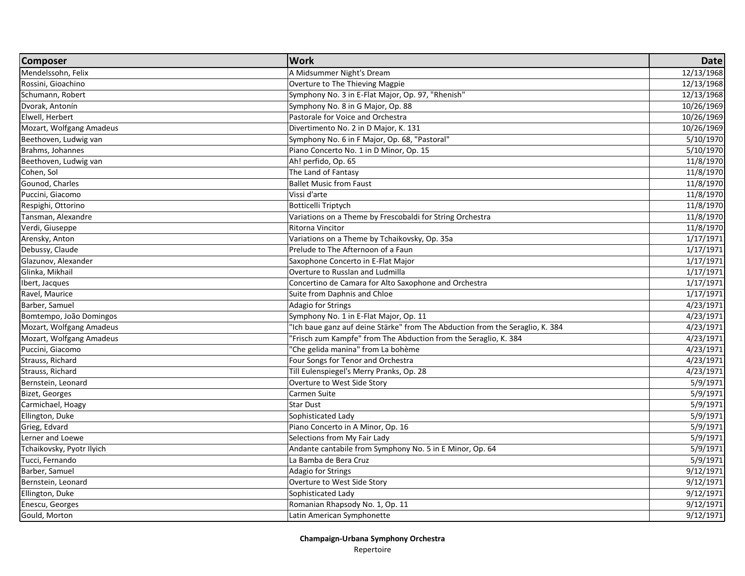| <b>Composer</b>           | <b>Work</b>                                                                   | <b>Date</b>          |
|---------------------------|-------------------------------------------------------------------------------|----------------------|
| Mendelssohn, Felix        | A Midsummer Night's Dream                                                     | 12/13/1968           |
| Rossini, Gioachino        | Overture to The Thieving Magpie                                               | 12/13/1968           |
| Schumann, Robert          | Symphony No. 3 in E-Flat Major, Op. 97, "Rhenish"                             | 12/13/1968           |
| Dvorak, Antonín           | Symphony No. 8 in G Major, Op. 88                                             | 10/26/1969           |
| Elwell, Herbert           | Pastorale for Voice and Orchestra                                             | 10/26/1969           |
| Mozart, Wolfgang Amadeus  | Divertimento No. 2 in D Major, K. 131                                         | 10/26/1969           |
| Beethoven, Ludwig van     | Symphony No. 6 in F Major, Op. 68, "Pastoral"                                 | 5/10/1970            |
| Brahms, Johannes          | Piano Concerto No. 1 in D Minor, Op. 15                                       | 5/10/1970            |
| Beethoven, Ludwig van     | Ah! perfido, Op. 65                                                           | 11/8/1970            |
| Cohen, Sol                | The Land of Fantasy                                                           | 11/8/1970            |
| Gounod, Charles           | <b>Ballet Music from Faust</b>                                                | 11/8/1970            |
| Puccini, Giacomo          | Vissi d'arte                                                                  | 11/8/1970            |
| Respighi, Ottorino        | Botticelli Triptych                                                           | 11/8/1970            |
| Tansman, Alexandre        | Variations on a Theme by Frescobaldi for String Orchestra                     | 11/8/1970            |
| Verdi, Giuseppe           | Ritorna Vincitor                                                              | 11/8/1970            |
| Arensky, Anton            | Variations on a Theme by Tchaikovsky, Op. 35a                                 | 1/17/1971            |
| Debussy, Claude           | Prelude to The Afternoon of a Faun                                            | 1/17/1971            |
| Glazunov, Alexander       | Saxophone Concerto in E-Flat Major                                            | 1/17/1971            |
| Glinka, Mikhail           | Overture to Russlan and Ludmilla                                              | 1/17/1971            |
| Ibert, Jacques            | Concertino de Camara for Alto Saxophone and Orchestra                         | 1/17/1971            |
| Ravel, Maurice            | Suite from Daphnis and Chloe                                                  | 1/17/1971            |
| Barber, Samuel            | Adagio for Strings                                                            | 4/23/1971            |
| Bomtempo, João Domingos   | Symphony No. 1 in E-Flat Major, Op. 11                                        | 4/23/1971            |
| Mozart, Wolfgang Amadeus  | "Ich baue ganz auf deine Stärke" from The Abduction from the Seraglio, K. 384 | 4/23/1971            |
| Mozart, Wolfgang Amadeus  | "Frisch zum Kampfe" from The Abduction from the Seraglio, K. 384              | 4/23/1971            |
| Puccini, Giacomo          | "Che gelida manina" from La bohème                                            | 4/23/1971            |
| Strauss, Richard          | Four Songs for Tenor and Orchestra                                            | 4/23/1971            |
| Strauss, Richard          | Till Eulenspiegel's Merry Pranks, Op. 28                                      | 4/23/1971            |
| Bernstein, Leonard        | Overture to West Side Story                                                   | 5/9/1971             |
| <b>Bizet, Georges</b>     | Carmen Suite                                                                  | 5/9/1971             |
| Carmichael, Hoagy         | <b>Star Dust</b>                                                              | 5/9/1971             |
| Ellington, Duke           | Sophisticated Lady                                                            | 5/9/1971             |
| Grieg, Edvard             | Piano Concerto in A Minor, Op. 16                                             | $\frac{1}{5}/9/1971$ |
| Lerner and Loewe          | Selections from My Fair Lady                                                  | 5/9/1971             |
| Tchaikovsky, Pyotr Ilyich | Andante cantabile from Symphony No. 5 in E Minor, Op. 64                      | 5/9/1971             |
| Tucci, Fernando           | La Bamba de Bera Cruz                                                         | 5/9/1971             |
| Barber, Samuel            | Adagio for Strings                                                            | 9/12/1971            |
| Bernstein, Leonard        | Overture to West Side Story                                                   | 9/12/1971            |
| Ellington, Duke           | Sophisticated Lady                                                            | 9/12/1971            |
| Enescu, Georges           | Romanian Rhapsody No. 1, Op. 11                                               | 9/12/1971            |
| Gould, Morton             | Latin American Symphonette                                                    | 9/12/1971            |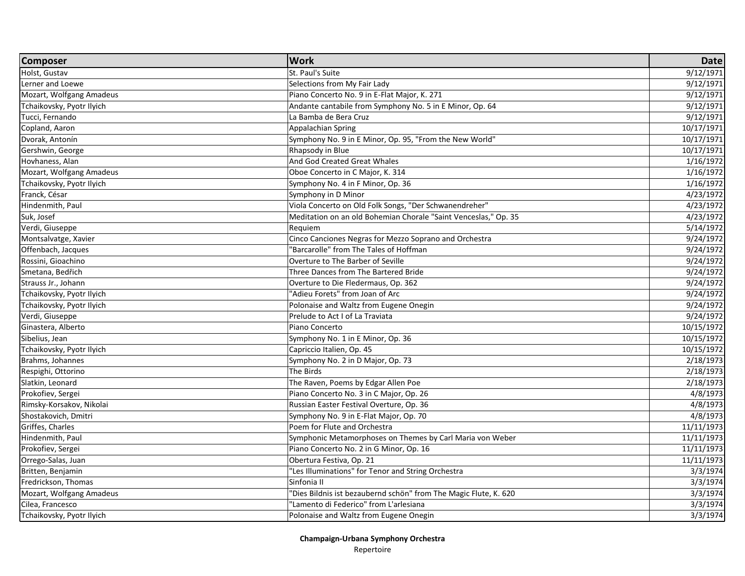| Holst, Gustav<br>St. Paul's Suite<br>9/12/1971<br>9/12/1971<br>Lerner and Loewe<br>Selections from My Fair Lady<br>9/12/1971<br>Mozart, Wolfgang Amadeus<br>Piano Concerto No. 9 in E-Flat Major, K. 271<br>9/12/1971<br>Tchaikovsky, Pyotr Ilyich<br>Andante cantabile from Symphony No. 5 in E Minor, Op. 64<br>Tucci, Fernando<br>9/12/1971<br>La Bamba de Bera Cruz<br>10/17/1971<br>Copland, Aaron<br>Appalachian Spring<br>Dvorak, Antonín<br>Symphony No. 9 in E Minor, Op. 95, "From the New World"<br>10/17/1971<br>Gershwin, George<br>Rhapsody in Blue<br>10/17/1971<br>And God Created Great Whales<br>Hovhaness, Alan<br>1/16/1972<br>Mozart, Wolfgang Amadeus<br>Oboe Concerto in C Major, K. 314<br>1/16/1972<br>Tchaikovsky, Pyotr Ilyich<br>Symphony No. 4 in F Minor, Op. 36<br>1/16/1972<br>Franck, César<br>Symphony in D Minor<br>4/23/1972<br>Hindenmith, Paul<br>Viola Concerto on Old Folk Songs, "Der Schwanendreher"<br>4/23/1972<br>Suk, Josef<br>Meditation on an old Bohemian Chorale "Saint Venceslas," Op. 35<br>4/23/1972<br>Verdi, Giuseppe<br>Requiem<br>5/14/1972<br>Cinco Canciones Negras for Mezzo Soprano and Orchestra<br>9/24/1972<br>Barcarolle" from The Tales of Hoffman<br>Offenbach, Jacques<br>9/24/1972<br>Rossini, Gioachino<br>Overture to The Barber of Seville<br>9/24/1972<br>Smetana, Bedřich<br>Three Dances from The Bartered Bride<br>9/24/1972<br>Overture to Die Fledermaus, Op. 362<br>9/24/1972<br>"Adieu Forets" from Joan of Arc<br>9/24/1972<br>Tchaikovsky, Pyotr Ilyich<br>Polonaise and Waltz from Eugene Onegin<br>Tchaikovsky, Pyotr Ilyich<br>9/24/1972<br>Verdi, Giuseppe<br>Prelude to Act I of La Traviata<br>9/24/1972<br>Ginastera, Alberto<br>10/15/1972<br>Piano Concerto<br>Sibelius, Jean<br>10/15/1972<br>Symphony No. 1 in E Minor, Op. 36<br>Tchaikovsky, Pyotr Ilyich<br>Capriccio Italien, Op. 45<br>10/15/1972<br>Brahms, Johannes<br>Symphony No. 2 in D Major, Op. 73<br>2/18/1973<br>The Birds<br>Respighi, Ottorino<br>2/18/1973<br>The Raven, Poems by Edgar Allen Poe<br>2/18/1973 | <b>Composer</b>           | <b>Work</b>                             | <b>Date</b> |
|-------------------------------------------------------------------------------------------------------------------------------------------------------------------------------------------------------------------------------------------------------------------------------------------------------------------------------------------------------------------------------------------------------------------------------------------------------------------------------------------------------------------------------------------------------------------------------------------------------------------------------------------------------------------------------------------------------------------------------------------------------------------------------------------------------------------------------------------------------------------------------------------------------------------------------------------------------------------------------------------------------------------------------------------------------------------------------------------------------------------------------------------------------------------------------------------------------------------------------------------------------------------------------------------------------------------------------------------------------------------------------------------------------------------------------------------------------------------------------------------------------------------------------------------------------------------------------------------------------------------------------------------------------------------------------------------------------------------------------------------------------------------------------------------------------------------------------------------------------------------------------------------------------------------------------------------------------------------------------------------------------------------------------------------------------------------------------|---------------------------|-----------------------------------------|-------------|
|                                                                                                                                                                                                                                                                                                                                                                                                                                                                                                                                                                                                                                                                                                                                                                                                                                                                                                                                                                                                                                                                                                                                                                                                                                                                                                                                                                                                                                                                                                                                                                                                                                                                                                                                                                                                                                                                                                                                                                                                                                                                               |                           |                                         |             |
|                                                                                                                                                                                                                                                                                                                                                                                                                                                                                                                                                                                                                                                                                                                                                                                                                                                                                                                                                                                                                                                                                                                                                                                                                                                                                                                                                                                                                                                                                                                                                                                                                                                                                                                                                                                                                                                                                                                                                                                                                                                                               |                           |                                         |             |
|                                                                                                                                                                                                                                                                                                                                                                                                                                                                                                                                                                                                                                                                                                                                                                                                                                                                                                                                                                                                                                                                                                                                                                                                                                                                                                                                                                                                                                                                                                                                                                                                                                                                                                                                                                                                                                                                                                                                                                                                                                                                               |                           |                                         |             |
|                                                                                                                                                                                                                                                                                                                                                                                                                                                                                                                                                                                                                                                                                                                                                                                                                                                                                                                                                                                                                                                                                                                                                                                                                                                                                                                                                                                                                                                                                                                                                                                                                                                                                                                                                                                                                                                                                                                                                                                                                                                                               |                           |                                         |             |
|                                                                                                                                                                                                                                                                                                                                                                                                                                                                                                                                                                                                                                                                                                                                                                                                                                                                                                                                                                                                                                                                                                                                                                                                                                                                                                                                                                                                                                                                                                                                                                                                                                                                                                                                                                                                                                                                                                                                                                                                                                                                               |                           |                                         |             |
|                                                                                                                                                                                                                                                                                                                                                                                                                                                                                                                                                                                                                                                                                                                                                                                                                                                                                                                                                                                                                                                                                                                                                                                                                                                                                                                                                                                                                                                                                                                                                                                                                                                                                                                                                                                                                                                                                                                                                                                                                                                                               |                           |                                         |             |
|                                                                                                                                                                                                                                                                                                                                                                                                                                                                                                                                                                                                                                                                                                                                                                                                                                                                                                                                                                                                                                                                                                                                                                                                                                                                                                                                                                                                                                                                                                                                                                                                                                                                                                                                                                                                                                                                                                                                                                                                                                                                               |                           |                                         |             |
|                                                                                                                                                                                                                                                                                                                                                                                                                                                                                                                                                                                                                                                                                                                                                                                                                                                                                                                                                                                                                                                                                                                                                                                                                                                                                                                                                                                                                                                                                                                                                                                                                                                                                                                                                                                                                                                                                                                                                                                                                                                                               |                           |                                         |             |
|                                                                                                                                                                                                                                                                                                                                                                                                                                                                                                                                                                                                                                                                                                                                                                                                                                                                                                                                                                                                                                                                                                                                                                                                                                                                                                                                                                                                                                                                                                                                                                                                                                                                                                                                                                                                                                                                                                                                                                                                                                                                               |                           |                                         |             |
|                                                                                                                                                                                                                                                                                                                                                                                                                                                                                                                                                                                                                                                                                                                                                                                                                                                                                                                                                                                                                                                                                                                                                                                                                                                                                                                                                                                                                                                                                                                                                                                                                                                                                                                                                                                                                                                                                                                                                                                                                                                                               |                           |                                         |             |
|                                                                                                                                                                                                                                                                                                                                                                                                                                                                                                                                                                                                                                                                                                                                                                                                                                                                                                                                                                                                                                                                                                                                                                                                                                                                                                                                                                                                                                                                                                                                                                                                                                                                                                                                                                                                                                                                                                                                                                                                                                                                               |                           |                                         |             |
|                                                                                                                                                                                                                                                                                                                                                                                                                                                                                                                                                                                                                                                                                                                                                                                                                                                                                                                                                                                                                                                                                                                                                                                                                                                                                                                                                                                                                                                                                                                                                                                                                                                                                                                                                                                                                                                                                                                                                                                                                                                                               |                           |                                         |             |
|                                                                                                                                                                                                                                                                                                                                                                                                                                                                                                                                                                                                                                                                                                                                                                                                                                                                                                                                                                                                                                                                                                                                                                                                                                                                                                                                                                                                                                                                                                                                                                                                                                                                                                                                                                                                                                                                                                                                                                                                                                                                               |                           |                                         |             |
|                                                                                                                                                                                                                                                                                                                                                                                                                                                                                                                                                                                                                                                                                                                                                                                                                                                                                                                                                                                                                                                                                                                                                                                                                                                                                                                                                                                                                                                                                                                                                                                                                                                                                                                                                                                                                                                                                                                                                                                                                                                                               |                           |                                         |             |
|                                                                                                                                                                                                                                                                                                                                                                                                                                                                                                                                                                                                                                                                                                                                                                                                                                                                                                                                                                                                                                                                                                                                                                                                                                                                                                                                                                                                                                                                                                                                                                                                                                                                                                                                                                                                                                                                                                                                                                                                                                                                               |                           |                                         |             |
|                                                                                                                                                                                                                                                                                                                                                                                                                                                                                                                                                                                                                                                                                                                                                                                                                                                                                                                                                                                                                                                                                                                                                                                                                                                                                                                                                                                                                                                                                                                                                                                                                                                                                                                                                                                                                                                                                                                                                                                                                                                                               | Montsalvatge, Xavier      |                                         |             |
|                                                                                                                                                                                                                                                                                                                                                                                                                                                                                                                                                                                                                                                                                                                                                                                                                                                                                                                                                                                                                                                                                                                                                                                                                                                                                                                                                                                                                                                                                                                                                                                                                                                                                                                                                                                                                                                                                                                                                                                                                                                                               |                           |                                         |             |
|                                                                                                                                                                                                                                                                                                                                                                                                                                                                                                                                                                                                                                                                                                                                                                                                                                                                                                                                                                                                                                                                                                                                                                                                                                                                                                                                                                                                                                                                                                                                                                                                                                                                                                                                                                                                                                                                                                                                                                                                                                                                               |                           |                                         |             |
|                                                                                                                                                                                                                                                                                                                                                                                                                                                                                                                                                                                                                                                                                                                                                                                                                                                                                                                                                                                                                                                                                                                                                                                                                                                                                                                                                                                                                                                                                                                                                                                                                                                                                                                                                                                                                                                                                                                                                                                                                                                                               |                           |                                         |             |
|                                                                                                                                                                                                                                                                                                                                                                                                                                                                                                                                                                                                                                                                                                                                                                                                                                                                                                                                                                                                                                                                                                                                                                                                                                                                                                                                                                                                                                                                                                                                                                                                                                                                                                                                                                                                                                                                                                                                                                                                                                                                               | Strauss Jr., Johann       |                                         |             |
|                                                                                                                                                                                                                                                                                                                                                                                                                                                                                                                                                                                                                                                                                                                                                                                                                                                                                                                                                                                                                                                                                                                                                                                                                                                                                                                                                                                                                                                                                                                                                                                                                                                                                                                                                                                                                                                                                                                                                                                                                                                                               |                           |                                         |             |
|                                                                                                                                                                                                                                                                                                                                                                                                                                                                                                                                                                                                                                                                                                                                                                                                                                                                                                                                                                                                                                                                                                                                                                                                                                                                                                                                                                                                                                                                                                                                                                                                                                                                                                                                                                                                                                                                                                                                                                                                                                                                               |                           |                                         |             |
|                                                                                                                                                                                                                                                                                                                                                                                                                                                                                                                                                                                                                                                                                                                                                                                                                                                                                                                                                                                                                                                                                                                                                                                                                                                                                                                                                                                                                                                                                                                                                                                                                                                                                                                                                                                                                                                                                                                                                                                                                                                                               |                           |                                         |             |
|                                                                                                                                                                                                                                                                                                                                                                                                                                                                                                                                                                                                                                                                                                                                                                                                                                                                                                                                                                                                                                                                                                                                                                                                                                                                                                                                                                                                                                                                                                                                                                                                                                                                                                                                                                                                                                                                                                                                                                                                                                                                               |                           |                                         |             |
|                                                                                                                                                                                                                                                                                                                                                                                                                                                                                                                                                                                                                                                                                                                                                                                                                                                                                                                                                                                                                                                                                                                                                                                                                                                                                                                                                                                                                                                                                                                                                                                                                                                                                                                                                                                                                                                                                                                                                                                                                                                                               |                           |                                         |             |
|                                                                                                                                                                                                                                                                                                                                                                                                                                                                                                                                                                                                                                                                                                                                                                                                                                                                                                                                                                                                                                                                                                                                                                                                                                                                                                                                                                                                                                                                                                                                                                                                                                                                                                                                                                                                                                                                                                                                                                                                                                                                               |                           |                                         |             |
|                                                                                                                                                                                                                                                                                                                                                                                                                                                                                                                                                                                                                                                                                                                                                                                                                                                                                                                                                                                                                                                                                                                                                                                                                                                                                                                                                                                                                                                                                                                                                                                                                                                                                                                                                                                                                                                                                                                                                                                                                                                                               |                           |                                         |             |
|                                                                                                                                                                                                                                                                                                                                                                                                                                                                                                                                                                                                                                                                                                                                                                                                                                                                                                                                                                                                                                                                                                                                                                                                                                                                                                                                                                                                                                                                                                                                                                                                                                                                                                                                                                                                                                                                                                                                                                                                                                                                               |                           |                                         |             |
|                                                                                                                                                                                                                                                                                                                                                                                                                                                                                                                                                                                                                                                                                                                                                                                                                                                                                                                                                                                                                                                                                                                                                                                                                                                                                                                                                                                                                                                                                                                                                                                                                                                                                                                                                                                                                                                                                                                                                                                                                                                                               | Slatkin, Leonard          |                                         |             |
|                                                                                                                                                                                                                                                                                                                                                                                                                                                                                                                                                                                                                                                                                                                                                                                                                                                                                                                                                                                                                                                                                                                                                                                                                                                                                                                                                                                                                                                                                                                                                                                                                                                                                                                                                                                                                                                                                                                                                                                                                                                                               | Prokofiev, Sergei         | Piano Concerto No. 3 in C Major, Op. 26 | 4/8/1973    |
| Russian Easter Festival Overture, Op. 36<br>4/8/1973                                                                                                                                                                                                                                                                                                                                                                                                                                                                                                                                                                                                                                                                                                                                                                                                                                                                                                                                                                                                                                                                                                                                                                                                                                                                                                                                                                                                                                                                                                                                                                                                                                                                                                                                                                                                                                                                                                                                                                                                                          | Rimsky-Korsakov, Nikolai  |                                         |             |
| Symphony No. 9 in E-Flat Major, Op. 70<br>4/8/1973                                                                                                                                                                                                                                                                                                                                                                                                                                                                                                                                                                                                                                                                                                                                                                                                                                                                                                                                                                                                                                                                                                                                                                                                                                                                                                                                                                                                                                                                                                                                                                                                                                                                                                                                                                                                                                                                                                                                                                                                                            | Shostakovich, Dmitri      |                                         |             |
| Poem for Flute and Orchestra<br>11/11/1973                                                                                                                                                                                                                                                                                                                                                                                                                                                                                                                                                                                                                                                                                                                                                                                                                                                                                                                                                                                                                                                                                                                                                                                                                                                                                                                                                                                                                                                                                                                                                                                                                                                                                                                                                                                                                                                                                                                                                                                                                                    | Griffes, Charles          |                                         |             |
| Hindenmith, Paul<br>Symphonic Metamorphoses on Themes by Carl Maria von Weber<br>11/11/1973                                                                                                                                                                                                                                                                                                                                                                                                                                                                                                                                                                                                                                                                                                                                                                                                                                                                                                                                                                                                                                                                                                                                                                                                                                                                                                                                                                                                                                                                                                                                                                                                                                                                                                                                                                                                                                                                                                                                                                                   |                           |                                         |             |
| Piano Concerto No. 2 in G Minor, Op. 16<br>11/11/1973                                                                                                                                                                                                                                                                                                                                                                                                                                                                                                                                                                                                                                                                                                                                                                                                                                                                                                                                                                                                                                                                                                                                                                                                                                                                                                                                                                                                                                                                                                                                                                                                                                                                                                                                                                                                                                                                                                                                                                                                                         | Prokofiev, Sergei         |                                         |             |
| Orrego-Salas, Juan<br>Obertura Festiva, Op. 21<br>11/11/1973                                                                                                                                                                                                                                                                                                                                                                                                                                                                                                                                                                                                                                                                                                                                                                                                                                                                                                                                                                                                                                                                                                                                                                                                                                                                                                                                                                                                                                                                                                                                                                                                                                                                                                                                                                                                                                                                                                                                                                                                                  |                           |                                         |             |
| "Les Illuminations" for Tenor and String Orchestra<br>3/3/1974                                                                                                                                                                                                                                                                                                                                                                                                                                                                                                                                                                                                                                                                                                                                                                                                                                                                                                                                                                                                                                                                                                                                                                                                                                                                                                                                                                                                                                                                                                                                                                                                                                                                                                                                                                                                                                                                                                                                                                                                                | Britten, Benjamin         |                                         |             |
| Fredrickson, Thomas<br>Sinfonia II<br>3/3/1974                                                                                                                                                                                                                                                                                                                                                                                                                                                                                                                                                                                                                                                                                                                                                                                                                                                                                                                                                                                                                                                                                                                                                                                                                                                                                                                                                                                                                                                                                                                                                                                                                                                                                                                                                                                                                                                                                                                                                                                                                                |                           |                                         |             |
| Mozart, Wolfgang Amadeus<br>"Dies Bildnis ist bezaubernd schön" from The Magic Flute, K. 620<br>3/3/1974                                                                                                                                                                                                                                                                                                                                                                                                                                                                                                                                                                                                                                                                                                                                                                                                                                                                                                                                                                                                                                                                                                                                                                                                                                                                                                                                                                                                                                                                                                                                                                                                                                                                                                                                                                                                                                                                                                                                                                      |                           |                                         |             |
| Cilea, Francesco<br>"Lamento di Federico" from L'arlesiana<br>3/3/1974                                                                                                                                                                                                                                                                                                                                                                                                                                                                                                                                                                                                                                                                                                                                                                                                                                                                                                                                                                                                                                                                                                                                                                                                                                                                                                                                                                                                                                                                                                                                                                                                                                                                                                                                                                                                                                                                                                                                                                                                        |                           |                                         |             |
| 3/3/1974<br>Polonaise and Waltz from Eugene Onegin                                                                                                                                                                                                                                                                                                                                                                                                                                                                                                                                                                                                                                                                                                                                                                                                                                                                                                                                                                                                                                                                                                                                                                                                                                                                                                                                                                                                                                                                                                                                                                                                                                                                                                                                                                                                                                                                                                                                                                                                                            | Tchaikovsky, Pyotr Ilyich |                                         |             |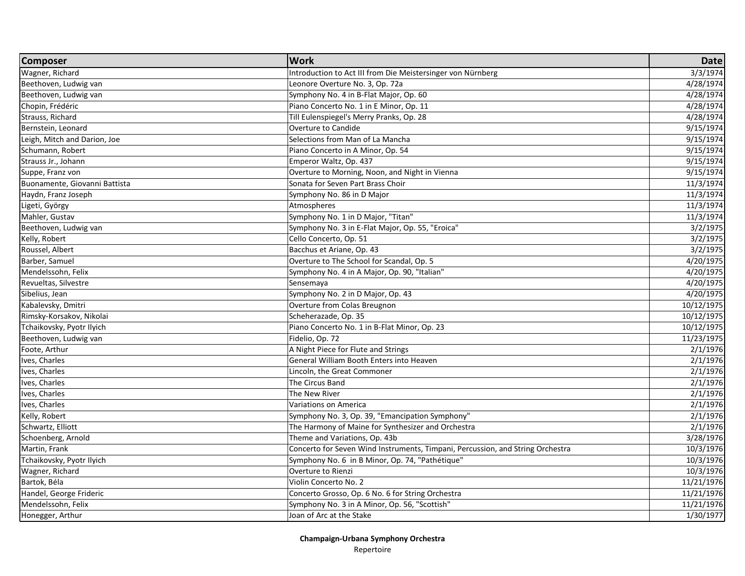| 3/3/1974<br>Introduction to Act III from Die Meistersinger von Nürnberg<br>4/28/1974<br>Beethoven, Ludwig van<br>Leonore Overture No. 3, Op. 72a<br>Beethoven, Ludwig van<br>4/28/1974<br>Symphony No. 4 in B-Flat Major, Op. 60<br>4/28/1974<br>Piano Concerto No. 1 in E Minor, Op. 11<br>Till Eulenspiegel's Merry Pranks, Op. 28<br>4/28/1974<br>Overture to Candide<br>9/15/1974<br>Bernstein, Leonard<br>Leigh, Mitch and Darion, Joe<br>Selections from Man of La Mancha<br>9/15/1974<br>9/15/1974<br>Piano Concerto in A Minor, Op. 54<br>Strauss Jr., Johann<br>Emperor Waltz, Op. 437<br>9/15/1974<br>Suppe, Franz von<br>Overture to Morning, Noon, and Night in Vienna<br>9/15/1974<br>Buonamente, Giovanni Battista<br>Sonata for Seven Part Brass Choir<br>11/3/1974<br>Haydn, Franz Joseph<br>11/3/1974<br>Symphony No. 86 in D Major<br>11/3/1974<br>Ligeti, György<br>Atmospheres<br>11/3/1974<br>Mahler, Gustav<br>Symphony No. 1 in D Major, "Titan"<br>Beethoven, Ludwig van<br>Symphony No. 3 in E-Flat Major, Op. 55, "Eroica"<br>3/2/1975<br>Kelly, Robert<br>Cello Concerto, Op. 51<br>3/2/1975<br>Bacchus et Ariane, Op. 43<br>3/2/1975<br>Overture to The School for Scandal, Op. 5<br>Barber, Samuel<br>4/20/1975<br>Symphony No. 4 in A Major, Op. 90, "Italian"<br>Mendelssohn, Felix<br>4/20/1975<br>Revueltas, Silvestre<br>4/20/1975<br>Sensemaya<br>Symphony No. 2 in D Major, Op. 43<br>4/20/1975<br>Overture from Colas Breugnon<br>Kabalevsky, Dmitri<br>10/12/1975<br>Rimsky-Korsakov, Nikolai<br>Scheherazade, Op. 35<br>10/12/1975<br>Tchaikovsky, Pyotr Ilyich<br>Piano Concerto No. 1 in B-Flat Minor, Op. 23<br>10/12/1975<br>11/23/1975<br>Fidelio, Op. 72<br>Foote, Arthur<br>A Night Piece for Flute and Strings<br>2/1/1976<br>Ives, Charles<br>General William Booth Enters into Heaven<br>2/1/1976<br>Ives, Charles<br>Lincoln, the Great Commoner<br>2/1/1976<br>Ives, Charles<br>The Circus Band<br>2/1/1976<br>Ives, Charles<br>The New River<br>2/1/1976<br>Ives, Charles<br>2/1/1976<br>Variations on America<br>Kelly, Robert<br>Symphony No. 3, Op. 39, "Emancipation Symphony"<br>2/1/1976<br>Schwartz, Elliott<br>2/1/1976<br>The Harmony of Maine for Synthesizer and Orchestra<br>Schoenberg, Arnold<br>Theme and Variations, Op. 43b<br>3/28/1976<br>Concerto for Seven Wind Instruments, Timpani, Percussion, and String Orchestra<br>Martin, Frank<br>10/3/1976<br>Symphony No. 6 in B Minor, Op. 74, "Pathétique"<br>10/3/1976<br>Tchaikovsky, Pyotr Ilyich<br>Wagner, Richard<br>Overture to Rienzi<br>10/3/1976<br>11/21/1976<br>Violin Concerto No. 2<br>Handel, George Frideric<br>Concerto Grosso, Op. 6 No. 6 for String Orchestra<br>11/21/1976<br>Mendelssohn, Felix<br>Symphony No. 3 in A Minor, Op. 56, "Scottish"<br>11/21/1976<br>Honegger, Arthur<br>Joan of Arc at the Stake<br>1/30/1977 | <b>Composer</b>       | <b>Work</b> | <b>Date</b> |
|-------------------------------------------------------------------------------------------------------------------------------------------------------------------------------------------------------------------------------------------------------------------------------------------------------------------------------------------------------------------------------------------------------------------------------------------------------------------------------------------------------------------------------------------------------------------------------------------------------------------------------------------------------------------------------------------------------------------------------------------------------------------------------------------------------------------------------------------------------------------------------------------------------------------------------------------------------------------------------------------------------------------------------------------------------------------------------------------------------------------------------------------------------------------------------------------------------------------------------------------------------------------------------------------------------------------------------------------------------------------------------------------------------------------------------------------------------------------------------------------------------------------------------------------------------------------------------------------------------------------------------------------------------------------------------------------------------------------------------------------------------------------------------------------------------------------------------------------------------------------------------------------------------------------------------------------------------------------------------------------------------------------------------------------------------------------------------------------------------------------------------------------------------------------------------------------------------------------------------------------------------------------------------------------------------------------------------------------------------------------------------------------------------------------------------------------------------------------------------------------------------------------------------------------------------------------------------------------------------------------------------------------------------------------------------------------------------------------------------------------------------------------------------------------------------------------------------------------------------------------------|-----------------------|-------------|-------------|
|                                                                                                                                                                                                                                                                                                                                                                                                                                                                                                                                                                                                                                                                                                                                                                                                                                                                                                                                                                                                                                                                                                                                                                                                                                                                                                                                                                                                                                                                                                                                                                                                                                                                                                                                                                                                                                                                                                                                                                                                                                                                                                                                                                                                                                                                                                                                                                                                                                                                                                                                                                                                                                                                                                                                                                                                                                                                         | Wagner, Richard       |             |             |
|                                                                                                                                                                                                                                                                                                                                                                                                                                                                                                                                                                                                                                                                                                                                                                                                                                                                                                                                                                                                                                                                                                                                                                                                                                                                                                                                                                                                                                                                                                                                                                                                                                                                                                                                                                                                                                                                                                                                                                                                                                                                                                                                                                                                                                                                                                                                                                                                                                                                                                                                                                                                                                                                                                                                                                                                                                                                         |                       |             |             |
|                                                                                                                                                                                                                                                                                                                                                                                                                                                                                                                                                                                                                                                                                                                                                                                                                                                                                                                                                                                                                                                                                                                                                                                                                                                                                                                                                                                                                                                                                                                                                                                                                                                                                                                                                                                                                                                                                                                                                                                                                                                                                                                                                                                                                                                                                                                                                                                                                                                                                                                                                                                                                                                                                                                                                                                                                                                                         |                       |             |             |
|                                                                                                                                                                                                                                                                                                                                                                                                                                                                                                                                                                                                                                                                                                                                                                                                                                                                                                                                                                                                                                                                                                                                                                                                                                                                                                                                                                                                                                                                                                                                                                                                                                                                                                                                                                                                                                                                                                                                                                                                                                                                                                                                                                                                                                                                                                                                                                                                                                                                                                                                                                                                                                                                                                                                                                                                                                                                         | Chopin, Frédéric      |             |             |
|                                                                                                                                                                                                                                                                                                                                                                                                                                                                                                                                                                                                                                                                                                                                                                                                                                                                                                                                                                                                                                                                                                                                                                                                                                                                                                                                                                                                                                                                                                                                                                                                                                                                                                                                                                                                                                                                                                                                                                                                                                                                                                                                                                                                                                                                                                                                                                                                                                                                                                                                                                                                                                                                                                                                                                                                                                                                         | Strauss, Richard      |             |             |
|                                                                                                                                                                                                                                                                                                                                                                                                                                                                                                                                                                                                                                                                                                                                                                                                                                                                                                                                                                                                                                                                                                                                                                                                                                                                                                                                                                                                                                                                                                                                                                                                                                                                                                                                                                                                                                                                                                                                                                                                                                                                                                                                                                                                                                                                                                                                                                                                                                                                                                                                                                                                                                                                                                                                                                                                                                                                         |                       |             |             |
|                                                                                                                                                                                                                                                                                                                                                                                                                                                                                                                                                                                                                                                                                                                                                                                                                                                                                                                                                                                                                                                                                                                                                                                                                                                                                                                                                                                                                                                                                                                                                                                                                                                                                                                                                                                                                                                                                                                                                                                                                                                                                                                                                                                                                                                                                                                                                                                                                                                                                                                                                                                                                                                                                                                                                                                                                                                                         |                       |             |             |
|                                                                                                                                                                                                                                                                                                                                                                                                                                                                                                                                                                                                                                                                                                                                                                                                                                                                                                                                                                                                                                                                                                                                                                                                                                                                                                                                                                                                                                                                                                                                                                                                                                                                                                                                                                                                                                                                                                                                                                                                                                                                                                                                                                                                                                                                                                                                                                                                                                                                                                                                                                                                                                                                                                                                                                                                                                                                         | Schumann, Robert      |             |             |
|                                                                                                                                                                                                                                                                                                                                                                                                                                                                                                                                                                                                                                                                                                                                                                                                                                                                                                                                                                                                                                                                                                                                                                                                                                                                                                                                                                                                                                                                                                                                                                                                                                                                                                                                                                                                                                                                                                                                                                                                                                                                                                                                                                                                                                                                                                                                                                                                                                                                                                                                                                                                                                                                                                                                                                                                                                                                         |                       |             |             |
|                                                                                                                                                                                                                                                                                                                                                                                                                                                                                                                                                                                                                                                                                                                                                                                                                                                                                                                                                                                                                                                                                                                                                                                                                                                                                                                                                                                                                                                                                                                                                                                                                                                                                                                                                                                                                                                                                                                                                                                                                                                                                                                                                                                                                                                                                                                                                                                                                                                                                                                                                                                                                                                                                                                                                                                                                                                                         |                       |             |             |
|                                                                                                                                                                                                                                                                                                                                                                                                                                                                                                                                                                                                                                                                                                                                                                                                                                                                                                                                                                                                                                                                                                                                                                                                                                                                                                                                                                                                                                                                                                                                                                                                                                                                                                                                                                                                                                                                                                                                                                                                                                                                                                                                                                                                                                                                                                                                                                                                                                                                                                                                                                                                                                                                                                                                                                                                                                                                         |                       |             |             |
|                                                                                                                                                                                                                                                                                                                                                                                                                                                                                                                                                                                                                                                                                                                                                                                                                                                                                                                                                                                                                                                                                                                                                                                                                                                                                                                                                                                                                                                                                                                                                                                                                                                                                                                                                                                                                                                                                                                                                                                                                                                                                                                                                                                                                                                                                                                                                                                                                                                                                                                                                                                                                                                                                                                                                                                                                                                                         |                       |             |             |
|                                                                                                                                                                                                                                                                                                                                                                                                                                                                                                                                                                                                                                                                                                                                                                                                                                                                                                                                                                                                                                                                                                                                                                                                                                                                                                                                                                                                                                                                                                                                                                                                                                                                                                                                                                                                                                                                                                                                                                                                                                                                                                                                                                                                                                                                                                                                                                                                                                                                                                                                                                                                                                                                                                                                                                                                                                                                         |                       |             |             |
|                                                                                                                                                                                                                                                                                                                                                                                                                                                                                                                                                                                                                                                                                                                                                                                                                                                                                                                                                                                                                                                                                                                                                                                                                                                                                                                                                                                                                                                                                                                                                                                                                                                                                                                                                                                                                                                                                                                                                                                                                                                                                                                                                                                                                                                                                                                                                                                                                                                                                                                                                                                                                                                                                                                                                                                                                                                                         |                       |             |             |
|                                                                                                                                                                                                                                                                                                                                                                                                                                                                                                                                                                                                                                                                                                                                                                                                                                                                                                                                                                                                                                                                                                                                                                                                                                                                                                                                                                                                                                                                                                                                                                                                                                                                                                                                                                                                                                                                                                                                                                                                                                                                                                                                                                                                                                                                                                                                                                                                                                                                                                                                                                                                                                                                                                                                                                                                                                                                         |                       |             |             |
|                                                                                                                                                                                                                                                                                                                                                                                                                                                                                                                                                                                                                                                                                                                                                                                                                                                                                                                                                                                                                                                                                                                                                                                                                                                                                                                                                                                                                                                                                                                                                                                                                                                                                                                                                                                                                                                                                                                                                                                                                                                                                                                                                                                                                                                                                                                                                                                                                                                                                                                                                                                                                                                                                                                                                                                                                                                                         |                       |             |             |
|                                                                                                                                                                                                                                                                                                                                                                                                                                                                                                                                                                                                                                                                                                                                                                                                                                                                                                                                                                                                                                                                                                                                                                                                                                                                                                                                                                                                                                                                                                                                                                                                                                                                                                                                                                                                                                                                                                                                                                                                                                                                                                                                                                                                                                                                                                                                                                                                                                                                                                                                                                                                                                                                                                                                                                                                                                                                         | Roussel, Albert       |             |             |
|                                                                                                                                                                                                                                                                                                                                                                                                                                                                                                                                                                                                                                                                                                                                                                                                                                                                                                                                                                                                                                                                                                                                                                                                                                                                                                                                                                                                                                                                                                                                                                                                                                                                                                                                                                                                                                                                                                                                                                                                                                                                                                                                                                                                                                                                                                                                                                                                                                                                                                                                                                                                                                                                                                                                                                                                                                                                         |                       |             |             |
|                                                                                                                                                                                                                                                                                                                                                                                                                                                                                                                                                                                                                                                                                                                                                                                                                                                                                                                                                                                                                                                                                                                                                                                                                                                                                                                                                                                                                                                                                                                                                                                                                                                                                                                                                                                                                                                                                                                                                                                                                                                                                                                                                                                                                                                                                                                                                                                                                                                                                                                                                                                                                                                                                                                                                                                                                                                                         |                       |             |             |
|                                                                                                                                                                                                                                                                                                                                                                                                                                                                                                                                                                                                                                                                                                                                                                                                                                                                                                                                                                                                                                                                                                                                                                                                                                                                                                                                                                                                                                                                                                                                                                                                                                                                                                                                                                                                                                                                                                                                                                                                                                                                                                                                                                                                                                                                                                                                                                                                                                                                                                                                                                                                                                                                                                                                                                                                                                                                         |                       |             |             |
|                                                                                                                                                                                                                                                                                                                                                                                                                                                                                                                                                                                                                                                                                                                                                                                                                                                                                                                                                                                                                                                                                                                                                                                                                                                                                                                                                                                                                                                                                                                                                                                                                                                                                                                                                                                                                                                                                                                                                                                                                                                                                                                                                                                                                                                                                                                                                                                                                                                                                                                                                                                                                                                                                                                                                                                                                                                                         | Sibelius, Jean        |             |             |
|                                                                                                                                                                                                                                                                                                                                                                                                                                                                                                                                                                                                                                                                                                                                                                                                                                                                                                                                                                                                                                                                                                                                                                                                                                                                                                                                                                                                                                                                                                                                                                                                                                                                                                                                                                                                                                                                                                                                                                                                                                                                                                                                                                                                                                                                                                                                                                                                                                                                                                                                                                                                                                                                                                                                                                                                                                                                         |                       |             |             |
|                                                                                                                                                                                                                                                                                                                                                                                                                                                                                                                                                                                                                                                                                                                                                                                                                                                                                                                                                                                                                                                                                                                                                                                                                                                                                                                                                                                                                                                                                                                                                                                                                                                                                                                                                                                                                                                                                                                                                                                                                                                                                                                                                                                                                                                                                                                                                                                                                                                                                                                                                                                                                                                                                                                                                                                                                                                                         |                       |             |             |
|                                                                                                                                                                                                                                                                                                                                                                                                                                                                                                                                                                                                                                                                                                                                                                                                                                                                                                                                                                                                                                                                                                                                                                                                                                                                                                                                                                                                                                                                                                                                                                                                                                                                                                                                                                                                                                                                                                                                                                                                                                                                                                                                                                                                                                                                                                                                                                                                                                                                                                                                                                                                                                                                                                                                                                                                                                                                         |                       |             |             |
|                                                                                                                                                                                                                                                                                                                                                                                                                                                                                                                                                                                                                                                                                                                                                                                                                                                                                                                                                                                                                                                                                                                                                                                                                                                                                                                                                                                                                                                                                                                                                                                                                                                                                                                                                                                                                                                                                                                                                                                                                                                                                                                                                                                                                                                                                                                                                                                                                                                                                                                                                                                                                                                                                                                                                                                                                                                                         | Beethoven, Ludwig van |             |             |
|                                                                                                                                                                                                                                                                                                                                                                                                                                                                                                                                                                                                                                                                                                                                                                                                                                                                                                                                                                                                                                                                                                                                                                                                                                                                                                                                                                                                                                                                                                                                                                                                                                                                                                                                                                                                                                                                                                                                                                                                                                                                                                                                                                                                                                                                                                                                                                                                                                                                                                                                                                                                                                                                                                                                                                                                                                                                         |                       |             |             |
|                                                                                                                                                                                                                                                                                                                                                                                                                                                                                                                                                                                                                                                                                                                                                                                                                                                                                                                                                                                                                                                                                                                                                                                                                                                                                                                                                                                                                                                                                                                                                                                                                                                                                                                                                                                                                                                                                                                                                                                                                                                                                                                                                                                                                                                                                                                                                                                                                                                                                                                                                                                                                                                                                                                                                                                                                                                                         |                       |             |             |
|                                                                                                                                                                                                                                                                                                                                                                                                                                                                                                                                                                                                                                                                                                                                                                                                                                                                                                                                                                                                                                                                                                                                                                                                                                                                                                                                                                                                                                                                                                                                                                                                                                                                                                                                                                                                                                                                                                                                                                                                                                                                                                                                                                                                                                                                                                                                                                                                                                                                                                                                                                                                                                                                                                                                                                                                                                                                         |                       |             |             |
|                                                                                                                                                                                                                                                                                                                                                                                                                                                                                                                                                                                                                                                                                                                                                                                                                                                                                                                                                                                                                                                                                                                                                                                                                                                                                                                                                                                                                                                                                                                                                                                                                                                                                                                                                                                                                                                                                                                                                                                                                                                                                                                                                                                                                                                                                                                                                                                                                                                                                                                                                                                                                                                                                                                                                                                                                                                                         |                       |             |             |
|                                                                                                                                                                                                                                                                                                                                                                                                                                                                                                                                                                                                                                                                                                                                                                                                                                                                                                                                                                                                                                                                                                                                                                                                                                                                                                                                                                                                                                                                                                                                                                                                                                                                                                                                                                                                                                                                                                                                                                                                                                                                                                                                                                                                                                                                                                                                                                                                                                                                                                                                                                                                                                                                                                                                                                                                                                                                         |                       |             |             |
|                                                                                                                                                                                                                                                                                                                                                                                                                                                                                                                                                                                                                                                                                                                                                                                                                                                                                                                                                                                                                                                                                                                                                                                                                                                                                                                                                                                                                                                                                                                                                                                                                                                                                                                                                                                                                                                                                                                                                                                                                                                                                                                                                                                                                                                                                                                                                                                                                                                                                                                                                                                                                                                                                                                                                                                                                                                                         |                       |             |             |
|                                                                                                                                                                                                                                                                                                                                                                                                                                                                                                                                                                                                                                                                                                                                                                                                                                                                                                                                                                                                                                                                                                                                                                                                                                                                                                                                                                                                                                                                                                                                                                                                                                                                                                                                                                                                                                                                                                                                                                                                                                                                                                                                                                                                                                                                                                                                                                                                                                                                                                                                                                                                                                                                                                                                                                                                                                                                         |                       |             |             |
|                                                                                                                                                                                                                                                                                                                                                                                                                                                                                                                                                                                                                                                                                                                                                                                                                                                                                                                                                                                                                                                                                                                                                                                                                                                                                                                                                                                                                                                                                                                                                                                                                                                                                                                                                                                                                                                                                                                                                                                                                                                                                                                                                                                                                                                                                                                                                                                                                                                                                                                                                                                                                                                                                                                                                                                                                                                                         |                       |             |             |
|                                                                                                                                                                                                                                                                                                                                                                                                                                                                                                                                                                                                                                                                                                                                                                                                                                                                                                                                                                                                                                                                                                                                                                                                                                                                                                                                                                                                                                                                                                                                                                                                                                                                                                                                                                                                                                                                                                                                                                                                                                                                                                                                                                                                                                                                                                                                                                                                                                                                                                                                                                                                                                                                                                                                                                                                                                                                         |                       |             |             |
|                                                                                                                                                                                                                                                                                                                                                                                                                                                                                                                                                                                                                                                                                                                                                                                                                                                                                                                                                                                                                                                                                                                                                                                                                                                                                                                                                                                                                                                                                                                                                                                                                                                                                                                                                                                                                                                                                                                                                                                                                                                                                                                                                                                                                                                                                                                                                                                                                                                                                                                                                                                                                                                                                                                                                                                                                                                                         |                       |             |             |
|                                                                                                                                                                                                                                                                                                                                                                                                                                                                                                                                                                                                                                                                                                                                                                                                                                                                                                                                                                                                                                                                                                                                                                                                                                                                                                                                                                                                                                                                                                                                                                                                                                                                                                                                                                                                                                                                                                                                                                                                                                                                                                                                                                                                                                                                                                                                                                                                                                                                                                                                                                                                                                                                                                                                                                                                                                                                         |                       |             |             |
|                                                                                                                                                                                                                                                                                                                                                                                                                                                                                                                                                                                                                                                                                                                                                                                                                                                                                                                                                                                                                                                                                                                                                                                                                                                                                                                                                                                                                                                                                                                                                                                                                                                                                                                                                                                                                                                                                                                                                                                                                                                                                                                                                                                                                                                                                                                                                                                                                                                                                                                                                                                                                                                                                                                                                                                                                                                                         |                       |             |             |
|                                                                                                                                                                                                                                                                                                                                                                                                                                                                                                                                                                                                                                                                                                                                                                                                                                                                                                                                                                                                                                                                                                                                                                                                                                                                                                                                                                                                                                                                                                                                                                                                                                                                                                                                                                                                                                                                                                                                                                                                                                                                                                                                                                                                                                                                                                                                                                                                                                                                                                                                                                                                                                                                                                                                                                                                                                                                         | Bartok, Béla          |             |             |
|                                                                                                                                                                                                                                                                                                                                                                                                                                                                                                                                                                                                                                                                                                                                                                                                                                                                                                                                                                                                                                                                                                                                                                                                                                                                                                                                                                                                                                                                                                                                                                                                                                                                                                                                                                                                                                                                                                                                                                                                                                                                                                                                                                                                                                                                                                                                                                                                                                                                                                                                                                                                                                                                                                                                                                                                                                                                         |                       |             |             |
|                                                                                                                                                                                                                                                                                                                                                                                                                                                                                                                                                                                                                                                                                                                                                                                                                                                                                                                                                                                                                                                                                                                                                                                                                                                                                                                                                                                                                                                                                                                                                                                                                                                                                                                                                                                                                                                                                                                                                                                                                                                                                                                                                                                                                                                                                                                                                                                                                                                                                                                                                                                                                                                                                                                                                                                                                                                                         |                       |             |             |
|                                                                                                                                                                                                                                                                                                                                                                                                                                                                                                                                                                                                                                                                                                                                                                                                                                                                                                                                                                                                                                                                                                                                                                                                                                                                                                                                                                                                                                                                                                                                                                                                                                                                                                                                                                                                                                                                                                                                                                                                                                                                                                                                                                                                                                                                                                                                                                                                                                                                                                                                                                                                                                                                                                                                                                                                                                                                         |                       |             |             |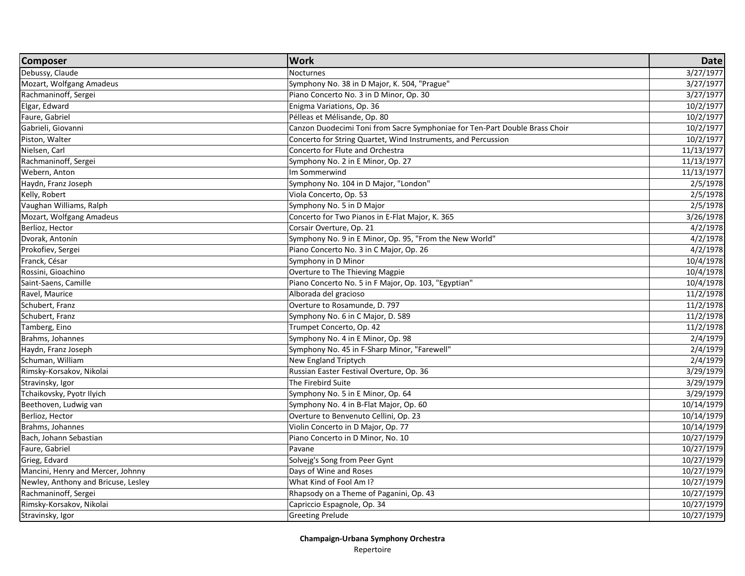| 3/27/1977<br><b>Nocturnes</b><br>3/27/1977<br>Symphony No. 38 in D Major, K. 504, "Prague"<br>3/27/1977<br>Piano Concerto No. 3 in D Minor, Op. 30<br>Enigma Variations, Op. 36<br>10/2/1977<br>10/2/1977<br>Pélleas et Mélisande, Op. 80<br>10/2/1977<br>Canzon Duodecimi Toni from Sacre Symphoniae for Ten-Part Double Brass Choir<br>10/2/1977<br>Concerto for String Quartet, Wind Instruments, and Percussion<br>Concerto for Flute and Orchestra<br>11/13/1977<br>Symphony No. 2 in E Minor, Op. 27<br>11/13/1977<br>Im Sommerwind<br>11/13/1977<br>Symphony No. 104 in D Major, "London"<br>2/5/1978<br>2/5/1978<br>Viola Concerto, Op. 53<br>Symphony No. 5 in D Major<br>2/5/1978<br>3/26/1978<br>Concerto for Two Pianos in E-Flat Major, K. 365 | <b>Composer</b>                     | <b>Work</b>              | <b>Date</b> |
|-------------------------------------------------------------------------------------------------------------------------------------------------------------------------------------------------------------------------------------------------------------------------------------------------------------------------------------------------------------------------------------------------------------------------------------------------------------------------------------------------------------------------------------------------------------------------------------------------------------------------------------------------------------------------------------------------------------------------------------------------------------|-------------------------------------|--------------------------|-------------|
|                                                                                                                                                                                                                                                                                                                                                                                                                                                                                                                                                                                                                                                                                                                                                             | Debussy, Claude                     |                          |             |
|                                                                                                                                                                                                                                                                                                                                                                                                                                                                                                                                                                                                                                                                                                                                                             | Mozart, Wolfgang Amadeus            |                          |             |
|                                                                                                                                                                                                                                                                                                                                                                                                                                                                                                                                                                                                                                                                                                                                                             | Rachmaninoff, Sergei                |                          |             |
|                                                                                                                                                                                                                                                                                                                                                                                                                                                                                                                                                                                                                                                                                                                                                             | Elgar, Edward                       |                          |             |
|                                                                                                                                                                                                                                                                                                                                                                                                                                                                                                                                                                                                                                                                                                                                                             | Faure, Gabriel                      |                          |             |
|                                                                                                                                                                                                                                                                                                                                                                                                                                                                                                                                                                                                                                                                                                                                                             | Gabrieli, Giovanni                  |                          |             |
|                                                                                                                                                                                                                                                                                                                                                                                                                                                                                                                                                                                                                                                                                                                                                             | Piston, Walter                      |                          |             |
|                                                                                                                                                                                                                                                                                                                                                                                                                                                                                                                                                                                                                                                                                                                                                             | Nielsen, Carl                       |                          |             |
|                                                                                                                                                                                                                                                                                                                                                                                                                                                                                                                                                                                                                                                                                                                                                             | Rachmaninoff, Sergei                |                          |             |
|                                                                                                                                                                                                                                                                                                                                                                                                                                                                                                                                                                                                                                                                                                                                                             | Webern, Anton                       |                          |             |
|                                                                                                                                                                                                                                                                                                                                                                                                                                                                                                                                                                                                                                                                                                                                                             | Haydn, Franz Joseph                 |                          |             |
|                                                                                                                                                                                                                                                                                                                                                                                                                                                                                                                                                                                                                                                                                                                                                             | Kelly, Robert                       |                          |             |
|                                                                                                                                                                                                                                                                                                                                                                                                                                                                                                                                                                                                                                                                                                                                                             | Vaughan Williams, Ralph             |                          |             |
|                                                                                                                                                                                                                                                                                                                                                                                                                                                                                                                                                                                                                                                                                                                                                             | Mozart, Wolfgang Amadeus            |                          |             |
|                                                                                                                                                                                                                                                                                                                                                                                                                                                                                                                                                                                                                                                                                                                                                             | Berlioz, Hector                     | Corsair Overture, Op. 21 | 4/2/1978    |
| $\frac{4}{2}$ /1978<br>Symphony No. 9 in E Minor, Op. 95, "From the New World"                                                                                                                                                                                                                                                                                                                                                                                                                                                                                                                                                                                                                                                                              | Dvorak, Antonín                     |                          |             |
| Piano Concerto No. 3 in C Major, Op. 26<br>4/2/1978                                                                                                                                                                                                                                                                                                                                                                                                                                                                                                                                                                                                                                                                                                         | Prokofiev, Sergei                   |                          |             |
| Symphony in D Minor<br>10/4/1978                                                                                                                                                                                                                                                                                                                                                                                                                                                                                                                                                                                                                                                                                                                            | Franck, César                       |                          |             |
| 10/4/1978<br>Overture to The Thieving Magpie                                                                                                                                                                                                                                                                                                                                                                                                                                                                                                                                                                                                                                                                                                                | Rossini, Gioachino                  |                          |             |
| 10/4/1978<br>Piano Concerto No. 5 in F Major, Op. 103, "Egyptian"                                                                                                                                                                                                                                                                                                                                                                                                                                                                                                                                                                                                                                                                                           | Saint-Saens, Camille                |                          |             |
| 11/2/1978<br>Alborada del gracioso                                                                                                                                                                                                                                                                                                                                                                                                                                                                                                                                                                                                                                                                                                                          | Ravel, Maurice                      |                          |             |
| Overture to Rosamunde, D. 797<br>11/2/1978                                                                                                                                                                                                                                                                                                                                                                                                                                                                                                                                                                                                                                                                                                                  | Schubert, Franz                     |                          |             |
| 11/2/1978<br>Symphony No. 6 in C Major, D. 589                                                                                                                                                                                                                                                                                                                                                                                                                                                                                                                                                                                                                                                                                                              | Schubert, Franz                     |                          |             |
| Trumpet Concerto, Op. 42<br>11/2/1978                                                                                                                                                                                                                                                                                                                                                                                                                                                                                                                                                                                                                                                                                                                       | Tamberg, Eino                       |                          |             |
| Symphony No. 4 in E Minor, Op. 98<br>2/4/1979                                                                                                                                                                                                                                                                                                                                                                                                                                                                                                                                                                                                                                                                                                               | Brahms, Johannes                    |                          |             |
| Symphony No. 45 in F-Sharp Minor, "Farewell"<br>2/4/1979                                                                                                                                                                                                                                                                                                                                                                                                                                                                                                                                                                                                                                                                                                    | Haydn, Franz Joseph                 |                          |             |
| New England Triptych<br>2/4/1979                                                                                                                                                                                                                                                                                                                                                                                                                                                                                                                                                                                                                                                                                                                            | Schuman, William                    |                          |             |
| Russian Easter Festival Overture, Op. 36<br>3/29/1979                                                                                                                                                                                                                                                                                                                                                                                                                                                                                                                                                                                                                                                                                                       | Rimsky-Korsakov, Nikolai            |                          |             |
| The Firebird Suite<br>3/29/1979                                                                                                                                                                                                                                                                                                                                                                                                                                                                                                                                                                                                                                                                                                                             | Stravinsky, Igor                    |                          |             |
| 3/29/1979<br>Symphony No. 5 in E Minor, Op. 64                                                                                                                                                                                                                                                                                                                                                                                                                                                                                                                                                                                                                                                                                                              | Tchaikovsky, Pyotr Ilyich           |                          |             |
| 10/14/1979<br>Symphony No. 4 in B-Flat Major, Op. 60                                                                                                                                                                                                                                                                                                                                                                                                                                                                                                                                                                                                                                                                                                        | Beethoven, Ludwig van               |                          |             |
| Overture to Benvenuto Cellini, Op. 23<br>10/14/1979                                                                                                                                                                                                                                                                                                                                                                                                                                                                                                                                                                                                                                                                                                         | Berlioz, Hector                     |                          |             |
| Violin Concerto in D Major, Op. 77<br>10/14/1979                                                                                                                                                                                                                                                                                                                                                                                                                                                                                                                                                                                                                                                                                                            | Brahms, Johannes                    |                          |             |
| Piano Concerto in D Minor, No. 10<br>10/27/1979                                                                                                                                                                                                                                                                                                                                                                                                                                                                                                                                                                                                                                                                                                             | Bach, Johann Sebastian              |                          |             |
| 10/27/1979<br>Pavane                                                                                                                                                                                                                                                                                                                                                                                                                                                                                                                                                                                                                                                                                                                                        | Faure, Gabriel                      |                          |             |
| Solvejg's Song from Peer Gynt<br>10/27/1979                                                                                                                                                                                                                                                                                                                                                                                                                                                                                                                                                                                                                                                                                                                 | Grieg, Edvard                       |                          |             |
| 10/27/1979<br>Days of Wine and Roses                                                                                                                                                                                                                                                                                                                                                                                                                                                                                                                                                                                                                                                                                                                        | Mancini, Henry and Mercer, Johnny   |                          |             |
| What Kind of Fool Am I?<br>10/27/1979                                                                                                                                                                                                                                                                                                                                                                                                                                                                                                                                                                                                                                                                                                                       | Newley, Anthony and Bricuse, Lesley |                          |             |
| Rhapsody on a Theme of Paganini, Op. 43<br>10/27/1979                                                                                                                                                                                                                                                                                                                                                                                                                                                                                                                                                                                                                                                                                                       | Rachmaninoff, Sergei                |                          |             |
| Capriccio Espagnole, Op. 34<br>10/27/1979                                                                                                                                                                                                                                                                                                                                                                                                                                                                                                                                                                                                                                                                                                                   | Rimsky-Korsakov, Nikolai            |                          |             |
| <b>Greeting Prelude</b><br>10/27/1979                                                                                                                                                                                                                                                                                                                                                                                                                                                                                                                                                                                                                                                                                                                       | Stravinsky, Igor                    |                          |             |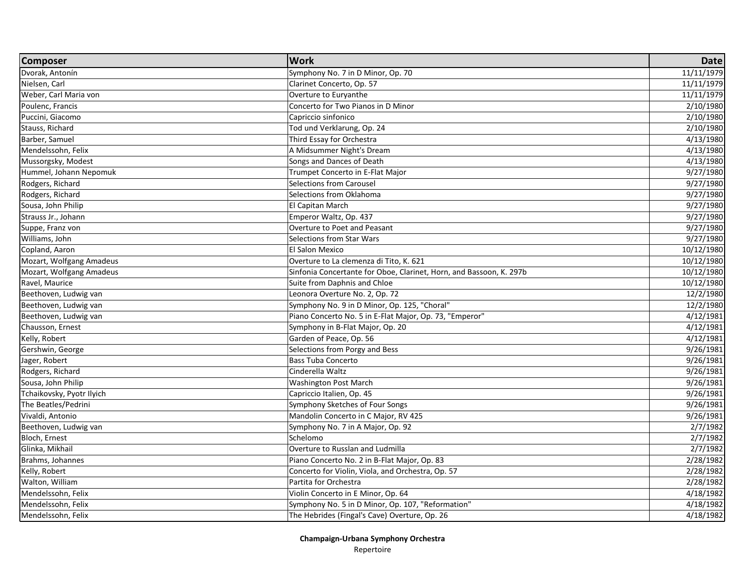| <b>Composer</b>           | <b>Work</b>                                                         | <b>Date</b> |
|---------------------------|---------------------------------------------------------------------|-------------|
| Dvorak, Antonín           | Symphony No. 7 in D Minor, Op. 70                                   | 11/11/1979  |
| Nielsen, Carl             | Clarinet Concerto, Op. 57                                           | 11/11/1979  |
| Weber, Carl Maria von     | Overture to Euryanthe                                               | 11/11/1979  |
| Poulenc, Francis          | Concerto for Two Pianos in D Minor                                  | 2/10/1980   |
| Puccini, Giacomo          | Capriccio sinfonico                                                 | 2/10/1980   |
| Stauss, Richard           | Tod und Verklarung, Op. 24                                          | 2/10/1980   |
| Barber, Samuel            | Third Essay for Orchestra                                           | 4/13/1980   |
| Mendelssohn, Felix        | A Midsummer Night's Dream                                           | 4/13/1980   |
| Mussorgsky, Modest        | Songs and Dances of Death                                           | 4/13/1980   |
| Hummel, Johann Nepomuk    | Trumpet Concerto in E-Flat Major                                    | 9/27/1980   |
| Rodgers, Richard          | <b>Selections from Carousel</b>                                     | 9/27/1980   |
| Rodgers, Richard          | Selections from Oklahoma                                            | 9/27/1980   |
| Sousa, John Philip        | El Capitan March                                                    | 9/27/1980   |
| Strauss Jr., Johann       | Emperor Waltz, Op. 437                                              | 9/27/1980   |
| Suppe, Franz von          | Overture to Poet and Peasant                                        | 9/27/1980   |
| Williams, John            | Selections from Star Wars                                           | 9/27/1980   |
| Copland, Aaron            | El Salon Mexico                                                     | 10/12/1980  |
| Mozart, Wolfgang Amadeus  | Overture to La clemenza di Tito, K. 621                             | 10/12/1980  |
| Mozart, Wolfgang Amadeus  | Sinfonia Concertante for Oboe, Clarinet, Horn, and Bassoon, K. 297b | 10/12/1980  |
| Ravel, Maurice            | Suite from Daphnis and Chloe                                        | 10/12/1980  |
| Beethoven, Ludwig van     | Leonora Overture No. 2, Op. 72                                      | 12/2/1980   |
| Beethoven, Ludwig van     | Symphony No. 9 in D Minor, Op. 125, "Choral"                        | 12/2/1980   |
| Beethoven, Ludwig van     | Piano Concerto No. 5 in E-Flat Major, Op. 73, "Emperor"             | 4/12/1981   |
| Chausson, Ernest          | Symphony in B-Flat Major, Op. 20                                    | 4/12/1981   |
| Kelly, Robert             | Garden of Peace, Op. 56                                             | 4/12/1981   |
| Gershwin, George          | Selections from Porgy and Bess                                      | 9/26/1981   |
| Jager, Robert             | <b>Bass Tuba Concerto</b>                                           | 9/26/1981   |
| Rodgers, Richard          | Cinderella Waltz                                                    | 9/26/1981   |
| Sousa, John Philip        | <b>Washington Post March</b>                                        | 9/26/1981   |
| Tchaikovsky, Pyotr Ilyich | Capriccio Italien, Op. 45                                           | 9/26/1981   |
| The Beatles/Pedrini       | Symphony Sketches of Four Songs                                     | 9/26/1981   |
| Vivaldi, Antonio          | Mandolin Concerto in C Major, RV 425                                | 9/26/1981   |
| Beethoven, Ludwig van     | Symphony No. 7 in A Major, Op. 92                                   | 2/7/1982    |
| Bloch, Ernest             | Schelomo                                                            | 2/7/1982    |
| Glinka, Mikhail           | Overture to Russlan and Ludmilla                                    | 2/7/1982    |
| Brahms, Johannes          | Piano Concerto No. 2 in B-Flat Major, Op. 83                        | 2/28/1982   |
| Kelly, Robert             | Concerto for Violin, Viola, and Orchestra, Op. 57                   | 2/28/1982   |
| Walton, William           | Partita for Orchestra                                               | 2/28/1982   |
| Mendelssohn, Felix        | Violin Concerto in E Minor, Op. 64                                  | 4/18/1982   |
| Mendelssohn, Felix        | Symphony No. 5 in D Minor, Op. 107, "Reformation"                   | 4/18/1982   |
| Mendelssohn, Felix        | The Hebrides (Fingal's Cave) Overture, Op. 26                       | 4/18/1982   |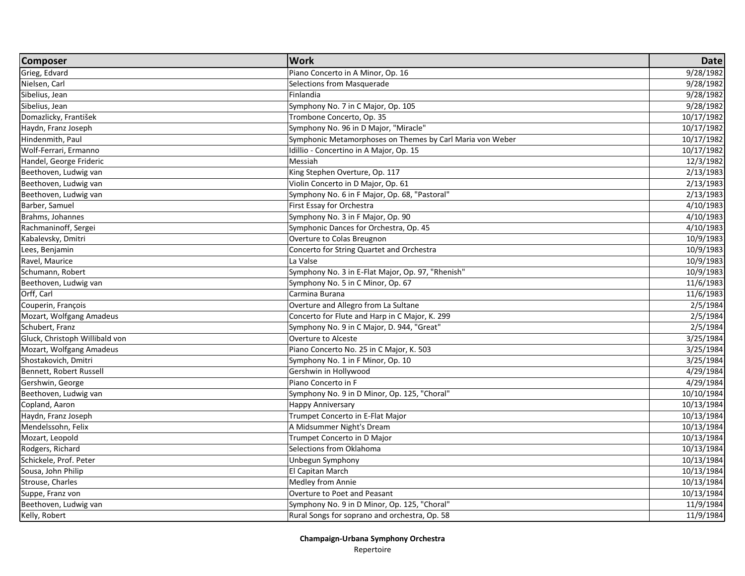| <b>Composer</b>                | <b>Work</b>                                               | <b>Date</b>            |
|--------------------------------|-----------------------------------------------------------|------------------------|
| Grieg, Edvard                  | Piano Concerto in A Minor, Op. 16                         | 9/28/1982              |
| Nielsen, Carl                  | Selections from Masquerade                                | 9/28/1982              |
| Sibelius, Jean                 | Finlandia                                                 | 9/28/1982              |
| Sibelius, Jean                 | Symphony No. 7 in C Major, Op. 105                        | 9/28/1982              |
| Domazlicky, František          | Trombone Concerto, Op. 35                                 | 10/17/1982             |
| Haydn, Franz Joseph            | Symphony No. 96 in D Major, "Miracle"                     | 10/17/1982             |
| Hindenmith, Paul               | Symphonic Metamorphoses on Themes by Carl Maria von Weber | 10/17/1982             |
| Wolf-Ferrari, Ermanno          | Idillio - Concertino in A Major, Op. 15                   | 10/17/1982             |
| Handel, George Frideric        | Messiah                                                   | 12/3/1982              |
| Beethoven, Ludwig van          | King Stephen Overture, Op. 117                            | $\frac{1}{2}$ /13/1983 |
| Beethoven, Ludwig van          | Violin Concerto in D Major, Op. 61                        | 2/13/1983              |
| Beethoven, Ludwig van          | Symphony No. 6 in F Major, Op. 68, "Pastoral"             | 2/13/1983              |
| Barber, Samuel                 | First Essay for Orchestra                                 | 4/10/1983              |
| Brahms, Johannes               | Symphony No. 3 in F Major, Op. 90                         | 4/10/1983              |
| Rachmaninoff, Sergei           | Symphonic Dances for Orchestra, Op. 45                    | 4/10/1983              |
| Kabalevsky, Dmitri             | Overture to Colas Breugnon                                | 10/9/1983              |
| Lees, Benjamin                 | Concerto for String Quartet and Orchestra                 | 10/9/1983              |
| Ravel, Maurice                 | La Valse                                                  | 10/9/1983              |
| Schumann, Robert               | Symphony No. 3 in E-Flat Major, Op. 97, "Rhenish"         | 10/9/1983              |
| Beethoven, Ludwig van          | Symphony No. 5 in C Minor, Op. 67                         | 11/6/1983              |
| Orff, Carl                     | Carmina Burana                                            | 11/6/1983              |
| Couperin, François             | Overture and Allegro from La Sultane                      | 2/5/1984               |
| Mozart, Wolfgang Amadeus       | Concerto for Flute and Harp in C Major, K. 299            | 2/5/1984               |
| Schubert, Franz                | Symphony No. 9 in C Major, D. 944, "Great"                | 2/5/1984               |
| Gluck, Christoph Willibald von | Overture to Alceste                                       | 3/25/1984              |
| Mozart, Wolfgang Amadeus       | Piano Concerto No. 25 in C Major, K. 503                  | 3/25/1984              |
| Shostakovich, Dmitri           | Symphony No. 1 in F Minor, Op. 10                         | 3/25/1984              |
| Bennett, Robert Russell        | Gershwin in Hollywood                                     | 4/29/1984              |
| Gershwin, George               | Piano Concerto in F                                       | 4/29/1984              |
| Beethoven, Ludwig van          | Symphony No. 9 in D Minor, Op. 125, "Choral"              | 10/10/1984             |
| Copland, Aaron                 | <b>Happy Anniversary</b>                                  | 10/13/1984             |
| Haydn, Franz Joseph            | Trumpet Concerto in E-Flat Major                          | 10/13/1984             |
| Mendelssohn, Felix             | A Midsummer Night's Dream                                 | 10/13/1984             |
| Mozart, Leopold                | Trumpet Concerto in D Major                               | 10/13/1984             |
| Rodgers, Richard               | Selections from Oklahoma                                  | 10/13/1984             |
| Schickele, Prof. Peter         | Unbegun Symphony                                          | 10/13/1984             |
| Sousa, John Philip             | El Capitan March                                          | 10/13/1984             |
| Strouse, Charles               | Medley from Annie                                         | 10/13/1984             |
| Suppe, Franz von               | Overture to Poet and Peasant                              | 10/13/1984             |
| Beethoven, Ludwig van          | Symphony No. 9 in D Minor, Op. 125, "Choral"              | 11/9/1984              |
| Kelly, Robert                  | Rural Songs for soprano and orchestra, Op. 58             | 11/9/1984              |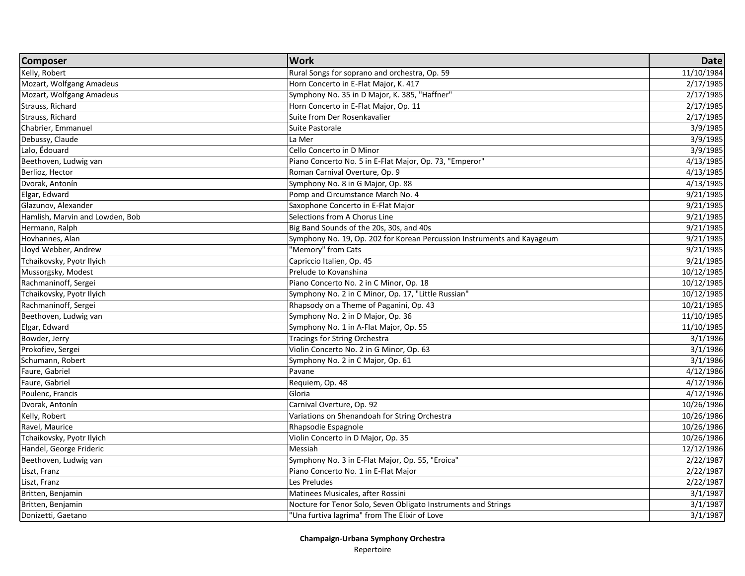| <b>Composer</b>                 | <b>Work</b>                                                             | <b>Date</b> |
|---------------------------------|-------------------------------------------------------------------------|-------------|
| Kelly, Robert                   | Rural Songs for soprano and orchestra, Op. 59                           | 11/10/1984  |
| Mozart, Wolfgang Amadeus        | Horn Concerto in E-Flat Major, K. 417                                   | 2/17/1985   |
| Mozart, Wolfgang Amadeus        | Symphony No. 35 in D Major, K. 385, "Haffner"                           | 2/17/1985   |
| Strauss, Richard                | Horn Concerto in E-Flat Major, Op. 11                                   | 2/17/1985   |
| Strauss, Richard                | Suite from Der Rosenkavalier                                            | 2/17/1985   |
| Chabrier, Emmanuel              | Suite Pastorale                                                         | 3/9/1985    |
| Debussy, Claude                 | La Mer                                                                  | 3/9/1985    |
| Lalo, Édouard                   | Cello Concerto in D Minor                                               | 3/9/1985    |
| Beethoven, Ludwig van           | Piano Concerto No. 5 in E-Flat Major, Op. 73, "Emperor"                 | 4/13/1985   |
| Berlioz, Hector                 | Roman Carnival Overture, Op. 9                                          | 4/13/1985   |
| Dvorak, Antonín                 | Symphony No. 8 in G Major, Op. 88                                       | 4/13/1985   |
| Elgar, Edward                   | Pomp and Circumstance March No. 4                                       | 9/21/1985   |
| Glazunov, Alexander             | Saxophone Concerto in E-Flat Major                                      | 9/21/1985   |
| Hamlish, Marvin and Lowden, Bob | Selections from A Chorus Line                                           | 9/21/1985   |
| Hermann, Ralph                  | Big Band Sounds of the 20s, 30s, and 40s                                | 9/21/1985   |
| Hovhannes, Alan                 | Symphony No. 19, Op. 202 for Korean Percussion Instruments and Kayageum | 9/21/1985   |
| Lloyd Webber, Andrew            | "Memory" from Cats                                                      | 9/21/1985   |
| Tchaikovsky, Pyotr Ilyich       | Capriccio Italien, Op. 45                                               | 9/21/1985   |
| Mussorgsky, Modest              | Prelude to Kovanshina                                                   | 10/12/1985  |
| Rachmaninoff, Sergei            | Piano Concerto No. 2 in C Minor, Op. 18                                 | 10/12/1985  |
| Tchaikovsky, Pyotr Ilyich       | Symphony No. 2 in C Minor, Op. 17, "Little Russian"                     | 10/12/1985  |
| Rachmaninoff, Sergei            | Rhapsody on a Theme of Paganini, Op. 43                                 | 10/21/1985  |
| Beethoven, Ludwig van           | Symphony No. 2 in D Major, Op. 36                                       | 11/10/1985  |
| Elgar, Edward                   | Symphony No. 1 in A-Flat Major, Op. 55                                  | 11/10/1985  |
| Bowder, Jerry                   | Tracings for String Orchestra                                           | 3/1/1986    |
| Prokofiev, Sergei               | Violin Concerto No. 2 in G Minor, Op. 63                                | 3/1/1986    |
| Schumann, Robert                | Symphony No. 2 in C Major, Op. 61                                       | 3/1/1986    |
| Faure, Gabriel                  | Pavane                                                                  | 4/12/1986   |
| Faure, Gabriel                  | Requiem, Op. 48                                                         | 4/12/1986   |
| Poulenc, Francis                | Gloria                                                                  | 4/12/1986   |
| Dvorak, Antonín                 | Carnival Overture, Op. 92                                               | 10/26/1986  |
| Kelly, Robert                   | Variations on Shenandoah for String Orchestra                           | 10/26/1986  |
| Ravel, Maurice                  | Rhapsodie Espagnole                                                     | 10/26/1986  |
| Tchaikovsky, Pyotr Ilyich       | Violin Concerto in D Major, Op. 35                                      | 10/26/1986  |
| Handel, George Frideric         | Messiah                                                                 | 12/12/1986  |
| Beethoven, Ludwig van           | Symphony No. 3 in E-Flat Major, Op. 55, "Eroica"                        | 2/22/1987   |
| Liszt, Franz                    | Piano Concerto No. 1 in E-Flat Major                                    | 2/22/1987   |
| Liszt, Franz                    | Les Preludes                                                            | 2/22/1987   |
| Britten, Benjamin               | Matinees Musicales, after Rossini                                       | 3/1/1987    |
| Britten, Benjamin               | Nocture for Tenor Solo, Seven Obligato Instruments and Strings          | 3/1/1987    |
| Donizetti, Gaetano              | "Una furtiva lagrima" from The Elixir of Love                           | 3/1/1987    |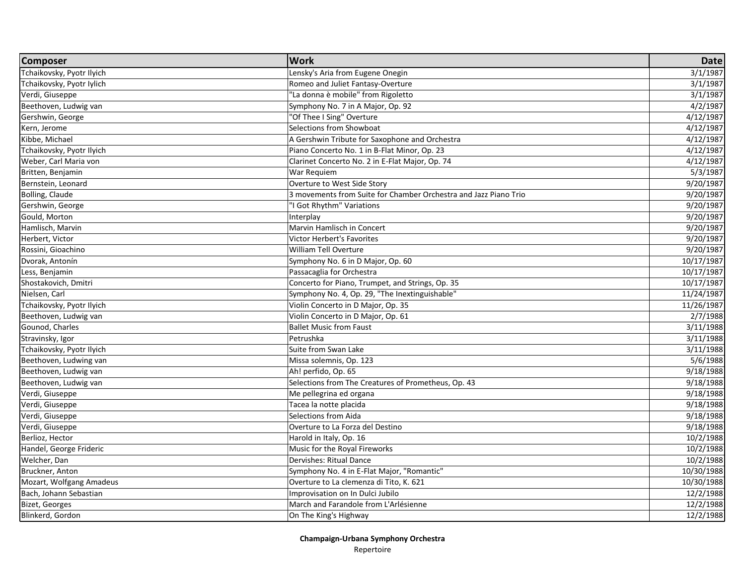| <b>Composer</b>           | <b>Work</b>                                                      | <b>Date</b> |
|---------------------------|------------------------------------------------------------------|-------------|
| Tchaikovsky, Pyotr Ilyich | Lensky's Aria from Eugene Onegin                                 | 3/1/1987    |
| Tchaikovsky, Pyotr Iylich | Romeo and Juliet Fantasy-Overture                                | 3/1/1987    |
| Verdi, Giuseppe           | "La donna è mobile" from Rigoletto                               | 3/1/1987    |
| Beethoven, Ludwig van     | Symphony No. 7 in A Major, Op. 92                                | 4/2/1987    |
| Gershwin, George          | "Of Thee I Sing" Overture                                        | 4/12/1987   |
| Kern, Jerome              | Selections from Showboat                                         | 4/12/1987   |
| Kibbe, Michael            | A Gershwin Tribute for Saxophone and Orchestra                   | 4/12/1987   |
| Tchaikovsky, Pyotr Ilyich | Piano Concerto No. 1 in B-Flat Minor, Op. 23                     | 4/12/1987   |
| Weber, Carl Maria von     | Clarinet Concerto No. 2 in E-Flat Major, Op. 74                  | 4/12/1987   |
| Britten, Benjamin         | War Requiem                                                      | 5/3/1987    |
| Bernstein, Leonard        | Overture to West Side Story                                      | 9/20/1987   |
| Bolling, Claude           | 3 movements from Suite for Chamber Orchestra and Jazz Piano Trio | 9/20/1987   |
| Gershwin, George          | "I Got Rhythm" Variations                                        | 9/20/1987   |
| Gould, Morton             | Interplay                                                        | 9/20/1987   |
| Hamlisch, Marvin          | Marvin Hamlisch in Concert                                       | 9/20/1987   |
| Herbert, Victor           | Victor Herbert's Favorites                                       | 9/20/1987   |
| Rossini, Gioachino        | <b>William Tell Overture</b>                                     | 9/20/1987   |
| Dvorak, Antonín           | Symphony No. 6 in D Major, Op. 60                                | 10/17/1987  |
| Less, Benjamin            | Passacaglia for Orchestra                                        | 10/17/1987  |
| Shostakovich, Dmitri      | Concerto for Piano, Trumpet, and Strings, Op. 35                 | 10/17/1987  |
| Nielsen, Carl             | Symphony No. 4, Op. 29, "The Inextinguishable"                   | 11/24/1987  |
| Tchaikovsky, Pyotr Ilyich | Violin Concerto in D Major, Op. 35                               | 11/26/1987  |
| Beethoven, Ludwig van     | Violin Concerto in D Major, Op. 61                               | 2/7/1988    |
| Gounod, Charles           | <b>Ballet Music from Faust</b>                                   | 3/11/1988   |
| Stravinsky, Igor          | Petrushka                                                        | 3/11/1988   |
| Tchaikovsky, Pyotr Ilyich | Suite from Swan Lake                                             | 3/11/1988   |
| Beethoven, Ludwing van    | Missa solemnis, Op. 123                                          | 5/6/1988    |
| Beethoven, Ludwig van     | Ah! perfido, Op. 65                                              | 9/18/1988   |
| Beethoven, Ludwig van     | Selections from The Creatures of Prometheus, Op. 43              | 9/18/1988   |
| Verdi, Giuseppe           | Me pellegrina ed organa                                          | 9/18/1988   |
| Verdi, Giuseppe           | Tacea la notte placida                                           | 9/18/1988   |
| Verdi, Giuseppe           | Selections from Aida                                             | 9/18/1988   |
| Verdi, Giuseppe           | Overture to La Forza del Destino                                 | 9/18/1988   |
| Berlioz, Hector           | Harold in Italy, Op. 16                                          | 10/2/1988   |
| Handel, George Frideric   | Music for the Royal Fireworks                                    | 10/2/1988   |
| Welcher, Dan              | Dervishes: Ritual Dance                                          | 10/2/1988   |
| Bruckner, Anton           | Symphony No. 4 in E-Flat Major, "Romantic"                       | 10/30/1988  |
| Mozart, Wolfgang Amadeus  | Overture to La clemenza di Tito, K. 621                          | 10/30/1988  |
| Bach, Johann Sebastian    | Improvisation on In Dulci Jubilo                                 | 12/2/1988   |
| <b>Bizet, Georges</b>     | March and Farandole from L'Arlésienne                            | 12/2/1988   |
| Blinkerd, Gordon          | On The King's Highway                                            | 12/2/1988   |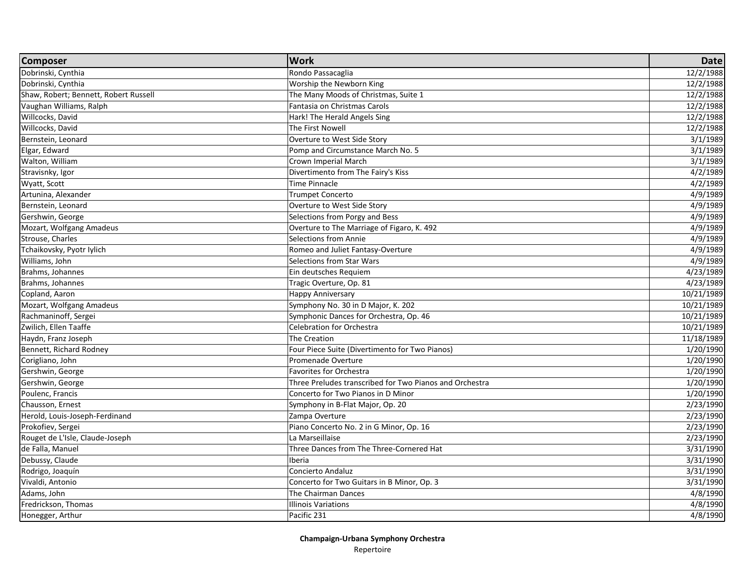| Dobrinski, Cynthia<br>Rondo Passacaglia<br>12/2/1988<br>Dobrinski, Cynthia<br>Worship the Newborn King<br>12/2/1988<br>Shaw, Robert; Bennett, Robert Russell<br>The Many Moods of Christmas, Suite 1<br>12/2/1988<br>Vaughan Williams, Ralph<br>Fantasia on Christmas Carols<br>12/2/1988<br>Willcocks, David<br>Hark! The Herald Angels Sing<br>12/2/1988<br>Willcocks, David<br>The First Nowell<br>12/2/1988<br>Bernstein, Leonard<br>Overture to West Side Story<br>3/1/1989<br>Elgar, Edward<br>Pomp and Circumstance March No. 5<br>3/1/1989<br>Walton, William<br>Crown Imperial March<br>3/1/1989<br>Divertimento from The Fairy's Kiss<br>4/2/1989<br>Stravisnky, Igor<br>Time Pinnacle<br>Wyatt, Scott<br>4/2/1989<br>4/9/1989<br>Artunina, Alexander<br><b>Trumpet Concerto</b><br>4/9/1989<br>Bernstein, Leonard<br>Overture to West Side Story<br>4/9/1989<br>Gershwin, George<br>Selections from Porgy and Bess<br>Overture to The Marriage of Figaro, K. 492<br>4/9/1989<br>Mozart, Wolfgang Amadeus<br>4/9/1989<br>Strouse, Charles<br>Selections from Annie<br>Tchaikovsky, Pyotr Iylich<br>Romeo and Juliet Fantasy-Overture<br>4/9/1989<br>Williams, John<br>$\frac{1}{4}$ 9/1989<br>Selections from Star Wars<br>4/23/1989<br>Brahms, Johannes<br>Ein deutsches Requiem<br>4/23/1989<br>Brahms, Johannes<br>Tragic Overture, Op. 81<br>Copland, Aaron<br>10/21/1989<br><b>Happy Anniversary</b><br>Symphony No. 30 in D Major, K. 202<br>Mozart, Wolfgang Amadeus<br>10/21/1989<br>Rachmaninoff, Sergei<br>Symphonic Dances for Orchestra, Op. 46<br>10/21/1989<br>Zwilich, Ellen Taaffe<br><b>Celebration for Orchestra</b><br>10/21/1989<br>Haydn, Franz Joseph<br>The Creation<br>11/18/1989<br>Bennett, Richard Rodney<br>Four Piece Suite (Divertimento for Two Pianos)<br>1/20/1990<br>Corigliano, John<br>Promenade Overture<br>1/20/1990<br>Gershwin, George<br><b>Favorites for Orchestra</b><br>1/20/1990<br>Three Preludes transcribed for Two Pianos and Orchestra<br>1/20/1990<br>Gershwin, George<br>Concerto for Two Pianos in D Minor<br>Poulenc, Francis<br>1/20/1990<br>Chausson, Ernest<br>2/23/1990<br>Symphony in B-Flat Major, Op. 20<br>Herold, Louis-Joseph-Ferdinand<br>2/23/1990<br>Zampa Overture<br>Prokofiev, Sergei<br>Piano Concerto No. 2 in G Minor, Op. 16<br>2/23/1990<br>Rouget de L'Isle, Claude-Joseph<br>La Marseillaise<br>2/23/1990<br>de Falla, Manuel<br>Three Dances from The Three-Cornered Hat<br>3/31/1990<br>Debussy, Claude<br>Iberia<br>3/31/1990<br>Rodrigo, Joaquín<br>Concierto Andaluz<br>3/31/1990<br>Vivaldi, Antonio<br>Concerto for Two Guitars in B Minor, Op. 3<br>3/31/1990<br>Adams, John<br>The Chairman Dances<br>4/8/1990<br>Fredrickson, Thomas<br>4/8/1990<br><b>Illinois Variations</b><br>4/8/1990<br>Pacific 231 | <b>Composer</b>  | <b>Work</b> | <b>Date</b> |
|------------------------------------------------------------------------------------------------------------------------------------------------------------------------------------------------------------------------------------------------------------------------------------------------------------------------------------------------------------------------------------------------------------------------------------------------------------------------------------------------------------------------------------------------------------------------------------------------------------------------------------------------------------------------------------------------------------------------------------------------------------------------------------------------------------------------------------------------------------------------------------------------------------------------------------------------------------------------------------------------------------------------------------------------------------------------------------------------------------------------------------------------------------------------------------------------------------------------------------------------------------------------------------------------------------------------------------------------------------------------------------------------------------------------------------------------------------------------------------------------------------------------------------------------------------------------------------------------------------------------------------------------------------------------------------------------------------------------------------------------------------------------------------------------------------------------------------------------------------------------------------------------------------------------------------------------------------------------------------------------------------------------------------------------------------------------------------------------------------------------------------------------------------------------------------------------------------------------------------------------------------------------------------------------------------------------------------------------------------------------------------------------------------------------------------------------------------------------------------------------------------------------------------------------------------------------------------------------------------------------------------------------------------------------------------------------------------------------------------------------------------------------------------------------------------|------------------|-------------|-------------|
|                                                                                                                                                                                                                                                                                                                                                                                                                                                                                                                                                                                                                                                                                                                                                                                                                                                                                                                                                                                                                                                                                                                                                                                                                                                                                                                                                                                                                                                                                                                                                                                                                                                                                                                                                                                                                                                                                                                                                                                                                                                                                                                                                                                                                                                                                                                                                                                                                                                                                                                                                                                                                                                                                                                                                                                                            |                  |             |             |
|                                                                                                                                                                                                                                                                                                                                                                                                                                                                                                                                                                                                                                                                                                                                                                                                                                                                                                                                                                                                                                                                                                                                                                                                                                                                                                                                                                                                                                                                                                                                                                                                                                                                                                                                                                                                                                                                                                                                                                                                                                                                                                                                                                                                                                                                                                                                                                                                                                                                                                                                                                                                                                                                                                                                                                                                            |                  |             |             |
|                                                                                                                                                                                                                                                                                                                                                                                                                                                                                                                                                                                                                                                                                                                                                                                                                                                                                                                                                                                                                                                                                                                                                                                                                                                                                                                                                                                                                                                                                                                                                                                                                                                                                                                                                                                                                                                                                                                                                                                                                                                                                                                                                                                                                                                                                                                                                                                                                                                                                                                                                                                                                                                                                                                                                                                                            |                  |             |             |
|                                                                                                                                                                                                                                                                                                                                                                                                                                                                                                                                                                                                                                                                                                                                                                                                                                                                                                                                                                                                                                                                                                                                                                                                                                                                                                                                                                                                                                                                                                                                                                                                                                                                                                                                                                                                                                                                                                                                                                                                                                                                                                                                                                                                                                                                                                                                                                                                                                                                                                                                                                                                                                                                                                                                                                                                            |                  |             |             |
|                                                                                                                                                                                                                                                                                                                                                                                                                                                                                                                                                                                                                                                                                                                                                                                                                                                                                                                                                                                                                                                                                                                                                                                                                                                                                                                                                                                                                                                                                                                                                                                                                                                                                                                                                                                                                                                                                                                                                                                                                                                                                                                                                                                                                                                                                                                                                                                                                                                                                                                                                                                                                                                                                                                                                                                                            |                  |             |             |
|                                                                                                                                                                                                                                                                                                                                                                                                                                                                                                                                                                                                                                                                                                                                                                                                                                                                                                                                                                                                                                                                                                                                                                                                                                                                                                                                                                                                                                                                                                                                                                                                                                                                                                                                                                                                                                                                                                                                                                                                                                                                                                                                                                                                                                                                                                                                                                                                                                                                                                                                                                                                                                                                                                                                                                                                            |                  |             |             |
|                                                                                                                                                                                                                                                                                                                                                                                                                                                                                                                                                                                                                                                                                                                                                                                                                                                                                                                                                                                                                                                                                                                                                                                                                                                                                                                                                                                                                                                                                                                                                                                                                                                                                                                                                                                                                                                                                                                                                                                                                                                                                                                                                                                                                                                                                                                                                                                                                                                                                                                                                                                                                                                                                                                                                                                                            |                  |             |             |
|                                                                                                                                                                                                                                                                                                                                                                                                                                                                                                                                                                                                                                                                                                                                                                                                                                                                                                                                                                                                                                                                                                                                                                                                                                                                                                                                                                                                                                                                                                                                                                                                                                                                                                                                                                                                                                                                                                                                                                                                                                                                                                                                                                                                                                                                                                                                                                                                                                                                                                                                                                                                                                                                                                                                                                                                            |                  |             |             |
|                                                                                                                                                                                                                                                                                                                                                                                                                                                                                                                                                                                                                                                                                                                                                                                                                                                                                                                                                                                                                                                                                                                                                                                                                                                                                                                                                                                                                                                                                                                                                                                                                                                                                                                                                                                                                                                                                                                                                                                                                                                                                                                                                                                                                                                                                                                                                                                                                                                                                                                                                                                                                                                                                                                                                                                                            |                  |             |             |
|                                                                                                                                                                                                                                                                                                                                                                                                                                                                                                                                                                                                                                                                                                                                                                                                                                                                                                                                                                                                                                                                                                                                                                                                                                                                                                                                                                                                                                                                                                                                                                                                                                                                                                                                                                                                                                                                                                                                                                                                                                                                                                                                                                                                                                                                                                                                                                                                                                                                                                                                                                                                                                                                                                                                                                                                            |                  |             |             |
|                                                                                                                                                                                                                                                                                                                                                                                                                                                                                                                                                                                                                                                                                                                                                                                                                                                                                                                                                                                                                                                                                                                                                                                                                                                                                                                                                                                                                                                                                                                                                                                                                                                                                                                                                                                                                                                                                                                                                                                                                                                                                                                                                                                                                                                                                                                                                                                                                                                                                                                                                                                                                                                                                                                                                                                                            |                  |             |             |
|                                                                                                                                                                                                                                                                                                                                                                                                                                                                                                                                                                                                                                                                                                                                                                                                                                                                                                                                                                                                                                                                                                                                                                                                                                                                                                                                                                                                                                                                                                                                                                                                                                                                                                                                                                                                                                                                                                                                                                                                                                                                                                                                                                                                                                                                                                                                                                                                                                                                                                                                                                                                                                                                                                                                                                                                            |                  |             |             |
|                                                                                                                                                                                                                                                                                                                                                                                                                                                                                                                                                                                                                                                                                                                                                                                                                                                                                                                                                                                                                                                                                                                                                                                                                                                                                                                                                                                                                                                                                                                                                                                                                                                                                                                                                                                                                                                                                                                                                                                                                                                                                                                                                                                                                                                                                                                                                                                                                                                                                                                                                                                                                                                                                                                                                                                                            |                  |             |             |
|                                                                                                                                                                                                                                                                                                                                                                                                                                                                                                                                                                                                                                                                                                                                                                                                                                                                                                                                                                                                                                                                                                                                                                                                                                                                                                                                                                                                                                                                                                                                                                                                                                                                                                                                                                                                                                                                                                                                                                                                                                                                                                                                                                                                                                                                                                                                                                                                                                                                                                                                                                                                                                                                                                                                                                                                            |                  |             |             |
|                                                                                                                                                                                                                                                                                                                                                                                                                                                                                                                                                                                                                                                                                                                                                                                                                                                                                                                                                                                                                                                                                                                                                                                                                                                                                                                                                                                                                                                                                                                                                                                                                                                                                                                                                                                                                                                                                                                                                                                                                                                                                                                                                                                                                                                                                                                                                                                                                                                                                                                                                                                                                                                                                                                                                                                                            |                  |             |             |
|                                                                                                                                                                                                                                                                                                                                                                                                                                                                                                                                                                                                                                                                                                                                                                                                                                                                                                                                                                                                                                                                                                                                                                                                                                                                                                                                                                                                                                                                                                                                                                                                                                                                                                                                                                                                                                                                                                                                                                                                                                                                                                                                                                                                                                                                                                                                                                                                                                                                                                                                                                                                                                                                                                                                                                                                            |                  |             |             |
|                                                                                                                                                                                                                                                                                                                                                                                                                                                                                                                                                                                                                                                                                                                                                                                                                                                                                                                                                                                                                                                                                                                                                                                                                                                                                                                                                                                                                                                                                                                                                                                                                                                                                                                                                                                                                                                                                                                                                                                                                                                                                                                                                                                                                                                                                                                                                                                                                                                                                                                                                                                                                                                                                                                                                                                                            |                  |             |             |
|                                                                                                                                                                                                                                                                                                                                                                                                                                                                                                                                                                                                                                                                                                                                                                                                                                                                                                                                                                                                                                                                                                                                                                                                                                                                                                                                                                                                                                                                                                                                                                                                                                                                                                                                                                                                                                                                                                                                                                                                                                                                                                                                                                                                                                                                                                                                                                                                                                                                                                                                                                                                                                                                                                                                                                                                            |                  |             |             |
|                                                                                                                                                                                                                                                                                                                                                                                                                                                                                                                                                                                                                                                                                                                                                                                                                                                                                                                                                                                                                                                                                                                                                                                                                                                                                                                                                                                                                                                                                                                                                                                                                                                                                                                                                                                                                                                                                                                                                                                                                                                                                                                                                                                                                                                                                                                                                                                                                                                                                                                                                                                                                                                                                                                                                                                                            |                  |             |             |
|                                                                                                                                                                                                                                                                                                                                                                                                                                                                                                                                                                                                                                                                                                                                                                                                                                                                                                                                                                                                                                                                                                                                                                                                                                                                                                                                                                                                                                                                                                                                                                                                                                                                                                                                                                                                                                                                                                                                                                                                                                                                                                                                                                                                                                                                                                                                                                                                                                                                                                                                                                                                                                                                                                                                                                                                            |                  |             |             |
|                                                                                                                                                                                                                                                                                                                                                                                                                                                                                                                                                                                                                                                                                                                                                                                                                                                                                                                                                                                                                                                                                                                                                                                                                                                                                                                                                                                                                                                                                                                                                                                                                                                                                                                                                                                                                                                                                                                                                                                                                                                                                                                                                                                                                                                                                                                                                                                                                                                                                                                                                                                                                                                                                                                                                                                                            |                  |             |             |
|                                                                                                                                                                                                                                                                                                                                                                                                                                                                                                                                                                                                                                                                                                                                                                                                                                                                                                                                                                                                                                                                                                                                                                                                                                                                                                                                                                                                                                                                                                                                                                                                                                                                                                                                                                                                                                                                                                                                                                                                                                                                                                                                                                                                                                                                                                                                                                                                                                                                                                                                                                                                                                                                                                                                                                                                            |                  |             |             |
|                                                                                                                                                                                                                                                                                                                                                                                                                                                                                                                                                                                                                                                                                                                                                                                                                                                                                                                                                                                                                                                                                                                                                                                                                                                                                                                                                                                                                                                                                                                                                                                                                                                                                                                                                                                                                                                                                                                                                                                                                                                                                                                                                                                                                                                                                                                                                                                                                                                                                                                                                                                                                                                                                                                                                                                                            |                  |             |             |
|                                                                                                                                                                                                                                                                                                                                                                                                                                                                                                                                                                                                                                                                                                                                                                                                                                                                                                                                                                                                                                                                                                                                                                                                                                                                                                                                                                                                                                                                                                                                                                                                                                                                                                                                                                                                                                                                                                                                                                                                                                                                                                                                                                                                                                                                                                                                                                                                                                                                                                                                                                                                                                                                                                                                                                                                            |                  |             |             |
|                                                                                                                                                                                                                                                                                                                                                                                                                                                                                                                                                                                                                                                                                                                                                                                                                                                                                                                                                                                                                                                                                                                                                                                                                                                                                                                                                                                                                                                                                                                                                                                                                                                                                                                                                                                                                                                                                                                                                                                                                                                                                                                                                                                                                                                                                                                                                                                                                                                                                                                                                                                                                                                                                                                                                                                                            |                  |             |             |
|                                                                                                                                                                                                                                                                                                                                                                                                                                                                                                                                                                                                                                                                                                                                                                                                                                                                                                                                                                                                                                                                                                                                                                                                                                                                                                                                                                                                                                                                                                                                                                                                                                                                                                                                                                                                                                                                                                                                                                                                                                                                                                                                                                                                                                                                                                                                                                                                                                                                                                                                                                                                                                                                                                                                                                                                            |                  |             |             |
|                                                                                                                                                                                                                                                                                                                                                                                                                                                                                                                                                                                                                                                                                                                                                                                                                                                                                                                                                                                                                                                                                                                                                                                                                                                                                                                                                                                                                                                                                                                                                                                                                                                                                                                                                                                                                                                                                                                                                                                                                                                                                                                                                                                                                                                                                                                                                                                                                                                                                                                                                                                                                                                                                                                                                                                                            |                  |             |             |
|                                                                                                                                                                                                                                                                                                                                                                                                                                                                                                                                                                                                                                                                                                                                                                                                                                                                                                                                                                                                                                                                                                                                                                                                                                                                                                                                                                                                                                                                                                                                                                                                                                                                                                                                                                                                                                                                                                                                                                                                                                                                                                                                                                                                                                                                                                                                                                                                                                                                                                                                                                                                                                                                                                                                                                                                            |                  |             |             |
|                                                                                                                                                                                                                                                                                                                                                                                                                                                                                                                                                                                                                                                                                                                                                                                                                                                                                                                                                                                                                                                                                                                                                                                                                                                                                                                                                                                                                                                                                                                                                                                                                                                                                                                                                                                                                                                                                                                                                                                                                                                                                                                                                                                                                                                                                                                                                                                                                                                                                                                                                                                                                                                                                                                                                                                                            |                  |             |             |
|                                                                                                                                                                                                                                                                                                                                                                                                                                                                                                                                                                                                                                                                                                                                                                                                                                                                                                                                                                                                                                                                                                                                                                                                                                                                                                                                                                                                                                                                                                                                                                                                                                                                                                                                                                                                                                                                                                                                                                                                                                                                                                                                                                                                                                                                                                                                                                                                                                                                                                                                                                                                                                                                                                                                                                                                            |                  |             |             |
|                                                                                                                                                                                                                                                                                                                                                                                                                                                                                                                                                                                                                                                                                                                                                                                                                                                                                                                                                                                                                                                                                                                                                                                                                                                                                                                                                                                                                                                                                                                                                                                                                                                                                                                                                                                                                                                                                                                                                                                                                                                                                                                                                                                                                                                                                                                                                                                                                                                                                                                                                                                                                                                                                                                                                                                                            |                  |             |             |
|                                                                                                                                                                                                                                                                                                                                                                                                                                                                                                                                                                                                                                                                                                                                                                                                                                                                                                                                                                                                                                                                                                                                                                                                                                                                                                                                                                                                                                                                                                                                                                                                                                                                                                                                                                                                                                                                                                                                                                                                                                                                                                                                                                                                                                                                                                                                                                                                                                                                                                                                                                                                                                                                                                                                                                                                            |                  |             |             |
|                                                                                                                                                                                                                                                                                                                                                                                                                                                                                                                                                                                                                                                                                                                                                                                                                                                                                                                                                                                                                                                                                                                                                                                                                                                                                                                                                                                                                                                                                                                                                                                                                                                                                                                                                                                                                                                                                                                                                                                                                                                                                                                                                                                                                                                                                                                                                                                                                                                                                                                                                                                                                                                                                                                                                                                                            |                  |             |             |
|                                                                                                                                                                                                                                                                                                                                                                                                                                                                                                                                                                                                                                                                                                                                                                                                                                                                                                                                                                                                                                                                                                                                                                                                                                                                                                                                                                                                                                                                                                                                                                                                                                                                                                                                                                                                                                                                                                                                                                                                                                                                                                                                                                                                                                                                                                                                                                                                                                                                                                                                                                                                                                                                                                                                                                                                            |                  |             |             |
|                                                                                                                                                                                                                                                                                                                                                                                                                                                                                                                                                                                                                                                                                                                                                                                                                                                                                                                                                                                                                                                                                                                                                                                                                                                                                                                                                                                                                                                                                                                                                                                                                                                                                                                                                                                                                                                                                                                                                                                                                                                                                                                                                                                                                                                                                                                                                                                                                                                                                                                                                                                                                                                                                                                                                                                                            |                  |             |             |
|                                                                                                                                                                                                                                                                                                                                                                                                                                                                                                                                                                                                                                                                                                                                                                                                                                                                                                                                                                                                                                                                                                                                                                                                                                                                                                                                                                                                                                                                                                                                                                                                                                                                                                                                                                                                                                                                                                                                                                                                                                                                                                                                                                                                                                                                                                                                                                                                                                                                                                                                                                                                                                                                                                                                                                                                            |                  |             |             |
|                                                                                                                                                                                                                                                                                                                                                                                                                                                                                                                                                                                                                                                                                                                                                                                                                                                                                                                                                                                                                                                                                                                                                                                                                                                                                                                                                                                                                                                                                                                                                                                                                                                                                                                                                                                                                                                                                                                                                                                                                                                                                                                                                                                                                                                                                                                                                                                                                                                                                                                                                                                                                                                                                                                                                                                                            |                  |             |             |
|                                                                                                                                                                                                                                                                                                                                                                                                                                                                                                                                                                                                                                                                                                                                                                                                                                                                                                                                                                                                                                                                                                                                                                                                                                                                                                                                                                                                                                                                                                                                                                                                                                                                                                                                                                                                                                                                                                                                                                                                                                                                                                                                                                                                                                                                                                                                                                                                                                                                                                                                                                                                                                                                                                                                                                                                            |                  |             |             |
|                                                                                                                                                                                                                                                                                                                                                                                                                                                                                                                                                                                                                                                                                                                                                                                                                                                                                                                                                                                                                                                                                                                                                                                                                                                                                                                                                                                                                                                                                                                                                                                                                                                                                                                                                                                                                                                                                                                                                                                                                                                                                                                                                                                                                                                                                                                                                                                                                                                                                                                                                                                                                                                                                                                                                                                                            |                  |             |             |
|                                                                                                                                                                                                                                                                                                                                                                                                                                                                                                                                                                                                                                                                                                                                                                                                                                                                                                                                                                                                                                                                                                                                                                                                                                                                                                                                                                                                                                                                                                                                                                                                                                                                                                                                                                                                                                                                                                                                                                                                                                                                                                                                                                                                                                                                                                                                                                                                                                                                                                                                                                                                                                                                                                                                                                                                            |                  |             |             |
|                                                                                                                                                                                                                                                                                                                                                                                                                                                                                                                                                                                                                                                                                                                                                                                                                                                                                                                                                                                                                                                                                                                                                                                                                                                                                                                                                                                                                                                                                                                                                                                                                                                                                                                                                                                                                                                                                                                                                                                                                                                                                                                                                                                                                                                                                                                                                                                                                                                                                                                                                                                                                                                                                                                                                                                                            | Honegger, Arthur |             |             |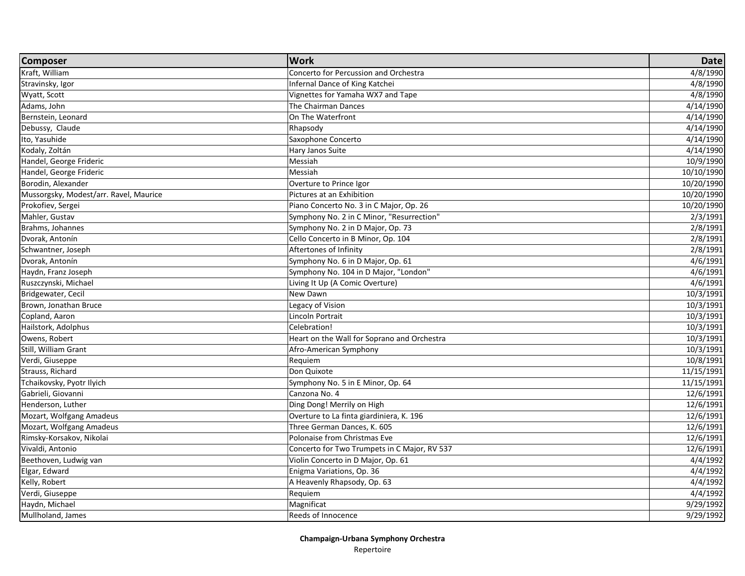| <b>Composer</b>                        | <b>Work</b>                                  | <b>Date</b> |
|----------------------------------------|----------------------------------------------|-------------|
| Kraft, William                         | Concerto for Percussion and Orchestra        | 4/8/1990    |
| Stravinsky, Igor                       | Infernal Dance of King Katchei               | 4/8/1990    |
| Wyatt, Scott                           | Vignettes for Yamaha WX7 and Tape            | 4/8/1990    |
| Adams, John                            | The Chairman Dances                          | 4/14/1990   |
| Bernstein, Leonard                     | On The Waterfront                            | 4/14/1990   |
| Debussy, Claude                        | Rhapsody                                     | 4/14/1990   |
| Ito, Yasuhide                          | Saxophone Concerto                           | 4/14/1990   |
| Kodaly, Zoltán                         | Hary Janos Suite                             | 4/14/1990   |
| Handel, George Frideric                | Messiah                                      | 10/9/1990   |
| Handel, George Frideric                | Messiah                                      | 10/10/1990  |
| Borodin, Alexander                     | Overture to Prince Igor                      | 10/20/1990  |
| Mussorgsky, Modest/arr. Ravel, Maurice | Pictures at an Exhibition                    | 10/20/1990  |
| Prokofiev, Sergei                      | Piano Concerto No. 3 in C Major, Op. 26      | 10/20/1990  |
| Mahler, Gustav                         | Symphony No. 2 in C Minor, "Resurrection"    | 2/3/1991    |
| Brahms, Johannes                       | Symphony No. 2 in D Major, Op. 73            | 2/8/1991    |
| Dvorak, Antonín                        | Cello Concerto in B Minor, Op. 104           | 2/8/1991    |
| Schwantner, Joseph                     | Aftertones of Infinity                       | 2/8/1991    |
| Dvorak, Antonín                        | Symphony No. 6 in D Major, Op. 61            | 4/6/1991    |
| Haydn, Franz Joseph                    | Symphony No. 104 in D Major, "London"        | 4/6/1991    |
| Ruszczynski, Michael                   | Living It Up (A Comic Overture)              | 4/6/1991    |
| Bridgewater, Cecil                     | New Dawn                                     | 10/3/1991   |
| Brown, Jonathan Bruce                  | Legacy of Vision                             | 10/3/1991   |
| Copland, Aaron                         | Lincoln Portrait                             | 10/3/1991   |
| Hailstork, Adolphus                    | Celebration!                                 | 10/3/1991   |
| Owens, Robert                          | Heart on the Wall for Soprano and Orchestra  | 10/3/1991   |
| Still, William Grant                   | Afro-American Symphony                       | 10/3/1991   |
| Verdi, Giuseppe                        | Requiem                                      | 10/8/1991   |
| <b>Strauss, Richard</b>                | Don Quixote                                  | 11/15/1991  |
| Tchaikovsky, Pyotr Ilyich              | Symphony No. 5 in E Minor, Op. 64            | 11/15/1991  |
| Gabrieli, Giovanni                     | Canzona No. 4                                | 12/6/1991   |
| Henderson, Luther                      | Ding Dong! Merrily on High                   | 12/6/1991   |
| Mozart, Wolfgang Amadeus               | Overture to La finta giardiniera, K. 196     | 12/6/1991   |
| Mozart, Wolfgang Amadeus               | Three German Dances, K. 605                  | 12/6/1991   |
| Rimsky-Korsakov, Nikolai               | Polonaise from Christmas Eve                 | 12/6/1991   |
| Vivaldi, Antonio                       | Concerto for Two Trumpets in C Major, RV 537 | 12/6/1991   |
| Beethoven, Ludwig van                  | Violin Concerto in D Major, Op. 61           | 4/4/1992    |
| Elgar, Edward                          | Enigma Variations, Op. 36                    | 4/4/1992    |
| Kelly, Robert                          | A Heavenly Rhapsody, Op. 63                  | 4/4/1992    |
| Verdi, Giuseppe                        | Requiem                                      | 4/4/1992    |
| Haydn, Michael                         | Magnificat                                   | 9/29/1992   |
| Mullholand, James                      | Reeds of Innocence                           | 9/29/1992   |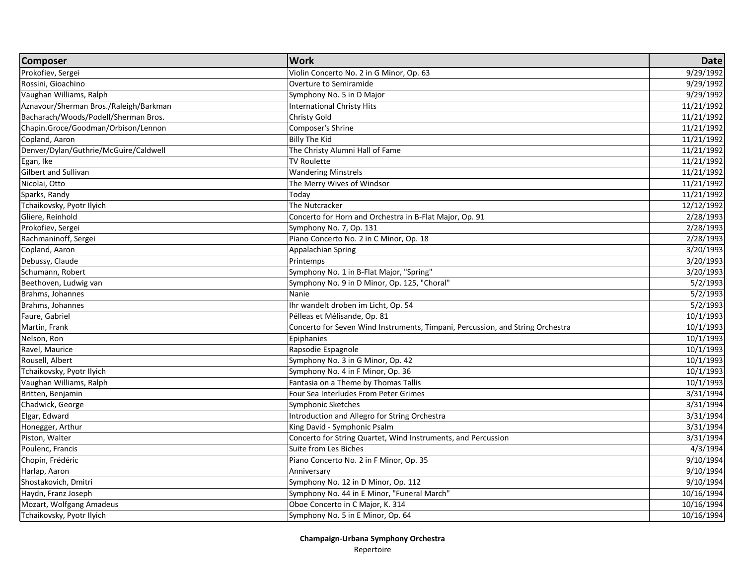| <b>Composer</b><br>Prokofiev, Sergei<br>9/29/1992<br>Violin Concerto No. 2 in G Minor, Op. 63<br>Rossini, Gioachino<br>Overture to Semiramide<br>9/29/1992<br>Vaughan Williams, Ralph<br>9/29/1992<br>Symphony No. 5 in D Major<br>Aznavour/Sherman Bros./Raleigh/Barkman<br><b>International Christy Hits</b><br>11/21/1992<br>Bacharach/Woods/Podell/Sherman Bros.<br>Christy Gold<br>11/21/1992 |
|----------------------------------------------------------------------------------------------------------------------------------------------------------------------------------------------------------------------------------------------------------------------------------------------------------------------------------------------------------------------------------------------------|
|                                                                                                                                                                                                                                                                                                                                                                                                    |
|                                                                                                                                                                                                                                                                                                                                                                                                    |
|                                                                                                                                                                                                                                                                                                                                                                                                    |
|                                                                                                                                                                                                                                                                                                                                                                                                    |
|                                                                                                                                                                                                                                                                                                                                                                                                    |
| Chapin.Groce/Goodman/Orbison/Lennon<br>Composer's Shrine<br>11/21/1992                                                                                                                                                                                                                                                                                                                             |
| Billy The Kid<br>11/21/1992<br>Copland, Aaron                                                                                                                                                                                                                                                                                                                                                      |
| Denver/Dylan/Guthrie/McGuire/Caldwell<br>The Christy Alumni Hall of Fame<br>11/21/1992                                                                                                                                                                                                                                                                                                             |
| <b>TV Roulette</b><br>Egan, Ike<br>11/21/1992                                                                                                                                                                                                                                                                                                                                                      |
| Gilbert and Sullivan<br><b>Wandering Minstrels</b><br>11/21/1992                                                                                                                                                                                                                                                                                                                                   |
| Nicolai, Otto<br>The Merry Wives of Windsor<br>11/21/1992                                                                                                                                                                                                                                                                                                                                          |
| Sparks, Randy<br>11/21/1992<br>Today                                                                                                                                                                                                                                                                                                                                                               |
| Tchaikovsky, Pyotr Ilyich<br>12/12/1992<br>The Nutcracker                                                                                                                                                                                                                                                                                                                                          |
| Gliere, Reinhold<br>2/28/1993<br>Concerto for Horn and Orchestra in B-Flat Major, Op. 91                                                                                                                                                                                                                                                                                                           |
| Prokofiev, Sergei<br>2/28/1993<br>Symphony No. 7, Op. 131                                                                                                                                                                                                                                                                                                                                          |
| Rachmaninoff, Sergei<br>Piano Concerto No. 2 in C Minor, Op. 18<br>2/28/1993                                                                                                                                                                                                                                                                                                                       |
| Copland, Aaron<br>3/20/1993<br>Appalachian Spring                                                                                                                                                                                                                                                                                                                                                  |
| Debussy, Claude<br>Printemps<br>3/20/1993                                                                                                                                                                                                                                                                                                                                                          |
| 3/20/1993<br>Schumann, Robert<br>Symphony No. 1 in B-Flat Major, "Spring"                                                                                                                                                                                                                                                                                                                          |
| Beethoven, Ludwig van<br>Symphony No. 9 in D Minor, Op. 125, "Choral"<br>5/2/1993                                                                                                                                                                                                                                                                                                                  |
| Brahms, Johannes<br>Nanie<br>5/2/1993                                                                                                                                                                                                                                                                                                                                                              |
| Brahms, Johannes<br>Ihr wandelt droben im Licht, Op. 54<br>5/2/1993                                                                                                                                                                                                                                                                                                                                |
| Faure, Gabriel<br>Pélleas et Mélisande, Op. 81<br>10/1/1993                                                                                                                                                                                                                                                                                                                                        |
| Martin, Frank<br>Concerto for Seven Wind Instruments, Timpani, Percussion, and String Orchestra<br>10/1/1993                                                                                                                                                                                                                                                                                       |
| Nelson, Ron<br>Epiphanies<br>10/1/1993                                                                                                                                                                                                                                                                                                                                                             |
| Ravel, Maurice<br>10/1/1993<br>Rapsodie Espagnole                                                                                                                                                                                                                                                                                                                                                  |
| Rousell, Albert<br>Symphony No. 3 in G Minor, Op. 42<br>10/1/1993                                                                                                                                                                                                                                                                                                                                  |
| Tchaikovsky, Pyotr Ilyich<br>Symphony No. 4 in F Minor, Op. 36<br>10/1/1993                                                                                                                                                                                                                                                                                                                        |
| Vaughan Williams, Ralph<br>Fantasia on a Theme by Thomas Tallis<br>10/1/1993                                                                                                                                                                                                                                                                                                                       |
| Britten, Benjamin<br>Four Sea Interludes From Peter Grimes<br>3/31/1994                                                                                                                                                                                                                                                                                                                            |
| 3/31/1994<br>Chadwick, George<br>Symphonic Sketches                                                                                                                                                                                                                                                                                                                                                |
| Elgar, Edward<br>Introduction and Allegro for String Orchestra<br>3/31/1994                                                                                                                                                                                                                                                                                                                        |
| Honegger, Arthur<br>King David - Symphonic Psalm<br>3/31/1994                                                                                                                                                                                                                                                                                                                                      |
| Piston, Walter<br>Concerto for String Quartet, Wind Instruments, and Percussion<br>3/31/1994                                                                                                                                                                                                                                                                                                       |
| Poulenc, Francis<br>Suite from Les Biches<br>4/3/1994                                                                                                                                                                                                                                                                                                                                              |
| 9/10/1994<br>Chopin, Frédéric<br>Piano Concerto No. 2 in F Minor, Op. 35                                                                                                                                                                                                                                                                                                                           |
| Harlap, Aaron<br>9/10/1994<br>Anniversary                                                                                                                                                                                                                                                                                                                                                          |
| Shostakovich, Dmitri<br>9/10/1994<br>Symphony No. 12 in D Minor, Op. 112                                                                                                                                                                                                                                                                                                                           |
| Symphony No. 44 in E Minor, "Funeral March"<br>Haydn, Franz Joseph<br>10/16/1994                                                                                                                                                                                                                                                                                                                   |
| Mozart, Wolfgang Amadeus<br>Oboe Concerto in C Major, K. 314<br>10/16/1994                                                                                                                                                                                                                                                                                                                         |
| Tchaikovsky, Pyotr Ilyich<br>Symphony No. 5 in E Minor, Op. 64<br>10/16/1994                                                                                                                                                                                                                                                                                                                       |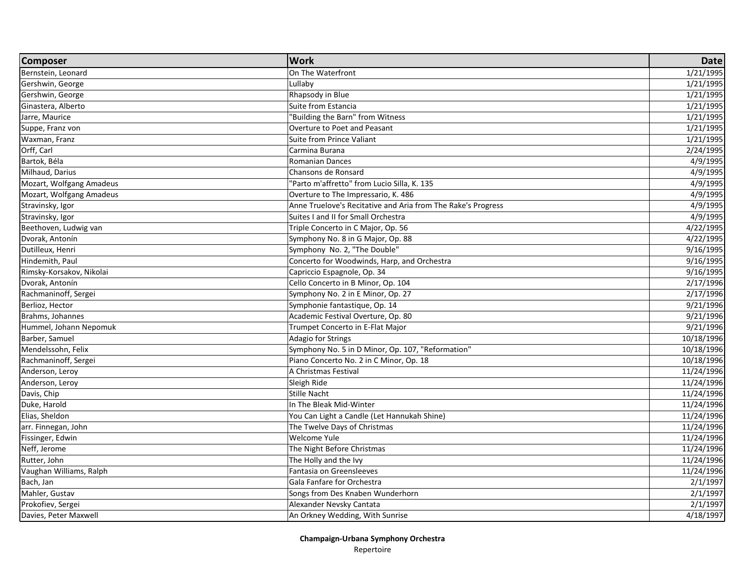| <b>Composer</b>          | <b>Work</b>                                                  | <b>Date</b>             |
|--------------------------|--------------------------------------------------------------|-------------------------|
| Bernstein, Leonard       | On The Waterfront                                            | 1/21/1995               |
| Gershwin, George         | Lullaby                                                      | 1/21/1995               |
| Gershwin, George         | Rhapsody in Blue                                             | 1/21/1995               |
| Ginastera, Alberto       | Suite from Estancia                                          | 1/21/1995               |
| Jarre, Maurice           | "Building the Barn" from Witness                             | 1/21/1995               |
| Suppe, Franz von         | Overture to Poet and Peasant                                 | 1/21/1995               |
| Waxman, Franz            | Suite from Prince Valiant                                    | 1/21/1995               |
| Orff, Carl               | Carmina Burana                                               | 2/24/1995               |
| Bartok, Béla             | <b>Romanian Dances</b>                                       | 4/9/1995                |
| Milhaud, Darius          | Chansons de Ronsard                                          | 4/9/1995                |
| Mozart, Wolfgang Amadeus | "Parto m'affretto" from Lucio Silla, K. 135                  | 4/9/1995                |
| Mozart, Wolfgang Amadeus | Overture to The Impressario, K. 486                          | 4/9/1995                |
| Stravinsky, Igor         | Anne Truelove's Recitative and Aria from The Rake's Progress | 4/9/1995                |
| Stravinsky, Igor         | Suites I and II for Small Orchestra                          | 4/9/1995                |
| Beethoven, Ludwig van    | Triple Concerto in C Major, Op. 56                           | 4/22/1995               |
| Dvorak, Antonín          | Symphony No. 8 in G Major, Op. 88                            | 4/22/1995               |
| Dutilleux, Henri         | Symphony No. 2, "The Double"                                 | 9/16/1995               |
| Hindemith, Paul          | Concerto for Woodwinds, Harp, and Orchestra                  | 9/16/1995               |
| Rimsky-Korsakov, Nikolai | Capriccio Espagnole, Op. 34                                  | 9/16/1995               |
| Dvorak, Antonín          | Cello Concerto in B Minor, Op. 104                           | 2/17/1996               |
| Rachmaninoff, Sergei     | Symphony No. 2 in E Minor, Op. 27                            | $\frac{1}{2}$ /17/1996  |
| Berlioz, Hector          | Symphonie fantastique, Op. 14                                | 9/21/1996               |
| Brahms, Johannes         | Academic Festival Overture, Op. 80                           | 9/21/1996               |
| Hummel, Johann Nepomuk   | Trumpet Concerto in E-Flat Major                             | 9/21/1996               |
| Barber, Samuel           | Adagio for Strings                                           | 10/18/1996              |
| Mendelssohn, Felix       | Symphony No. 5 in D Minor, Op. 107, "Reformation"            | 10/18/1996              |
| Rachmaninoff, Sergei     | Piano Concerto No. 2 in C Minor, Op. 18                      | 10/18/1996              |
| Anderson, Leroy          | A Christmas Festival                                         | 11/24/1996              |
| Anderson, Leroy          | Sleigh Ride                                                  | 11/24/1996              |
| Davis, Chip              | <b>Stille Nacht</b>                                          | 11/24/1996              |
| Duke, Harold             | In The Bleak Mid-Winter                                      | 11/24/1996              |
| Elias, Sheldon           | You Can Light a Candle (Let Hannukah Shine)                  | 11/24/1996              |
| arr. Finnegan, John      | The Twelve Days of Christmas                                 | 11/24/1996              |
| Fissinger, Edwin         | Welcome Yule                                                 | 11/24/1996              |
| Neff, Jerome             | The Night Before Christmas                                   | 11/24/1996              |
| Rutter, John             | The Holly and the Ivy                                        | 11/24/1996              |
| Vaughan Williams, Ralph  | Fantasia on Greensleeves                                     | $\overline{11}/24/1996$ |
| Bach, Jan                | Gala Fanfare for Orchestra                                   | 2/1/1997                |
| Mahler, Gustav           | Songs from Des Knaben Wunderhorn                             | 2/1/1997                |
| Prokofiev, Sergei        | Alexander Nevsky Cantata                                     | 2/1/1997                |
| Davies, Peter Maxwell    | An Orkney Wedding, With Sunrise                              | 4/18/1997               |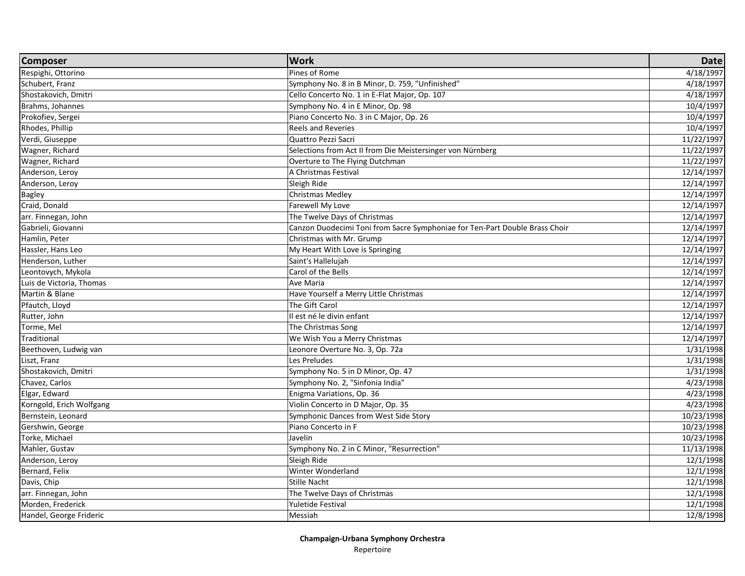| <b>Composer</b>          | <b>Work</b>                                                                 | <b>Date</b> |
|--------------------------|-----------------------------------------------------------------------------|-------------|
| Respighi, Ottorino       | Pines of Rome                                                               | 4/18/1997   |
| Schubert, Franz          | Symphony No. 8 in B Minor, D. 759, "Unfinished"                             | 4/18/1997   |
| Shostakovich, Dmitri     | Cello Concerto No. 1 in E-Flat Major, Op. 107                               | 4/18/1997   |
| Brahms, Johannes         | Symphony No. 4 in E Minor, Op. 98                                           | 10/4/1997   |
| Prokofiev, Sergei        | Piano Concerto No. 3 in C Major, Op. 26                                     | 10/4/1997   |
| Rhodes, Phillip          | <b>Reels and Reveries</b>                                                   | 10/4/1997   |
| Verdi, Giuseppe          | Quattro Pezzi Sacri                                                         | 11/22/1997  |
| Wagner, Richard          | Selections from Act II from Die Meistersinger von Nürnberg                  | 11/22/1997  |
| Wagner, Richard          | Overture to The Flying Dutchman                                             | 11/22/1997  |
| Anderson, Leroy          | A Christmas Festival                                                        | 12/14/1997  |
| Anderson, Leroy          | Sleigh Ride                                                                 | 12/14/1997  |
| Bagley                   | Christmas Medley                                                            | 12/14/1997  |
| Craid, Donald            | Farewell My Love                                                            | 12/14/1997  |
| arr. Finnegan, John      | The Twelve Days of Christmas                                                | 12/14/1997  |
| Gabrieli, Giovanni       | Canzon Duodecimi Toni from Sacre Symphoniae for Ten-Part Double Brass Choir | 12/14/1997  |
| Hamlin, Peter            | Christmas with Mr. Grump                                                    | 12/14/1997  |
| Hassler, Hans Leo        | My Heart With Love is Springing                                             | 12/14/1997  |
| Henderson, Luther        | Saint's Hallelujah                                                          | 12/14/1997  |
| Leontovych, Mykola       | Carol of the Bells                                                          | 12/14/1997  |
| Luis de Victoria, Thomas | Ave Maria                                                                   | 12/14/1997  |
| Martin & Blane           | Have Yourself a Merry Little Christmas                                      | 12/14/1997  |
| Pfautch, Lloyd           | The Gift Carol                                                              | 12/14/1997  |
| Rutter, John             | Il est né le divin enfant                                                   | 12/14/1997  |
| Torme, Mel               | The Christmas Song                                                          | 12/14/1997  |
| Traditional              | We Wish You a Merry Christmas                                               | 12/14/1997  |
| Beethoven, Ludwig van    | Leonore Overture No. 3, Op. 72a                                             | 1/31/1998   |
| Liszt, Franz             | Les Preludes                                                                | 1/31/1998   |
| Shostakovich, Dmitri     | Symphony No. 5 in D Minor, Op. 47                                           | 1/31/1998   |
| Chavez, Carlos           | Symphony No. 2, "Sinfonia India"                                            | 4/23/1998   |
| Elgar, Edward            | Enigma Variations, Op. 36                                                   | 4/23/1998   |
| Korngold, Erich Wolfgang | Violin Concerto in D Major, Op. 35                                          | 4/23/1998   |
| Bernstein, Leonard       | Symphonic Dances from West Side Story                                       | 10/23/1998  |
| Gershwin, George         | Piano Concerto in F                                                         | 10/23/1998  |
| Torke, Michael           | Javelin                                                                     | 10/23/1998  |
| Mahler, Gustav           | Symphony No. 2 in C Minor, "Resurrection"                                   | 11/13/1998  |
| Anderson, Leroy          | Sleigh Ride                                                                 | 12/1/1998   |
| Bernard, Felix           | Winter Wonderland                                                           | 12/1/1998   |
| Davis, Chip              | Stille Nacht                                                                | 12/1/1998   |
| arr. Finnegan, John      | The Twelve Days of Christmas                                                | 12/1/1998   |
| Morden, Frederick        | Yuletide Festival                                                           | 12/1/1998   |
| Handel, George Frideric  | Messiah                                                                     | 12/8/1998   |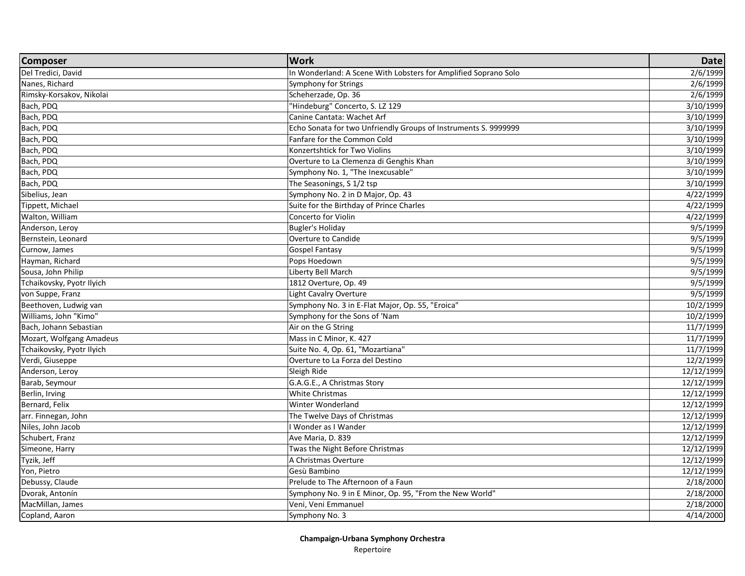| <b>Composer</b>           | <b>Work</b>                                                     | <b>Date</b> |
|---------------------------|-----------------------------------------------------------------|-------------|
| Del Tredici, David        | In Wonderland: A Scene With Lobsters for Amplified Soprano Solo | 2/6/1999    |
| Nanes, Richard            | Symphony for Strings                                            | 2/6/1999    |
| Rimsky-Korsakov, Nikolai  | Scheherzade, Op. 36                                             | 2/6/1999    |
| Bach, PDQ                 | "Hindeburg" Concerto, S. LZ 129                                 | 3/10/1999   |
| Bach, PDQ                 | Canine Cantata: Wachet Arf                                      | 3/10/1999   |
| Bach, PDQ                 | Echo Sonata for two Unfriendly Groups of Instruments S. 9999999 | 3/10/1999   |
| Bach, PDQ                 | Fanfare for the Common Cold                                     | 3/10/1999   |
| Bach, PDQ                 | Konzertshtick for Two Violins                                   | 3/10/1999   |
| Bach, PDQ                 | Overture to La Clemenza di Genghis Khan                         | 3/10/1999   |
| Bach, PDQ                 | Symphony No. 1, "The Inexcusable"                               | 3/10/1999   |
| Bach, PDQ                 | The Seasonings, S 1/2 tsp                                       | 3/10/1999   |
| Sibelius, Jean            | Symphony No. 2 in D Major, Op. 43                               | 4/22/1999   |
| Tippett, Michael          | Suite for the Birthday of Prince Charles                        | 4/22/1999   |
| Walton, William           | Concerto for Violin                                             | 4/22/1999   |
| Anderson, Leroy           | Bugler's Holiday                                                | 9/5/1999    |
| Bernstein, Leonard        | Overture to Candide                                             | 9/5/1999    |
| Curnow, James             | <b>Gospel Fantasy</b>                                           | 9/5/1999    |
| Hayman, Richard           | Pops Hoedown                                                    | 9/5/1999    |
| Sousa, John Philip        | Liberty Bell March                                              | 9/5/1999    |
| Tchaikovsky, Pyotr Ilyich | 1812 Overture, Op. 49                                           | 9/5/1999    |
| von Suppe, Franz          | <b>Light Cavalry Overture</b>                                   | 9/5/1999    |
| Beethoven, Ludwig van     | Symphony No. 3 in E-Flat Major, Op. 55, "Eroica"                | 10/2/1999   |
| Williams, John "Kimo"     | Symphony for the Sons of 'Nam                                   | 10/2/1999   |
| Bach, Johann Sebastian    | Air on the G String                                             | 11/7/1999   |
| Mozart, Wolfgang Amadeus  | Mass in C Minor, K. 427                                         | 11/7/1999   |
| Tchaikovsky, Pyotr Ilyich | Suite No. 4, Op. 61, "Mozartiana"                               | 11/7/1999   |
| Verdi, Giuseppe           | Overture to La Forza del Destino                                | 12/2/1999   |
| Anderson, Leroy           | Sleigh Ride                                                     | 12/12/1999  |
| Barab, Seymour            | G.A.G.E., A Christmas Story                                     | 12/12/1999  |
| Berlin, Irving            | <b>White Christmas</b>                                          | 12/12/1999  |
| Bernard, Felix            | <b>Winter Wonderland</b>                                        | 12/12/1999  |
| arr. Finnegan, John       | The Twelve Days of Christmas                                    | 12/12/1999  |
| Niles, John Jacob         | I Wonder as I Wander                                            | 12/12/1999  |
| Schubert, Franz           | Ave Maria, D. 839                                               | 12/12/1999  |
| Simeone, Harry            | Twas the Night Before Christmas                                 | 12/12/1999  |
| Tyzik, Jeff               | A Christmas Overture                                            | 12/12/1999  |
| Yon, Pietro               | Gesù Bambino                                                    | 12/12/1999  |
| Debussy, Claude           | Prelude to The Afternoon of a Faun                              | 2/18/2000   |
| Dvorak, Antonín           | Symphony No. 9 in E Minor, Op. 95, "From the New World"         | 2/18/2000   |
| MacMillan, James          | Veni, Veni Emmanuel                                             | 2/18/2000   |
| Copland, Aaron            | Symphony No. 3                                                  | 4/14/2000   |
|                           |                                                                 |             |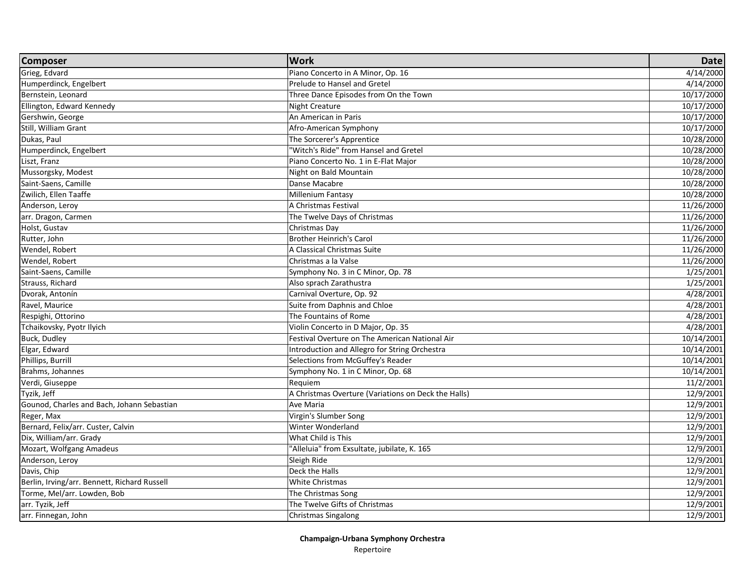| <b>Composer</b>                              | <b>Work</b>                                         | Date       |
|----------------------------------------------|-----------------------------------------------------|------------|
| Grieg, Edvard                                | Piano Concerto in A Minor, Op. 16                   | 4/14/2000  |
| Humperdinck, Engelbert                       | Prelude to Hansel and Gretel                        | 4/14/2000  |
| Bernstein, Leonard                           | Three Dance Episodes from On the Town               | 10/17/2000 |
| Ellington, Edward Kennedy                    | <b>Night Creature</b>                               | 10/17/2000 |
| Gershwin, George                             | An American in Paris                                | 10/17/2000 |
| Still, William Grant                         | Afro-American Symphony                              | 10/17/2000 |
| Dukas, Paul                                  | The Sorcerer's Apprentice                           | 10/28/2000 |
| Humperdinck, Engelbert                       | "Witch's Ride" from Hansel and Gretel               | 10/28/2000 |
| Liszt, Franz                                 | Piano Concerto No. 1 in E-Flat Major                | 10/28/2000 |
| Mussorgsky, Modest                           | Night on Bald Mountain                              | 10/28/2000 |
| Saint-Saens, Camille                         | Danse Macabre                                       | 10/28/2000 |
| Zwilich, Ellen Taaffe                        | <b>Millenium Fantasy</b>                            | 10/28/2000 |
| Anderson, Leroy                              | A Christmas Festival                                | 11/26/2000 |
| arr. Dragon, Carmen                          | The Twelve Days of Christmas                        | 11/26/2000 |
| Holst, Gustav                                | Christmas Day                                       | 11/26/2000 |
| Rutter, John                                 | <b>Brother Heinrich's Carol</b>                     | 11/26/2000 |
| Wendel, Robert                               | A Classical Christmas Suite                         | 11/26/2000 |
| Wendel, Robert                               | Christmas a la Valse                                | 11/26/2000 |
| Saint-Saens, Camille                         | Symphony No. 3 in C Minor, Op. 78                   | 1/25/2001  |
| Strauss, Richard                             | Also sprach Zarathustra                             | 1/25/2001  |
| Dvorak, Antonín                              | Carnival Overture, Op. 92                           | 4/28/2001  |
| Ravel, Maurice                               | Suite from Daphnis and Chloe                        | 4/28/2001  |
| Respighi, Ottorino                           | The Fountains of Rome                               | 4/28/2001  |
| Tchaikovsky, Pyotr Ilyich                    | Violin Concerto in D Major, Op. 35                  | 4/28/2001  |
| Buck, Dudley                                 | Festival Overture on The American National Air      | 10/14/2001 |
| Elgar, Edward                                | Introduction and Allegro for String Orchestra       | 10/14/2001 |
| Phillips, Burrill                            | Selections from McGuffey's Reader                   | 10/14/2001 |
| Brahms, Johannes                             | Symphony No. 1 in C Minor, Op. 68                   | 10/14/2001 |
| Verdi, Giuseppe                              | Requiem                                             | 11/2/2001  |
| Tyzik, Jeff                                  | A Christmas Overture (Variations on Deck the Halls) | 12/9/2001  |
| Gounod, Charles and Bach, Johann Sebastian   | Ave Maria                                           | 12/9/2001  |
| Reger, Max                                   | Virgin's Slumber Song                               | 12/9/2001  |
| Bernard, Felix/arr. Custer, Calvin           | Winter Wonderland                                   | 12/9/2001  |
| Dix, William/arr. Grady                      | What Child is This                                  | 12/9/2001  |
| Mozart, Wolfgang Amadeus                     | "Alleluia" from Exsultate, jubilate, K. 165         | 12/9/2001  |
| Anderson, Leroy                              | Sleigh Ride                                         | 12/9/2001  |
| Davis, Chip                                  | Deck the Halls                                      | 12/9/2001  |
| Berlin, Irving/arr. Bennett, Richard Russell | <b>White Christmas</b>                              | 12/9/2001  |
| Torme, Mel/arr. Lowden, Bob                  | The Christmas Song                                  | 12/9/2001  |
| arr. Tyzik, Jeff                             | The Twelve Gifts of Christmas                       | 12/9/2001  |
| arr. Finnegan, John                          | <b>Christmas Singalong</b>                          | 12/9/2001  |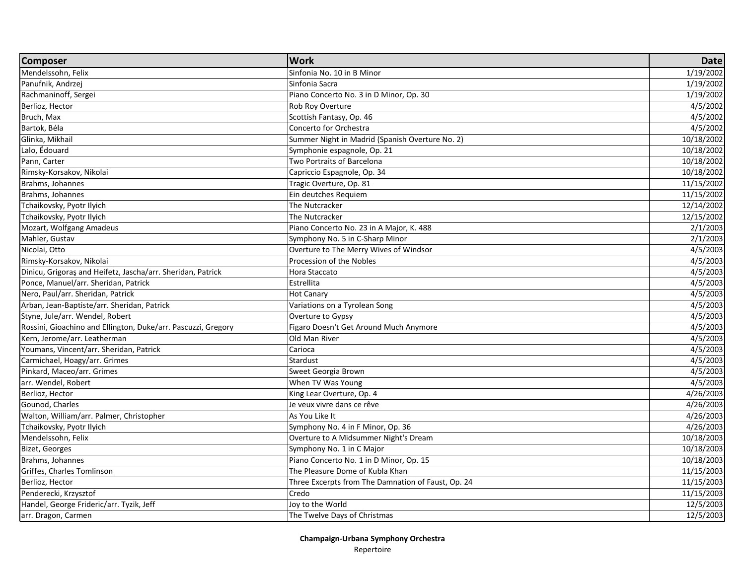| <b>Composer</b>                                               | <b>Work</b>                                        | <b>Date</b> |
|---------------------------------------------------------------|----------------------------------------------------|-------------|
| Mendelssohn, Felix                                            | Sinfonia No. 10 in B Minor                         | 1/19/2002   |
| Panufnik, Andrzej                                             | Sinfonia Sacra                                     | 1/19/2002   |
| Rachmaninoff, Sergei                                          | Piano Concerto No. 3 in D Minor, Op. 30            | 1/19/2002   |
| Berlioz, Hector                                               | Rob Roy Overture                                   | 4/5/2002    |
| Bruch, Max                                                    | Scottish Fantasy, Op. 46                           | 4/5/2002    |
| Bartok, Béla                                                  | Concerto for Orchestra                             | 4/5/2002    |
| Glinka, Mikhail                                               | Summer Night in Madrid (Spanish Overture No. 2)    | 10/18/2002  |
| Lalo, Édouard                                                 | Symphonie espagnole, Op. 21                        | 10/18/2002  |
| Pann, Carter                                                  | Two Portraits of Barcelona                         | 10/18/2002  |
| Rimsky-Korsakov, Nikolai                                      | Capriccio Espagnole, Op. 34                        | 10/18/2002  |
| Brahms, Johannes                                              | Tragic Overture, Op. 81                            | 11/15/2002  |
| Brahms, Johannes                                              | Ein deutches Requiem                               | 11/15/2002  |
| Tchaikovsky, Pyotr Ilyich                                     | The Nutcracker                                     | 12/14/2002  |
| Tchaikovsky, Pyotr Ilyich                                     | The Nutcracker                                     | 12/15/2002  |
| Mozart, Wolfgang Amadeus                                      | Piano Concerto No. 23 in A Major, K. 488           | 2/1/2003    |
| Mahler, Gustav                                                | Symphony No. 5 in C-Sharp Minor                    | 2/1/2003    |
| Nicolai, Otto                                                 | Overture to The Merry Wives of Windsor             | 4/5/2003    |
| Rimsky-Korsakov, Nikolai                                      | Procession of the Nobles                           | 4/5/2003    |
| Dinicu, Grigoraș and Heifetz, Jascha/arr. Sheridan, Patrick   | Hora Staccato                                      | 4/5/2003    |
| Ponce, Manuel/arr. Sheridan, Patrick                          | Estrellita                                         | 4/5/2003    |
| Nero, Paul/arr. Sheridan, Patrick                             | <b>Hot Canary</b>                                  | 4/5/2003    |
| Arban, Jean-Baptiste/arr. Sheridan, Patrick                   | Variations on a Tyrolean Song                      | 4/5/2003    |
| Styne, Jule/arr. Wendel, Robert                               | Overture to Gypsy                                  | 4/5/2003    |
| Rossini, Gioachino and Ellington, Duke/arr. Pascuzzi, Gregory | Figaro Doesn't Get Around Much Anymore             | 4/5/2003    |
| Kern, Jerome/arr. Leatherman                                  | Old Man River                                      | 4/5/2003    |
| Youmans, Vincent/arr. Sheridan, Patrick                       | Carioca                                            | 4/5/2003    |
| Carmichael, Hoagy/arr. Grimes                                 | Stardust                                           | 4/5/2003    |
| Pinkard, Maceo/arr. Grimes                                    | Sweet Georgia Brown                                | 4/5/2003    |
| arr. Wendel, Robert                                           | When TV Was Young                                  | 4/5/2003    |
| Berlioz, Hector                                               | King Lear Overture, Op. 4                          | 4/26/2003   |
| Gounod, Charles                                               | Je veux vivre dans ce rêve                         | 4/26/2003   |
| Walton, William/arr. Palmer, Christopher                      | As You Like It                                     | 4/26/2003   |
| Tchaikovsky, Pyotr Ilyich                                     | Symphony No. 4 in F Minor, Op. 36                  | 4/26/2003   |
| Mendelssohn, Felix                                            | Overture to A Midsummer Night's Dream              | 10/18/2003  |
| Bizet, Georges                                                | Symphony No. 1 in C Major                          | 10/18/2003  |
| Brahms, Johannes                                              | Piano Concerto No. 1 in D Minor, Op. 15            | 10/18/2003  |
| Griffes, Charles Tomlinson                                    | The Pleasure Dome of Kubla Khan                    | 11/15/2003  |
| Berlioz, Hector                                               | Three Excerpts from The Damnation of Faust, Op. 24 | 11/15/2003  |
| Penderecki, Krzysztof                                         | Credo                                              | 11/15/2003  |
| Handel, George Frideric/arr. Tyzik, Jeff                      | Joy to the World                                   | 12/5/2003   |
| arr. Dragon, Carmen                                           | The Twelve Days of Christmas                       | 12/5/2003   |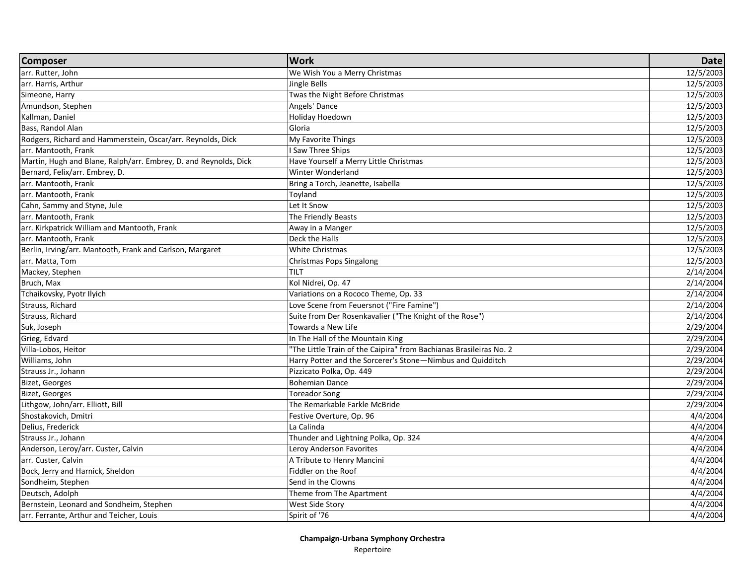| <b>Composer</b>                                                  | <b>Work</b>                                                        | <b>Date</b> |
|------------------------------------------------------------------|--------------------------------------------------------------------|-------------|
| arr. Rutter, John                                                | We Wish You a Merry Christmas                                      | 12/5/2003   |
| arr. Harris, Arthur                                              | Jingle Bells                                                       | 12/5/2003   |
| Simeone, Harry                                                   | Twas the Night Before Christmas                                    | 12/5/2003   |
| Amundson, Stephen                                                | Angels' Dance                                                      | 12/5/2003   |
| Kallman, Daniel                                                  | Holiday Hoedown                                                    | 12/5/2003   |
| Bass, Randol Alan                                                | Gloria                                                             | 12/5/2003   |
| Rodgers, Richard and Hammerstein, Oscar/arr. Reynolds, Dick      | My Favorite Things                                                 | 12/5/2003   |
| arr. Mantooth, Frank                                             | <b>Saw Three Ships</b>                                             | 12/5/2003   |
| Martin, Hugh and Blane, Ralph/arr. Embrey, D. and Reynolds, Dick | Have Yourself a Merry Little Christmas                             | 12/5/2003   |
| Bernard, Felix/arr. Embrey, D.                                   | Winter Wonderland                                                  | 12/5/2003   |
| arr. Mantooth, Frank                                             | Bring a Torch, Jeanette, Isabella                                  | 12/5/2003   |
| arr. Mantooth, Frank                                             | Toyland                                                            | 12/5/2003   |
| Cahn, Sammy and Styne, Jule                                      | Let It Snow                                                        | 12/5/2003   |
| arr. Mantooth, Frank                                             | The Friendly Beasts                                                | 12/5/2003   |
| arr. Kirkpatrick William and Mantooth, Frank                     | Away in a Manger                                                   | 12/5/2003   |
| arr. Mantooth, Frank                                             | Deck the Halls                                                     | 12/5/2003   |
| Berlin, Irving/arr. Mantooth, Frank and Carlson, Margaret        | White Christmas                                                    | 12/5/2003   |
| arr. Matta, Tom                                                  | Christmas Pops Singalong                                           | 12/5/2003   |
| Mackey, Stephen                                                  | TILT                                                               | 2/14/2004   |
| Bruch, Max                                                       | Kol Nidrei, Op. 47                                                 | 2/14/2004   |
| Tchaikovsky, Pyotr Ilyich                                        | Variations on a Rococo Theme, Op. 33                               | 2/14/2004   |
| Strauss, Richard                                                 | Love Scene from Feuersnot ("Fire Famine")                          | 2/14/2004   |
| Strauss, Richard                                                 | Suite from Der Rosenkavalier ("The Knight of the Rose")            | 2/14/2004   |
| Suk, Joseph                                                      | Towards a New Life                                                 | 2/29/2004   |
| Grieg, Edvard                                                    | In The Hall of the Mountain King                                   | 2/29/2004   |
| Villa-Lobos, Heitor                                              | "The Little Train of the Caipira" from Bachianas Brasileiras No. 2 | 2/29/2004   |
| Williams, John                                                   | Harry Potter and the Sorcerer's Stone-Nimbus and Quidditch         | 2/29/2004   |
| Strauss Jr., Johann                                              | Pizzicato Polka, Op. 449                                           | 2/29/2004   |
| <b>Bizet, Georges</b>                                            | <b>Bohemian Dance</b>                                              | 2/29/2004   |
| <b>Bizet, Georges</b>                                            | Toreador Song                                                      | 2/29/2004   |
| Lithgow, John/arr. Elliott, Bill                                 | The Remarkable Farkle McBride                                      | 2/29/2004   |
| Shostakovich, Dmitri                                             | Festive Overture, Op. 96                                           | 4/4/2004    |
| Delius, Frederick                                                | La Calinda                                                         | 4/4/2004    |
| Strauss Jr., Johann                                              | Thunder and Lightning Polka, Op. 324                               | 4/4/2004    |
| Anderson, Leroy/arr. Custer, Calvin                              | Leroy Anderson Favorites                                           | 4/4/2004    |
| arr. Custer, Calvin                                              | A Tribute to Henry Mancini                                         | 4/4/2004    |
| Bock, Jerry and Harnick, Sheldon                                 | Fiddler on the Roof                                                | 4/4/2004    |
| Sondheim, Stephen                                                | Send in the Clowns                                                 | 4/4/2004    |
| Deutsch, Adolph                                                  | Theme from The Apartment                                           | 4/4/2004    |
| Bernstein, Leonard and Sondheim, Stephen                         | West Side Story                                                    | 4/4/2004    |
| arr. Ferrante, Arthur and Teicher, Louis                         | Spirit of '76                                                      | 4/4/2004    |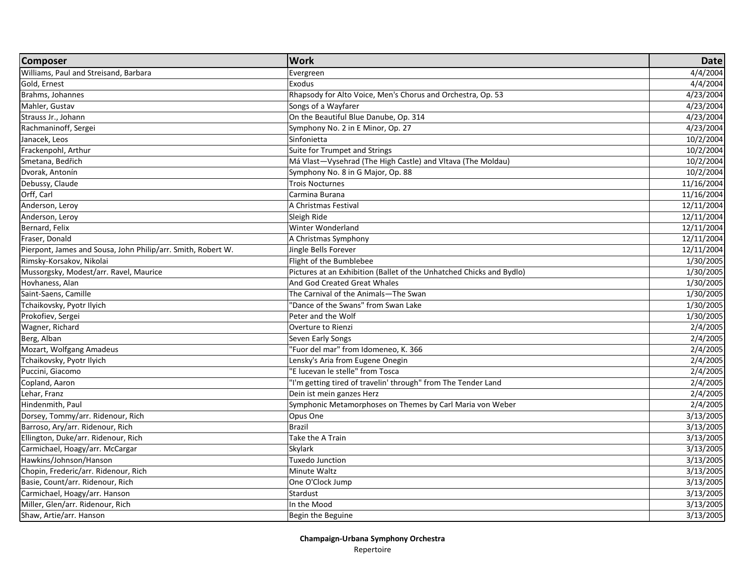| <b>Composer</b>                                              | <b>Work</b>                                                          | <b>Date</b> |
|--------------------------------------------------------------|----------------------------------------------------------------------|-------------|
| Williams, Paul and Streisand, Barbara                        | Evergreen                                                            | 4/4/2004    |
| Gold, Ernest                                                 | Exodus                                                               | 4/4/2004    |
| Brahms, Johannes                                             | Rhapsody for Alto Voice, Men's Chorus and Orchestra, Op. 53          | 4/23/2004   |
| Mahler, Gustav                                               | Songs of a Wayfarer                                                  | 4/23/2004   |
| Strauss Jr., Johann                                          | On the Beautiful Blue Danube, Op. 314                                | 4/23/2004   |
| Rachmaninoff, Sergei                                         | Symphony No. 2 in E Minor, Op. 27                                    | 4/23/2004   |
| Janacek, Leos                                                | Sinfonietta                                                          | 10/2/2004   |
| Frackenpohl, Arthur                                          | Suite for Trumpet and Strings                                        | 10/2/2004   |
| Smetana, Bedřich                                             | Má Vlast-Vysehrad (The High Castle) and Vltava (The Moldau)          | 10/2/2004   |
| Dvorak, Antonín                                              | Symphony No. 8 in G Major, Op. 88                                    | 10/2/2004   |
| Debussy, Claude                                              | <b>Trois Nocturnes</b>                                               | 11/16/2004  |
| Orff, Carl                                                   | Carmina Burana                                                       | 11/16/2004  |
| Anderson, Leroy                                              | A Christmas Festival                                                 | 12/11/2004  |
| Anderson, Leroy                                              | Sleigh Ride                                                          | 12/11/2004  |
| Bernard, Felix                                               | Winter Wonderland                                                    | 12/11/2004  |
| Fraser, Donald                                               | A Christmas Symphony                                                 | 12/11/2004  |
| Pierpont, James and Sousa, John Philip/arr. Smith, Robert W. | Jingle Bells Forever                                                 | 12/11/2004  |
| Rimsky-Korsakov, Nikolai                                     | Flight of the Bumblebee                                              | 1/30/2005   |
| Mussorgsky, Modest/arr. Ravel, Maurice                       | Pictures at an Exhibition (Ballet of the Unhatched Chicks and Bydlo) | 1/30/2005   |
| Hovhaness, Alan                                              | And God Created Great Whales                                         | 1/30/2005   |
| Saint-Saens, Camille                                         | The Carnival of the Animals-The Swan                                 | 1/30/2005   |
| Tchaikovsky, Pyotr Ilyich                                    | 'Dance of the Swans" from Swan Lake                                  | 1/30/2005   |
| Prokofiev, Sergei                                            | Peter and the Wolf                                                   | 1/30/2005   |
| Wagner, Richard                                              | Overture to Rienzi                                                   | 2/4/2005    |
| Berg, Alban                                                  | Seven Early Songs                                                    | 2/4/2005    |
| Mozart, Wolfgang Amadeus                                     | "Fuor del mar" from Idomeneo, K. 366                                 | 2/4/2005    |
| Tchaikovsky, Pyotr Ilyich                                    | Lensky's Aria from Eugene Onegin                                     | 2/4/2005    |
| Puccini, Giacomo                                             | "E lucevan le stelle" from Tosca                                     | 2/4/2005    |
| Copland, Aaron                                               | "I'm getting tired of travelin' through" from The Tender Land        | 2/4/2005    |
| Lehar, Franz                                                 | Dein ist mein ganzes Herz                                            | 2/4/2005    |
| Hindenmith, Paul                                             | Symphonic Metamorphoses on Themes by Carl Maria von Weber            | 2/4/2005    |
| Dorsey, Tommy/arr. Ridenour, Rich                            | Opus One                                                             | 3/13/2005   |
| Barroso, Ary/arr. Ridenour, Rich                             | <b>Brazil</b>                                                        | 3/13/2005   |
| Ellington, Duke/arr. Ridenour, Rich                          | Take the A Train                                                     | 3/13/2005   |
| Carmichael, Hoagy/arr. McCargar                              | Skylark                                                              | 3/13/2005   |
| Hawkins/Johnson/Hanson                                       | Tuxedo Junction                                                      | 3/13/2005   |
| Chopin, Frederic/arr. Ridenour, Rich                         | Minute Waltz                                                         | 3/13/2005   |
| Basie, Count/arr. Ridenour, Rich                             | One O'Clock Jump                                                     | 3/13/2005   |
| Carmichael, Hoagy/arr. Hanson                                | Stardust                                                             | 3/13/2005   |
| Miller, Glen/arr. Ridenour, Rich                             | In the Mood                                                          | 3/13/2005   |
| Shaw, Artie/arr. Hanson                                      | Begin the Beguine                                                    | 3/13/2005   |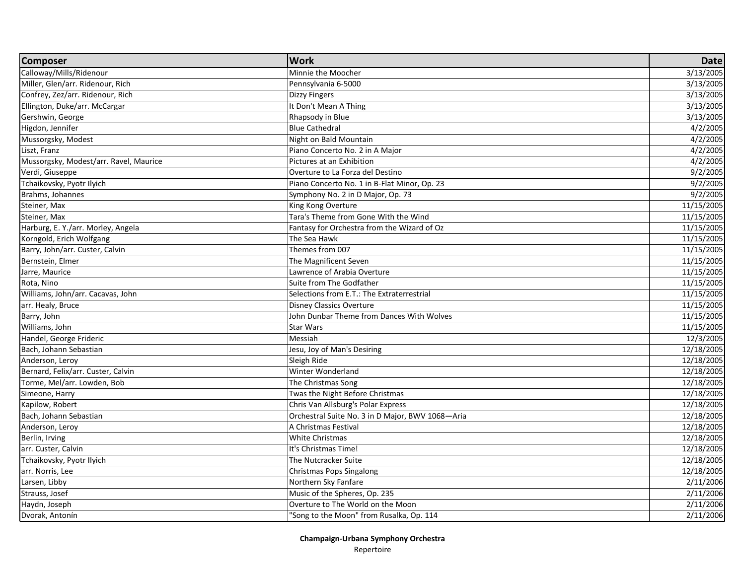| <b>Composer</b>                        | <b>Work</b>                                      | <b>Date</b> |
|----------------------------------------|--------------------------------------------------|-------------|
| Calloway/Mills/Ridenour                | Minnie the Moocher                               | 3/13/2005   |
| Miller, Glen/arr. Ridenour, Rich       | Pennsylvania 6-5000                              | 3/13/2005   |
| Confrey, Zez/arr. Ridenour, Rich       | Dizzy Fingers                                    | 3/13/2005   |
| Ellington, Duke/arr. McCargar          | It Don't Mean A Thing                            | 3/13/2005   |
| Gershwin, George                       | Rhapsody in Blue                                 | 3/13/2005   |
| Higdon, Jennifer                       | <b>Blue Cathedral</b>                            | 4/2/2005    |
| Mussorgsky, Modest                     | Night on Bald Mountain                           | 4/2/2005    |
| Liszt, Franz                           | Piano Concerto No. 2 in A Major                  | 4/2/2005    |
| Mussorgsky, Modest/arr. Ravel, Maurice | Pictures at an Exhibition                        | 4/2/2005    |
| Verdi, Giuseppe                        | Overture to La Forza del Destino                 | 9/2/2005    |
| Tchaikovsky, Pyotr Ilyich              | Piano Concerto No. 1 in B-Flat Minor, Op. 23     | 9/2/2005    |
| Brahms, Johannes                       | Symphony No. 2 in D Major, Op. 73                | 9/2/2005    |
| Steiner, Max                           | King Kong Overture                               | 11/15/2005  |
| Steiner, Max                           | Tara's Theme from Gone With the Wind             | 11/15/2005  |
| Harburg, E. Y./arr. Morley, Angela     | Fantasy for Orchestra from the Wizard of Oz      | 11/15/2005  |
| Korngold, Erich Wolfgang               | The Sea Hawk                                     | 11/15/2005  |
| Barry, John/arr. Custer, Calvin        | Themes from 007                                  | 11/15/2005  |
| Bernstein, Elmer                       | The Magnificent Seven                            | 11/15/2005  |
| Jarre, Maurice                         | Lawrence of Arabia Overture                      | 11/15/2005  |
| Rota, Nino                             | Suite from The Godfather                         | 11/15/2005  |
| Williams, John/arr. Cacavas, John      | Selections from E.T.: The Extraterrestrial       | 11/15/2005  |
| arr. Healy, Bruce                      | <b>Disney Classics Overture</b>                  | 11/15/2005  |
| Barry, John                            | John Dunbar Theme from Dances With Wolves        | 11/15/2005  |
| Williams, John                         | <b>Star Wars</b>                                 | 11/15/2005  |
| Handel, George Frideric                | Messiah                                          | 12/3/2005   |
| Bach, Johann Sebastian                 | Jesu, Joy of Man's Desiring                      | 12/18/2005  |
| Anderson, Leroy                        | Sleigh Ride                                      | 12/18/2005  |
| Bernard, Felix/arr. Custer, Calvin     | Winter Wonderland                                | 12/18/2005  |
| Torme, Mel/arr. Lowden, Bob            | The Christmas Song                               | 12/18/2005  |
| Simeone, Harry                         | Twas the Night Before Christmas                  | 12/18/2005  |
| Kapilow, Robert                        | Chris Van Allsburg's Polar Express               | 12/18/2005  |
| Bach, Johann Sebastian                 | Orchestral Suite No. 3 in D Major, BWV 1068-Aria | 12/18/2005  |
| Anderson, Leroy                        | A Christmas Festival                             | 12/18/2005  |
| Berlin, Irving                         | <b>White Christmas</b>                           | 12/18/2005  |
| arr. Custer, Calvin                    | It's Christmas Time!                             | 12/18/2005  |
| Tchaikovsky, Pyotr Ilyich              | The Nutcracker Suite                             | 12/18/2005  |
| arr. Norris, Lee                       | Christmas Pops Singalong                         | 12/18/2005  |
| Larsen, Libby                          | Northern Sky Fanfare                             | 2/11/2006   |
| Strauss, Josef                         | Music of the Spheres, Op. 235                    | 2/11/2006   |
| Haydn, Joseph                          | Overture to The World on the Moon                | 2/11/2006   |
| Dvorak, Antonín                        | "Song to the Moon" from Rusalka, Op. 114         | 2/11/2006   |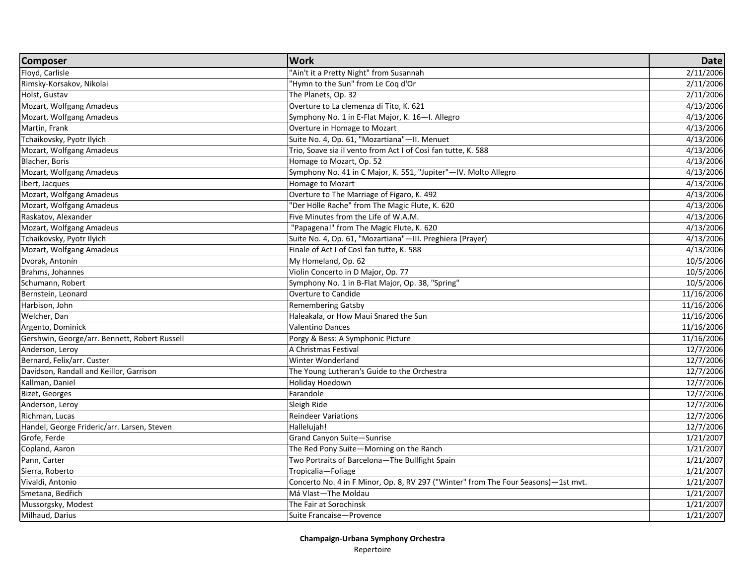| <b>Composer</b>                               | <b>Work</b>                                                                        | <b>Date</b> |
|-----------------------------------------------|------------------------------------------------------------------------------------|-------------|
| Floyd, Carlisle                               | "Ain't it a Pretty Night" from Susannah                                            | 2/11/2006   |
| Rimsky-Korsakov, Nikolai                      | "Hymn to the Sun" from Le Coq d'Or                                                 | 2/11/2006   |
| Holst, Gustav                                 | The Planets, Op. 32                                                                | 2/11/2006   |
| Mozart, Wolfgang Amadeus                      | Overture to La clemenza di Tito, K. 621                                            | 4/13/2006   |
| Mozart, Wolfgang Amadeus                      | Symphony No. 1 in E-Flat Major, K. 16-I. Allegro                                   | 4/13/2006   |
| Martin, Frank                                 | Overture in Homage to Mozart                                                       | 4/13/2006   |
| Tchaikovsky, Pyotr Ilyich                     | Suite No. 4, Op. 61, "Mozartiana"-II. Menuet                                       | 4/13/2006   |
| Mozart, Wolfgang Amadeus                      | Trio, Soave sia il vento from Act I of Così fan tutte, K. 588                      | 4/13/2006   |
| Blacher, Boris                                | Homage to Mozart, Op. 52                                                           | 4/13/2006   |
| Mozart, Wolfgang Amadeus                      | Symphony No. 41 in C Major, K. 551, "Jupiter"-IV. Molto Allegro                    | 4/13/2006   |
| Ibert, Jacques                                | Homage to Mozart                                                                   | 4/13/2006   |
| Mozart, Wolfgang Amadeus                      | Overture to The Marriage of Figaro, K. 492                                         | 4/13/2006   |
| Mozart, Wolfgang Amadeus                      | "Der Hölle Rache" from The Magic Flute, K. 620                                     | 4/13/2006   |
| Raskatov, Alexander                           | Five Minutes from the Life of W.A.M.                                               | 4/13/2006   |
| Mozart, Wolfgang Amadeus                      | "Papagena!" from The Magic Flute, K. 620                                           | 4/13/2006   |
| Tchaikovsky, Pyotr Ilyich                     | Suite No. 4, Op. 61, "Mozartiana"-III. Preghiera (Prayer)                          | 4/13/2006   |
| Mozart, Wolfgang Amadeus                      | Finale of Act I of Così fan tutte, K. 588                                          | 4/13/2006   |
| Dvorak, Antonín                               | My Homeland, Op. 62                                                                | 10/5/2006   |
| Brahms, Johannes                              | Violin Concerto in D Major, Op. 77                                                 | 10/5/2006   |
| Schumann, Robert                              | Symphony No. 1 in B-Flat Major, Op. 38, "Spring"                                   | 10/5/2006   |
| Bernstein, Leonard                            | Overture to Candide                                                                | 11/16/2006  |
| Harbison, John                                | <b>Remembering Gatsby</b>                                                          | 11/16/2006  |
| Welcher, Dan                                  | Haleakala, or How Maui Snared the Sun                                              | 11/16/2006  |
| Argento, Dominick                             | <b>Valentino Dances</b>                                                            | 11/16/2006  |
| Gershwin, George/arr. Bennett, Robert Russell | Porgy & Bess: A Symphonic Picture                                                  | 11/16/2006  |
| Anderson, Leroy                               | A Christmas Festival                                                               | 12/7/2006   |
| Bernard, Felix/arr. Custer                    | Winter Wonderland                                                                  | 12/7/2006   |
| Davidson, Randall and Keillor, Garrison       | The Young Lutheran's Guide to the Orchestra                                        | 12/7/2006   |
| Kallman, Daniel                               | Holiday Hoedown                                                                    | 12/7/2006   |
| Bizet, Georges                                | Farandole                                                                          | 12/7/2006   |
| Anderson, Leroy                               | Sleigh Ride                                                                        | 12/7/2006   |
| Richman, Lucas                                | <b>Reindeer Variations</b>                                                         | 12/7/2006   |
| Handel, George Frideric/arr. Larsen, Steven   | Hallelujah!                                                                        | 12/7/2006   |
| Grofe, Ferde                                  | Grand Canyon Suite-Sunrise                                                         | 1/21/2007   |
| Copland, Aaron                                | The Red Pony Suite-Morning on the Ranch                                            | 1/21/2007   |
| Pann, Carter                                  | Two Portraits of Barcelona-The Bullfight Spain                                     | 1/21/2007   |
| Sierra, Roberto                               | Tropicalia-Foliage                                                                 | 1/21/2007   |
| Vivaldi, Antonio                              | Concerto No. 4 in F Minor, Op. 8, RV 297 ("Winter" from The Four Seasons)-1st mvt. | 1/21/2007   |
| Smetana, Bedřich                              | Má Vlast-The Moldau                                                                | 1/21/2007   |
| Mussorgsky, Modest                            | The Fair at Sorochinsk                                                             | 1/21/2007   |
| Milhaud, Darius                               | Suite Francaise-Provence                                                           | 1/21/2007   |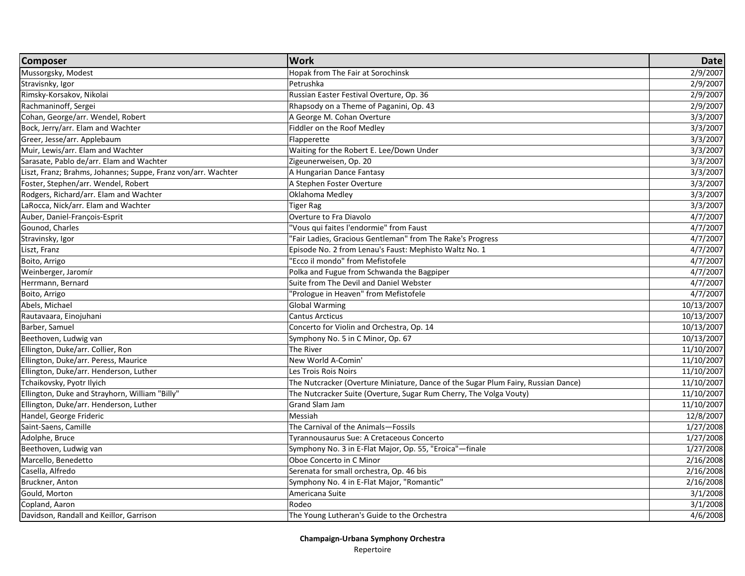| <b>Composer</b>                                               | <b>Work</b>                                                                       | <b>Date</b>           |
|---------------------------------------------------------------|-----------------------------------------------------------------------------------|-----------------------|
| Mussorgsky, Modest                                            | Hopak from The Fair at Sorochinsk                                                 | 2/9/2007              |
| Stravisnky, Igor                                              | Petrushka                                                                         | $\frac{1}{2}$ /9/2007 |
| Rimsky-Korsakov, Nikolai                                      | Russian Easter Festival Overture, Op. 36                                          | 2/9/2007              |
| Rachmaninoff, Sergei                                          | Rhapsody on a Theme of Paganini, Op. 43                                           | 2/9/2007              |
| Cohan, George/arr. Wendel, Robert                             | A George M. Cohan Overture                                                        | 3/3/2007              |
| Bock, Jerry/arr. Elam and Wachter                             | Fiddler on the Roof Medley                                                        | 3/3/2007              |
| Greer, Jesse/arr. Applebaum                                   | Flapperette                                                                       | 3/3/2007              |
| Muir, Lewis/arr. Elam and Wachter                             | Waiting for the Robert E. Lee/Down Under                                          | 3/3/2007              |
| Sarasate, Pablo de/arr. Elam and Wachter                      | Zigeunerweisen, Op. 20                                                            | 3/3/2007              |
| Liszt, Franz; Brahms, Johannes; Suppe, Franz von/arr. Wachter | A Hungarian Dance Fantasy                                                         | 3/3/2007              |
| Foster, Stephen/arr. Wendel, Robert                           | A Stephen Foster Overture                                                         | 3/3/2007              |
| Rodgers, Richard/arr. Elam and Wachter                        | Oklahoma Medley                                                                   | 3/3/2007              |
| LaRocca, Nick/arr. Elam and Wachter                           | Tiger Rag                                                                         | 3/3/2007              |
| Auber, Daniel-François-Esprit                                 | Overture to Fra Diavolo                                                           | 4/7/2007              |
| Gounod, Charles                                               | "Vous qui faites l'endormie" from Faust                                           | 4/7/2007              |
| Stravinsky, Igor                                              | "Fair Ladies, Gracious Gentleman" from The Rake's Progress                        | 4/7/2007              |
| Liszt, Franz                                                  | Episode No. 2 from Lenau's Faust: Mephisto Waltz No. 1                            | 4/7/2007              |
| Boito, Arrigo                                                 | "Ecco il mondo" from Mefistofele                                                  | 4/7/2007              |
| Weinberger, Jaromír                                           | Polka and Fugue from Schwanda the Bagpiper                                        | 4/7/2007              |
| Herrmann, Bernard                                             | Suite from The Devil and Daniel Webster                                           | 4/7/2007              |
| Boito, Arrigo                                                 | "Prologue in Heaven" from Mefistofele                                             | 4/7/2007              |
| Abels, Michael                                                | <b>Global Warming</b>                                                             | 10/13/2007            |
| Rautavaara, Einojuhani                                        | <b>Cantus Arcticus</b>                                                            | 10/13/2007            |
| Barber, Samuel                                                | Concerto for Violin and Orchestra, Op. 14                                         | 10/13/2007            |
| Beethoven, Ludwig van                                         | Symphony No. 5 in C Minor, Op. 67                                                 | 10/13/2007            |
| Ellington, Duke/arr. Collier, Ron                             | The River                                                                         | 11/10/2007            |
| Ellington, Duke/arr. Peress, Maurice                          | New World A-Comin'                                                                | 11/10/2007            |
| Ellington, Duke/arr. Henderson, Luther                        | Les Trois Rois Noirs                                                              | 11/10/2007            |
| Tchaikovsky, Pyotr Ilyich                                     | The Nutcracker (Overture Miniature, Dance of the Sugar Plum Fairy, Russian Dance) | 11/10/2007            |
| Ellington, Duke and Strayhorn, William "Billy"                | The Nutcracker Suite (Overture, Sugar Rum Cherry, The Volga Vouty)                | 11/10/2007            |
| Ellington, Duke/arr. Henderson, Luther                        | Grand Slam Jam                                                                    | 11/10/2007            |
| Handel, George Frideric                                       | Messiah                                                                           | 12/8/2007             |
| Saint-Saens, Camille                                          | The Carnival of the Animals-Fossils                                               | 1/27/2008             |
| Adolphe, Bruce                                                | Tyrannousaurus Sue: A Cretaceous Concerto                                         | 1/27/2008             |
| Beethoven, Ludwig van                                         | Symphony No. 3 in E-Flat Major, Op. 55, "Eroica"-finale                           | 1/27/2008             |
| Marcello, Benedetto                                           | Oboe Concerto in C Minor                                                          | 2/16/2008             |
| Casella, Alfredo                                              | Serenata for small orchestra, Op. 46 bis                                          | 2/16/2008             |
| Bruckner, Anton                                               | Symphony No. 4 in E-Flat Major, "Romantic"                                        | 2/16/2008             |
| Gould, Morton                                                 | Americana Suite                                                                   | 3/1/2008              |
| Copland, Aaron                                                | Rodeo                                                                             | 3/1/2008              |
| Davidson, Randall and Keillor, Garrison                       | The Young Lutheran's Guide to the Orchestra                                       | 4/6/2008              |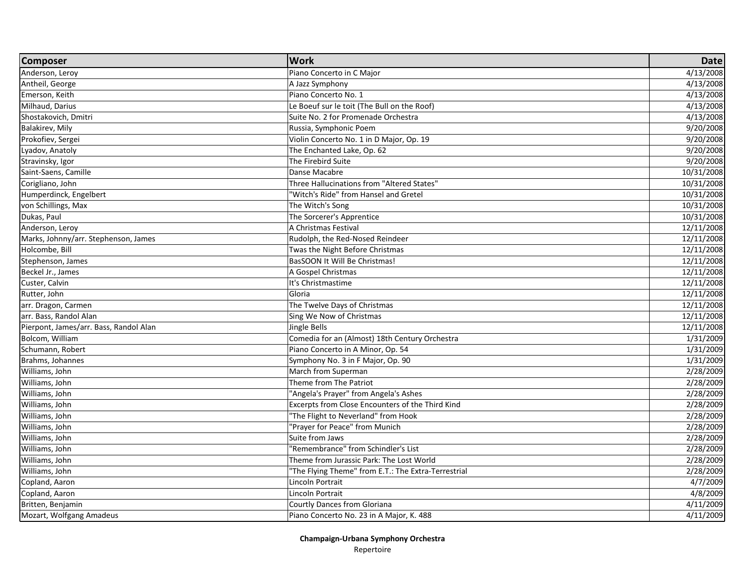| <b>Composer</b>                        | <b>Work</b>                                         | <b>Date</b> |
|----------------------------------------|-----------------------------------------------------|-------------|
| Anderson, Leroy                        | Piano Concerto in C Major                           | 4/13/2008   |
| Antheil, George                        | A Jazz Symphony                                     | 4/13/2008   |
| Emerson, Keith                         | Piano Concerto No. 1                                | 4/13/2008   |
| Milhaud, Darius                        | Le Boeuf sur le toit (The Bull on the Roof)         | 4/13/2008   |
| Shostakovich, Dmitri                   | Suite No. 2 for Promenade Orchestra                 | 4/13/2008   |
| Balakirev, Mily                        | Russia, Symphonic Poem                              | 9/20/2008   |
| Prokofiev, Sergei                      | Violin Concerto No. 1 in D Major, Op. 19            | 9/20/2008   |
| Lyadov, Anatoly                        | The Enchanted Lake, Op. 62                          | 9/20/2008   |
| Stravinsky, Igor                       | The Firebird Suite                                  | 9/20/2008   |
| Saint-Saens, Camille                   | Danse Macabre                                       | 10/31/2008  |
| Corigliano, John                       | Three Hallucinations from "Altered States"          | 10/31/2008  |
| Humperdinck, Engelbert                 | "Witch's Ride" from Hansel and Gretel               | 10/31/2008  |
| von Schillings, Max                    | The Witch's Song                                    | 10/31/2008  |
| Dukas, Paul                            | The Sorcerer's Apprentice                           | 10/31/2008  |
| Anderson, Leroy                        | A Christmas Festival                                | 12/11/2008  |
| Marks, Johnny/arr. Stephenson, James   | Rudolph, the Red-Nosed Reindeer                     | 12/11/2008  |
| Holcombe, Bill                         | Twas the Night Before Christmas                     | 12/11/2008  |
| Stephenson, James                      | BasSOON It Will Be Christmas!                       | 12/11/2008  |
| Beckel Jr., James                      | A Gospel Christmas                                  | 12/11/2008  |
| Custer, Calvin                         | It's Christmastime                                  | 12/11/2008  |
| Rutter, John                           | Gloria                                              | 12/11/2008  |
| arr. Dragon, Carmen                    | The Twelve Days of Christmas                        | 12/11/2008  |
| arr. Bass, Randol Alan                 | Sing We Now of Christmas                            | 12/11/2008  |
| Pierpont, James/arr. Bass, Randol Alan | Jingle Bells                                        | 12/11/2008  |
| Bolcom, William                        | Comedia for an (Almost) 18th Century Orchestra      | 1/31/2009   |
| Schumann, Robert                       | Piano Concerto in A Minor, Op. 54                   | 1/31/2009   |
| Brahms, Johannes                       | Symphony No. 3 in F Major, Op. 90                   | 1/31/2009   |
| Williams, John                         | March from Superman                                 | 2/28/2009   |
| Williams, John                         | Theme from The Patriot                              | 2/28/2009   |
| Williams, John                         | "Angela's Prayer" from Angela's Ashes               | 2/28/2009   |
| Williams, John                         | Excerpts from Close Encounters of the Third Kind    | 2/28/2009   |
| Williams, John                         | 'The Flight to Neverland" from Hook                 | 2/28/2009   |
| Williams, John                         | "Prayer for Peace" from Munich                      | 2/28/2009   |
| Williams, John                         | Suite from Jaws                                     | 2/28/2009   |
| Williams, John                         | 'Remembrance" from Schindler's List                 | 2/28/2009   |
| Williams, John                         | Theme from Jurassic Park: The Lost World            | 2/28/2009   |
| Williams, John                         | "The Flying Theme" from E.T.: The Extra-Terrestrial | 2/28/2009   |
| Copland, Aaron                         | Lincoln Portrait                                    | 4/7/2009    |
| Copland, Aaron                         | Lincoln Portrait                                    | 4/8/2009    |
| Britten, Benjamin                      | Courtly Dances from Gloriana                        | 4/11/2009   |
| Mozart, Wolfgang Amadeus               | Piano Concerto No. 23 in A Major, K. 488            | 4/11/2009   |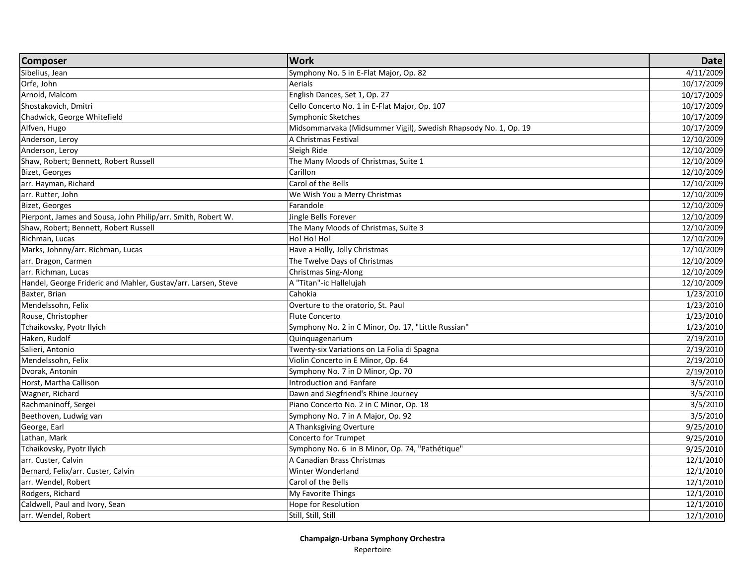| <b>Composer</b>                                               | <b>Work</b>                                                     | <b>Date</b> |
|---------------------------------------------------------------|-----------------------------------------------------------------|-------------|
| Sibelius, Jean                                                | Symphony No. 5 in E-Flat Major, Op. 82                          | 4/11/2009   |
| Orfe, John                                                    | Aerials                                                         | 10/17/2009  |
| Arnold, Malcom                                                | English Dances, Set 1, Op. 27                                   | 10/17/2009  |
| Shostakovich, Dmitri                                          | Cello Concerto No. 1 in E-Flat Major, Op. 107                   | 10/17/2009  |
| Chadwick, George Whitefield                                   | Symphonic Sketches                                              | 10/17/2009  |
| Alfven, Hugo                                                  | Midsommarvaka (Midsummer Vigil), Swedish Rhapsody No. 1, Op. 19 | 10/17/2009  |
| Anderson, Leroy                                               | A Christmas Festival                                            | 12/10/2009  |
| Anderson, Leroy                                               | Sleigh Ride                                                     | 12/10/2009  |
| Shaw, Robert; Bennett, Robert Russell                         | The Many Moods of Christmas, Suite 1                            | 12/10/2009  |
| <b>Bizet, Georges</b>                                         | Carillon                                                        | 12/10/2009  |
| arr. Hayman, Richard                                          | Carol of the Bells                                              | 12/10/2009  |
| arr. Rutter, John                                             | We Wish You a Merry Christmas                                   | 12/10/2009  |
| <b>Bizet, Georges</b>                                         | Farandole                                                       | 12/10/2009  |
| Pierpont, James and Sousa, John Philip/arr. Smith, Robert W.  | Jingle Bells Forever                                            | 12/10/2009  |
| Shaw, Robert; Bennett, Robert Russell                         | The Many Moods of Christmas, Suite 3                            | 12/10/2009  |
| Richman, Lucas                                                | Ho! Ho! Ho!                                                     | 12/10/2009  |
| Marks, Johnny/arr. Richman, Lucas                             | Have a Holly, Jolly Christmas                                   | 12/10/2009  |
| arr. Dragon, Carmen                                           | The Twelve Days of Christmas                                    | 12/10/2009  |
| arr. Richman, Lucas                                           | Christmas Sing-Along                                            | 12/10/2009  |
| Handel, George Frideric and Mahler, Gustav/arr. Larsen, Steve | A "Titan"-ic Hallelujah                                         | 12/10/2009  |
| Baxter, Brian                                                 | Cahokia                                                         | 1/23/2010   |
| Mendelssohn, Felix                                            | Overture to the oratorio, St. Paul                              | 1/23/2010   |
| Rouse, Christopher                                            | <b>Flute Concerto</b>                                           | 1/23/2010   |
| Tchaikovsky, Pyotr Ilyich                                     | Symphony No. 2 in C Minor, Op. 17, "Little Russian"             | 1/23/2010   |
| Haken, Rudolf                                                 | Quinquagenarium                                                 | 2/19/2010   |
| Salieri, Antonio                                              | Twenty-six Variations on La Folia di Spagna                     | 2/19/2010   |
| Mendelssohn, Felix                                            | Violin Concerto in E Minor, Op. 64                              | 2/19/2010   |
| Dvorak, Antonín                                               | Symphony No. 7 in D Minor, Op. 70                               | 2/19/2010   |
| Horst, Martha Callison                                        | Introduction and Fanfare                                        | 3/5/2010    |
| Wagner, Richard                                               | Dawn and Siegfriend's Rhine Journey                             | 3/5/2010    |
| Rachmaninoff, Sergei                                          | Piano Concerto No. 2 in C Minor, Op. 18                         | 3/5/2010    |
| Beethoven, Ludwig van                                         | Symphony No. 7 in A Major, Op. 92                               | 3/5/2010    |
| George, Earl                                                  | A Thanksgiving Overture                                         | 9/25/2010   |
| Lathan, Mark                                                  | Concerto for Trumpet                                            | 9/25/2010   |
| Tchaikovsky, Pyotr Ilyich                                     | Symphony No. 6 in B Minor, Op. 74, "Pathétique"                 | 9/25/2010   |
| arr. Custer, Calvin                                           | A Canadian Brass Christmas                                      | 12/1/2010   |
| Bernard, Felix/arr. Custer, Calvin                            | Winter Wonderland                                               | 12/1/2010   |
| arr. Wendel, Robert                                           | Carol of the Bells                                              | 12/1/2010   |
| Rodgers, Richard                                              | My Favorite Things                                              | 12/1/2010   |
| Caldwell, Paul and Ivory, Sean                                | Hope for Resolution                                             | 12/1/2010   |
| arr. Wendel, Robert                                           | Still, Still, Still                                             | 12/1/2010   |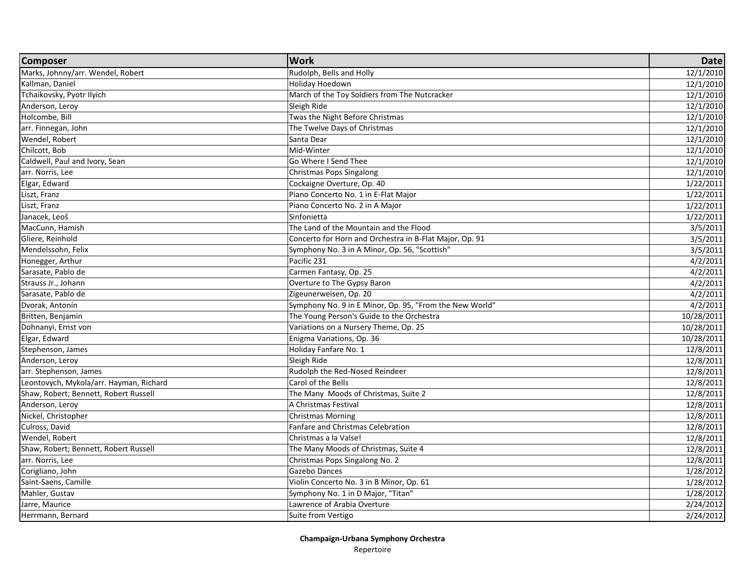| Marks, Johnny/arr. Wendel, Robert<br>Rudolph, Bells and Holly<br>Holiday Hoedown<br>Kallman, Daniel<br>Tchaikovsky, Pyotr Ilyich<br>March of the Toy Soldiers from The Nutcracker<br>Anderson, Leroy<br>Sleigh Ride<br>Holcombe, Bill<br>Twas the Night Before Christmas<br>arr. Finnegan, John<br>The Twelve Days of Christmas<br>Wendel, Robert<br>Santa Dear<br>Chilcott, Bob<br>Mid-Winter<br>Caldwell, Paul and Ivory, Sean<br>Go Where I Send Thee<br>arr. Norris, Lee<br>Christmas Pops Singalong<br>Elgar, Edward<br>Cockaigne Overture, Op. 40<br>Liszt, Franz<br>Piano Concerto No. 1 in E-Flat Major | <b>Composer</b> | <b>Work</b>                     | <b>Date</b> |
|-----------------------------------------------------------------------------------------------------------------------------------------------------------------------------------------------------------------------------------------------------------------------------------------------------------------------------------------------------------------------------------------------------------------------------------------------------------------------------------------------------------------------------------------------------------------------------------------------------------------|-----------------|---------------------------------|-------------|
|                                                                                                                                                                                                                                                                                                                                                                                                                                                                                                                                                                                                                 |                 |                                 | 12/1/2010   |
|                                                                                                                                                                                                                                                                                                                                                                                                                                                                                                                                                                                                                 |                 |                                 | 12/1/2010   |
|                                                                                                                                                                                                                                                                                                                                                                                                                                                                                                                                                                                                                 |                 |                                 | 12/1/2010   |
|                                                                                                                                                                                                                                                                                                                                                                                                                                                                                                                                                                                                                 |                 |                                 | 12/1/2010   |
|                                                                                                                                                                                                                                                                                                                                                                                                                                                                                                                                                                                                                 |                 |                                 | 12/1/2010   |
|                                                                                                                                                                                                                                                                                                                                                                                                                                                                                                                                                                                                                 |                 |                                 | 12/1/2010   |
|                                                                                                                                                                                                                                                                                                                                                                                                                                                                                                                                                                                                                 |                 |                                 | 12/1/2010   |
|                                                                                                                                                                                                                                                                                                                                                                                                                                                                                                                                                                                                                 |                 |                                 | 12/1/2010   |
|                                                                                                                                                                                                                                                                                                                                                                                                                                                                                                                                                                                                                 |                 |                                 | 12/1/2010   |
|                                                                                                                                                                                                                                                                                                                                                                                                                                                                                                                                                                                                                 |                 |                                 | 12/1/2010   |
|                                                                                                                                                                                                                                                                                                                                                                                                                                                                                                                                                                                                                 |                 |                                 | 1/22/2011   |
|                                                                                                                                                                                                                                                                                                                                                                                                                                                                                                                                                                                                                 |                 |                                 | 1/22/2011   |
|                                                                                                                                                                                                                                                                                                                                                                                                                                                                                                                                                                                                                 | Liszt, Franz    | Piano Concerto No. 2 in A Major | 1/22/2011   |
| Janacek, Leoš<br>Sinfonietta                                                                                                                                                                                                                                                                                                                                                                                                                                                                                                                                                                                    |                 |                                 | 1/22/2011   |
| MacCunn, Hamish<br>The Land of the Mountain and the Flood                                                                                                                                                                                                                                                                                                                                                                                                                                                                                                                                                       |                 |                                 | 3/5/2011    |
| Gliere, Reinhold<br>Concerto for Horn and Orchestra in B-Flat Major, Op. 91                                                                                                                                                                                                                                                                                                                                                                                                                                                                                                                                     |                 |                                 | 3/5/2011    |
| Mendelssohn, Felix<br>Symphony No. 3 in A Minor, Op. 56, "Scottish"                                                                                                                                                                                                                                                                                                                                                                                                                                                                                                                                             |                 |                                 | 3/5/2011    |
| Pacific 231<br>Honegger, Arthur                                                                                                                                                                                                                                                                                                                                                                                                                                                                                                                                                                                 |                 |                                 | 4/2/2011    |
| Sarasate, Pablo de<br>Carmen Fantasy, Op. 25                                                                                                                                                                                                                                                                                                                                                                                                                                                                                                                                                                    |                 |                                 | 4/2/2011    |
| Strauss Jr., Johann<br>Overture to The Gypsy Baron                                                                                                                                                                                                                                                                                                                                                                                                                                                                                                                                                              |                 |                                 | 4/2/2011    |
| Sarasate, Pablo de<br>Zigeunerweisen, Op. 20                                                                                                                                                                                                                                                                                                                                                                                                                                                                                                                                                                    |                 |                                 | 4/2/2011    |
| Dvorak, Antonín<br>Symphony No. 9 in E Minor, Op. 95, "From the New World"                                                                                                                                                                                                                                                                                                                                                                                                                                                                                                                                      |                 |                                 | 4/2/2011    |
| The Young Person's Guide to the Orchestra<br>Britten, Benjamin                                                                                                                                                                                                                                                                                                                                                                                                                                                                                                                                                  |                 |                                 | 10/28/2011  |
| Dohnanyi, Ernst von<br>Variations on a Nursery Theme, Op. 25                                                                                                                                                                                                                                                                                                                                                                                                                                                                                                                                                    |                 |                                 | 10/28/2011  |
| Elgar, Edward<br>Enigma Variations, Op. 36                                                                                                                                                                                                                                                                                                                                                                                                                                                                                                                                                                      |                 |                                 | 10/28/2011  |
| Stephenson, James<br>Holiday Fanfare No. 1                                                                                                                                                                                                                                                                                                                                                                                                                                                                                                                                                                      |                 |                                 | 12/8/2011   |
| Anderson, Leroy<br>Sleigh Ride                                                                                                                                                                                                                                                                                                                                                                                                                                                                                                                                                                                  |                 |                                 | 12/8/2011   |
| Rudolph the Red-Nosed Reindeer<br>arr. Stephenson, James                                                                                                                                                                                                                                                                                                                                                                                                                                                                                                                                                        |                 |                                 | 12/8/2011   |
| Leontovych, Mykola/arr. Hayman, Richard<br>Carol of the Bells                                                                                                                                                                                                                                                                                                                                                                                                                                                                                                                                                   |                 |                                 | 12/8/2011   |
| Shaw, Robert; Bennett, Robert Russell<br>The Many Moods of Christmas, Suite 2                                                                                                                                                                                                                                                                                                                                                                                                                                                                                                                                   |                 |                                 | 12/8/2011   |
| Anderson, Leroy<br>A Christmas Festival                                                                                                                                                                                                                                                                                                                                                                                                                                                                                                                                                                         |                 |                                 | 12/8/2011   |
| Nickel, Christopher<br><b>Christmas Morning</b>                                                                                                                                                                                                                                                                                                                                                                                                                                                                                                                                                                 |                 |                                 | 12/8/2011   |
| Culross, David<br><b>Fanfare and Christmas Celebration</b>                                                                                                                                                                                                                                                                                                                                                                                                                                                                                                                                                      |                 |                                 | 12/8/2011   |
| Wendel, Robert<br>Christmas a la Valse!                                                                                                                                                                                                                                                                                                                                                                                                                                                                                                                                                                         |                 |                                 | 12/8/2011   |
| Shaw, Robert; Bennett, Robert Russell<br>The Many Moods of Christmas, Suite 4                                                                                                                                                                                                                                                                                                                                                                                                                                                                                                                                   |                 |                                 | 12/8/2011   |
| arr. Norris, Lee<br>Christmas Pops Singalong No. 2                                                                                                                                                                                                                                                                                                                                                                                                                                                                                                                                                              |                 |                                 | 12/8/2011   |
| Gazebo Dances<br>Corigliano, John                                                                                                                                                                                                                                                                                                                                                                                                                                                                                                                                                                               |                 |                                 | 1/28/2012   |
| Saint-Saens, Camille<br>Violin Concerto No. 3 in B Minor, Op. 61                                                                                                                                                                                                                                                                                                                                                                                                                                                                                                                                                |                 |                                 | 1/28/2012   |
| Mahler, Gustav<br>Symphony No. 1 in D Major, "Titan"                                                                                                                                                                                                                                                                                                                                                                                                                                                                                                                                                            |                 |                                 | 1/28/2012   |
| Jarre, Maurice<br>Lawrence of Arabia Overture                                                                                                                                                                                                                                                                                                                                                                                                                                                                                                                                                                   |                 |                                 | 2/24/2012   |
| Suite from Vertigo<br>Herrmann, Bernard                                                                                                                                                                                                                                                                                                                                                                                                                                                                                                                                                                         |                 |                                 | 2/24/2012   |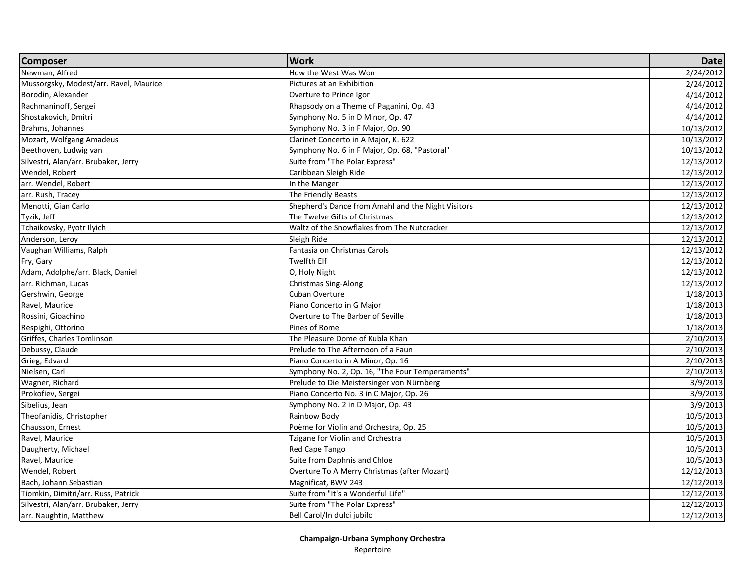| <b>Composer</b>                        | <b>Work</b>                                        | <b>Date</b> |
|----------------------------------------|----------------------------------------------------|-------------|
| Newman, Alfred                         | How the West Was Won                               | 2/24/2012   |
| Mussorgsky, Modest/arr. Ravel, Maurice | Pictures at an Exhibition                          | 2/24/2012   |
| Borodin, Alexander                     | Overture to Prince Igor                            | 4/14/2012   |
| Rachmaninoff, Sergei                   | Rhapsody on a Theme of Paganini, Op. 43            | 4/14/2012   |
| Shostakovich, Dmitri                   | Symphony No. 5 in D Minor, Op. 47                  | 4/14/2012   |
| Brahms, Johannes                       | Symphony No. 3 in F Major, Op. 90                  | 10/13/2012  |
| Mozart, Wolfgang Amadeus               | Clarinet Concerto in A Major, K. 622               | 10/13/2012  |
| Beethoven, Ludwig van                  | Symphony No. 6 in F Major, Op. 68, "Pastoral"      | 10/13/2012  |
| Silvestri, Alan/arr. Brubaker, Jerry   | Suite from "The Polar Express"                     | 12/13/2012  |
| Wendel, Robert                         | Caribbean Sleigh Ride                              | 12/13/2012  |
| arr. Wendel, Robert                    | In the Manger                                      | 12/13/2012  |
| arr. Rush, Tracey                      | The Friendly Beasts                                | 12/13/2012  |
| Menotti, Gian Carlo                    | Shepherd's Dance from Amahl and the Night Visitors | 12/13/2012  |
| Tyzik, Jeff                            | The Twelve Gifts of Christmas                      | 12/13/2012  |
| Tchaikovsky, Pyotr Ilyich              | Waltz of the Snowflakes from The Nutcracker        | 12/13/2012  |
| Anderson, Leroy                        | Sleigh Ride                                        | 12/13/2012  |
| Vaughan Williams, Ralph                | Fantasia on Christmas Carols                       | 12/13/2012  |
| Fry, Gary                              | Twelfth Elf                                        | 12/13/2012  |
| Adam, Adolphe/arr. Black, Daniel       | O, Holy Night                                      | 12/13/2012  |
| arr. Richman, Lucas                    | Christmas Sing-Along                               | 12/13/2012  |
| Gershwin, George                       | Cuban Overture                                     | 1/18/2013   |
| Ravel, Maurice                         | Piano Concerto in G Major                          | 1/18/2013   |
| Rossini, Gioachino                     | Overture to The Barber of Seville                  | 1/18/2013   |
| Respighi, Ottorino                     | Pines of Rome                                      | 1/18/2013   |
| Griffes, Charles Tomlinson             | The Pleasure Dome of Kubla Khan                    | 2/10/2013   |
| Debussy, Claude                        | Prelude to The Afternoon of a Faun                 | 2/10/2013   |
| Grieg, Edvard                          | Piano Concerto in A Minor, Op. 16                  | 2/10/2013   |
| Nielsen, Carl                          | Symphony No. 2, Op. 16, "The Four Temperaments"    | 2/10/2013   |
| Wagner, Richard                        | Prelude to Die Meistersinger von Nürnberg          | 3/9/2013    |
| Prokofiev, Sergei                      | Piano Concerto No. 3 in C Major, Op. 26            | 3/9/2013    |
| Sibelius, Jean                         | Symphony No. 2 in D Major, Op. 43                  | 3/9/2013    |
| Theofanidis, Christopher               | Rainbow Body                                       | 10/5/2013   |
| Chausson, Ernest                       | Poème for Violin and Orchestra, Op. 25             | 10/5/2013   |
| Ravel, Maurice                         | Tzigane for Violin and Orchestra                   | 10/5/2013   |
| Daugherty, Michael                     | Red Cape Tango                                     | 10/5/2013   |
| Ravel, Maurice                         | Suite from Daphnis and Chloe                       | 10/5/2013   |
| Wendel, Robert                         | Overture To A Merry Christmas (after Mozart)       | 12/12/2013  |
| Bach, Johann Sebastian                 | Magnificat, BWV 243                                | 12/12/2013  |
| Tiomkin, Dimitri/arr. Russ, Patrick    | Suite from "It's a Wonderful Life"                 | 12/12/2013  |
| Silvestri, Alan/arr. Brubaker, Jerry   | Suite from "The Polar Express"                     | 12/12/2013  |
| arr. Naughtin, Matthew                 | Bell Carol/In dulci jubilo                         | 12/12/2013  |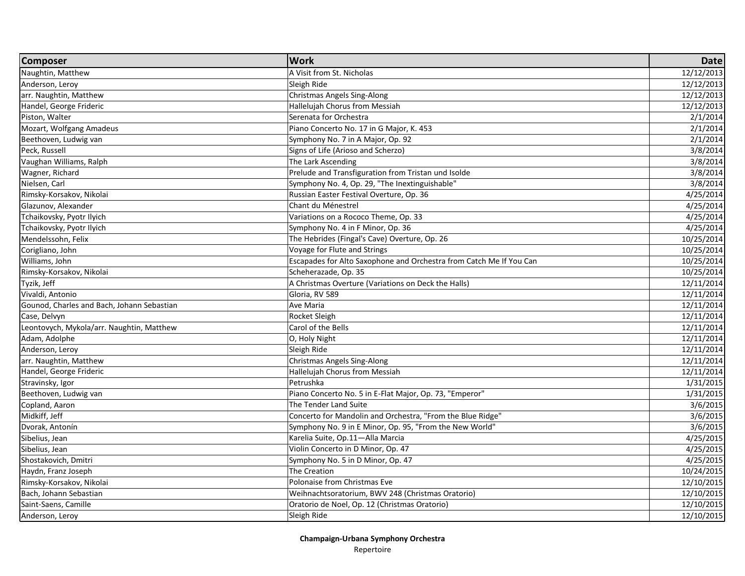| <b>Composer</b>                            | <b>Work</b>                                                         | <b>Date</b> |
|--------------------------------------------|---------------------------------------------------------------------|-------------|
| Naughtin, Matthew                          | A Visit from St. Nicholas                                           | 12/12/2013  |
| Anderson, Leroy                            | Sleigh Ride                                                         | 12/12/2013  |
| arr. Naughtin, Matthew                     | <b>Christmas Angels Sing-Along</b>                                  | 12/12/2013  |
| Handel, George Frideric                    | Hallelujah Chorus from Messiah                                      | 12/12/2013  |
| Piston, Walter                             | Serenata for Orchestra                                              | 2/1/2014    |
| Mozart, Wolfgang Amadeus                   | Piano Concerto No. 17 in G Major, K. 453                            | 2/1/2014    |
| Beethoven, Ludwig van                      | Symphony No. 7 in A Major, Op. 92                                   | 2/1/2014    |
| Peck, Russell                              | Signs of Life (Arioso and Scherzo)                                  | 3/8/2014    |
| Vaughan Williams, Ralph                    | The Lark Ascending                                                  | 3/8/2014    |
| Wagner, Richard                            | Prelude and Transfiguration from Tristan und Isolde                 | 3/8/2014    |
| Nielsen, Carl                              | Symphony No. 4, Op. 29, "The Inextinguishable"                      | 3/8/2014    |
| Rimsky-Korsakov, Nikolai                   | Russian Easter Festival Overture, Op. 36                            | 4/25/2014   |
| Glazunov, Alexander                        | Chant du Ménestrel                                                  | 4/25/2014   |
| Tchaikovsky, Pyotr Ilyich                  | Variations on a Rococo Theme, Op. 33                                | 4/25/2014   |
| Tchaikovsky, Pyotr Ilyich                  | Symphony No. 4 in F Minor, Op. 36                                   | 4/25/2014   |
| Mendelssohn, Felix                         | The Hebrides (Fingal's Cave) Overture, Op. 26                       | 10/25/2014  |
| Corigliano, John                           | Voyage for Flute and Strings                                        | 10/25/2014  |
| Williams, John                             | Escapades for Alto Saxophone and Orchestra from Catch Me If You Can | 10/25/2014  |
| Rimsky-Korsakov, Nikolai                   | Scheherazade, Op. 35                                                | 10/25/2014  |
| Tyzik, Jeff                                | A Christmas Overture (Variations on Deck the Halls)                 | 12/11/2014  |
| Vivaldi, Antonio                           | Gloria, RV 589                                                      | 12/11/2014  |
| Gounod, Charles and Bach, Johann Sebastian | Ave Maria                                                           | 12/11/2014  |
| Case, Delvyn                               | Rocket Sleigh                                                       | 12/11/2014  |
| Leontovych, Mykola/arr. Naughtin, Matthew  | Carol of the Bells                                                  | 12/11/2014  |
| Adam, Adolphe                              | O, Holy Night                                                       | 12/11/2014  |
| Anderson, Lerov                            | Sleigh Ride                                                         | 12/11/2014  |
| arr. Naughtin, Matthew                     | <b>Christmas Angels Sing-Along</b>                                  | 12/11/2014  |
| Handel, George Frideric                    | Hallelujah Chorus from Messiah                                      | 12/11/2014  |
| Stravinsky, Igor                           | Petrushka                                                           | 1/31/2015   |
| Beethoven, Ludwig van                      | Piano Concerto No. 5 in E-Flat Major, Op. 73, "Emperor"             | 1/31/2015   |
| Copland, Aaron                             | The Tender Land Suite                                               | 3/6/2015    |
| Midkiff, Jeff                              | Concerto for Mandolin and Orchestra, "From the Blue Ridge"          | 3/6/2015    |
| Dvorak, Antonín                            | Symphony No. 9 in E Minor, Op. 95, "From the New World"             | 3/6/2015    |
| Sibelius, Jean                             | Karelia Suite, Op.11-Alla Marcia                                    | 4/25/2015   |
| Sibelius, Jean                             | Violin Concerto in D Minor, Op. 47                                  | 4/25/2015   |
| Shostakovich, Dmitri                       | Symphony No. 5 in D Minor, Op. 47                                   | 4/25/2015   |
| Haydn, Franz Joseph                        | <b>The Creation</b>                                                 | 10/24/2015  |
| Rimsky-Korsakov, Nikolai                   | Polonaise from Christmas Eve                                        | 12/10/2015  |
| Bach, Johann Sebastian                     | Weihnachtsoratorium, BWV 248 (Christmas Oratorio)                   | 12/10/2015  |
| Saint-Saens, Camille                       | Oratorio de Noel, Op. 12 (Christmas Oratorio)                       | 12/10/2015  |
| Anderson, Leroy                            | Sleigh Ride                                                         | 12/10/2015  |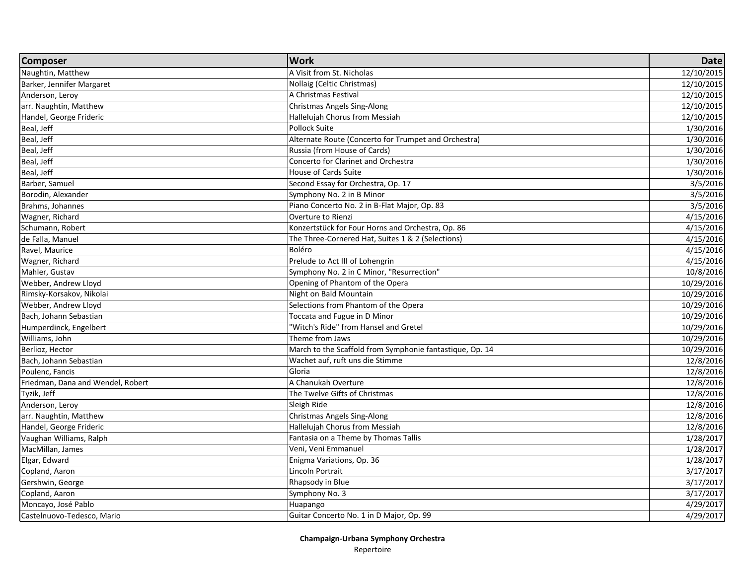| <b>Composer</b>                   | <b>Work</b>                                              | <b>Date</b> |
|-----------------------------------|----------------------------------------------------------|-------------|
| Naughtin, Matthew                 | A Visit from St. Nicholas                                | 12/10/2015  |
| Barker, Jennifer Margaret         | Nollaig (Celtic Christmas)                               | 12/10/2015  |
| Anderson, Leroy                   | A Christmas Festival                                     | 12/10/2015  |
| arr. Naughtin, Matthew            | <b>Christmas Angels Sing-Along</b>                       | 12/10/2015  |
| Handel, George Frideric           | Hallelujah Chorus from Messiah                           | 12/10/2015  |
| Beal, Jeff                        | Pollock Suite                                            | 1/30/2016   |
| Beal, Jeff                        | Alternate Route (Concerto for Trumpet and Orchestra)     | 1/30/2016   |
| Beal, Jeff                        | Russia (from House of Cards)                             | 1/30/2016   |
| Beal, Jeff                        | <b>Concerto for Clarinet and Orchestra</b>               | 1/30/2016   |
| Beal, Jeff                        | House of Cards Suite                                     | 1/30/2016   |
| Barber, Samuel                    | Second Essay for Orchestra, Op. 17                       | 3/5/2016    |
| Borodin, Alexander                | Symphony No. 2 in B Minor                                | 3/5/2016    |
| Brahms, Johannes                  | Piano Concerto No. 2 in B-Flat Major, Op. 83             | 3/5/2016    |
| Wagner, Richard                   | Overture to Rienzi                                       | 4/15/2016   |
| Schumann, Robert                  | Konzertstück for Four Horns and Orchestra, Op. 86        | 4/15/2016   |
| de Falla, Manuel                  | The Three-Cornered Hat, Suites 1 & 2 (Selections)        | 4/15/2016   |
| Ravel, Maurice                    | Boléro                                                   | 4/15/2016   |
| Wagner, Richard                   | Prelude to Act III of Lohengrin                          | 4/15/2016   |
| Mahler, Gustav                    | Symphony No. 2 in C Minor, "Resurrection"                | 10/8/2016   |
| Webber, Andrew Lloyd              | Opening of Phantom of the Opera                          | 10/29/2016  |
| Rimsky-Korsakov, Nikolai          | Night on Bald Mountain                                   | 10/29/2016  |
| Webber, Andrew Lloyd              | Selections from Phantom of the Opera                     | 10/29/2016  |
| Bach, Johann Sebastian            | Toccata and Fugue in D Minor                             | 10/29/2016  |
| Humperdinck, Engelbert            | 'Witch's Ride" from Hansel and Gretel                    | 10/29/2016  |
| Williams, John                    | Theme from Jaws                                          | 10/29/2016  |
| Berlioz, Hector                   | March to the Scaffold from Symphonie fantastique, Op. 14 | 10/29/2016  |
| Bach, Johann Sebastian            | Wachet auf, ruft uns die Stimme                          | 12/8/2016   |
| Poulenc, Fancis                   | Gloria                                                   | 12/8/2016   |
| Friedman, Dana and Wendel, Robert | A Chanukah Overture                                      | 12/8/2016   |
| Tyzik, Jeff                       | The Twelve Gifts of Christmas                            | 12/8/2016   |
| Anderson, Leroy                   | Sleigh Ride                                              | 12/8/2016   |
| arr. Naughtin, Matthew            | <b>Christmas Angels Sing-Along</b>                       | 12/8/2016   |
| Handel, George Frideric           | Hallelujah Chorus from Messiah                           | 12/8/2016   |
| Vaughan Williams, Ralph           | Fantasia on a Theme by Thomas Tallis                     | 1/28/2017   |
| MacMillan, James                  | Veni, Veni Emmanuel                                      | 1/28/2017   |
| Elgar, Edward                     | Enigma Variations, Op. 36                                | 1/28/2017   |
| Copland, Aaron                    | Lincoln Portrait                                         | 3/17/2017   |
| Gershwin, George                  | Rhapsody in Blue                                         | 3/17/2017   |
| Copland, Aaron                    | Symphony No. 3                                           | 3/17/2017   |
| Moncayo, José Pablo               | Huapango                                                 | 4/29/2017   |
| Castelnuovo-Tedesco, Mario        | Guitar Concerto No. 1 in D Major, Op. 99                 | 4/29/2017   |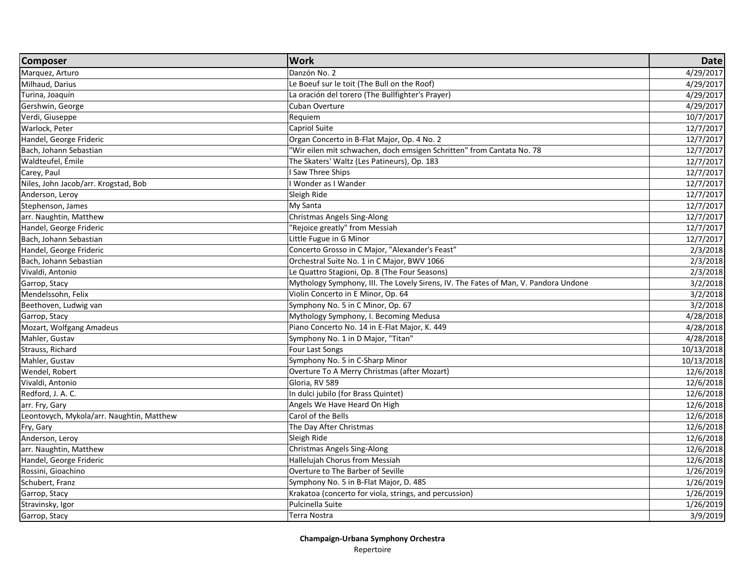| <b>Composer</b>                           | <b>Work</b>                                                                         | <b>Date</b> |
|-------------------------------------------|-------------------------------------------------------------------------------------|-------------|
| Marquez, Arturo                           | Danzón No. 2                                                                        | 4/29/2017   |
| Milhaud, Darius                           | Le Boeuf sur le toit (The Bull on the Roof)                                         | 4/29/2017   |
| Turina, Joaquín                           | La oración del torero (The Bullfighter's Prayer)                                    | 4/29/2017   |
| Gershwin, George                          | Cuban Overture                                                                      | 4/29/2017   |
| Verdi, Giuseppe                           | Requiem                                                                             | 10/7/2017   |
| Warlock, Peter                            | Capriol Suite                                                                       | 12/7/2017   |
| Handel, George Frideric                   | Organ Concerto in B-Flat Major, Op. 4 No. 2                                         | 12/7/2017   |
| Bach, Johann Sebastian                    | "Wir eilen mit schwachen, doch emsigen Schritten" from Cantata No. 78               | 12/7/2017   |
| Waldteufel, Émile                         | The Skaters' Waltz (Les Patineurs), Op. 183                                         | 12/7/2017   |
| Carey, Paul                               | I Saw Three Ships                                                                   | 12/7/2017   |
| Niles, John Jacob/arr. Krogstad, Bob      | I Wonder as I Wander                                                                | 12/7/2017   |
| Anderson, Leroy                           | Sleigh Ride                                                                         | 12/7/2017   |
| Stephenson, James                         | My Santa                                                                            | 12/7/2017   |
| arr. Naughtin, Matthew                    | <b>Christmas Angels Sing-Along</b>                                                  | 12/7/2017   |
| Handel, George Frideric                   | "Rejoice greatly" from Messiah                                                      | 12/7/2017   |
| Bach, Johann Sebastian                    | Little Fugue in G Minor                                                             | 12/7/2017   |
| Handel, George Frideric                   | Concerto Grosso in C Major, "Alexander's Feast"                                     | 2/3/2018    |
| Bach, Johann Sebastian                    | Orchestral Suite No. 1 in C Major, BWV 1066                                         | 2/3/2018    |
| Vivaldi, Antonio                          | Le Quattro Stagioni, Op. 8 (The Four Seasons)                                       | 2/3/2018    |
| Garrop, Stacy                             | Mythology Symphony, III. The Lovely Sirens, IV. The Fates of Man, V. Pandora Undone | 3/2/2018    |
| Mendelssohn, Felix                        | Violin Concerto in E Minor, Op. 64                                                  | 3/2/2018    |
| Beethoven, Ludwig van                     | Symphony No. 5 in C Minor, Op. 67                                                   | 3/2/2018    |
| Garrop, Stacy                             | Mythology Symphony, I. Becoming Medusa                                              | 4/28/2018   |
| Mozart, Wolfgang Amadeus                  | Piano Concerto No. 14 in E-Flat Major, K. 449                                       | 4/28/2018   |
| Mahler, Gustav                            | Symphony No. 1 in D Major, "Titan"                                                  | 4/28/2018   |
| Strauss, Richard                          | Four Last Songs                                                                     | 10/13/2018  |
| Mahler, Gustav                            | Symphony No. 5 in C-Sharp Minor                                                     | 10/13/2018  |
| Wendel, Robert                            | Overture To A Merry Christmas (after Mozart)                                        | 12/6/2018   |
| Vivaldi, Antonio                          | Gloria, RV 589                                                                      | 12/6/2018   |
| Redford, J. A. C.                         | In dulci jubilo (for Brass Quintet)                                                 | 12/6/2018   |
| arr. Fry, Gary                            | Angels We Have Heard On High                                                        | 12/6/2018   |
| Leontovych, Mykola/arr. Naughtin, Matthew | Carol of the Bells                                                                  | 12/6/2018   |
| Fry, Gary                                 | The Day After Christmas                                                             | 12/6/2018   |
| Anderson, Leroy                           | Sleigh Ride                                                                         | 12/6/2018   |
| arr. Naughtin, Matthew                    | Christmas Angels Sing-Along                                                         | 12/6/2018   |
| Handel, George Frideric                   | Hallelujah Chorus from Messiah                                                      | 12/6/2018   |
| Rossini, Gioachino                        | Overture to The Barber of Seville                                                   | 1/26/2019   |
| Schubert, Franz                           | Symphony No. 5 in B-Flat Major, D. 485                                              | 1/26/2019   |
| Garrop, Stacy                             | Krakatoa (concerto for viola, strings, and percussion)                              | 1/26/2019   |
| Stravinsky, Igor                          | Pulcinella Suite                                                                    | 1/26/2019   |
| Garrop, Stacy                             | Terra Nostra                                                                        | 3/9/2019    |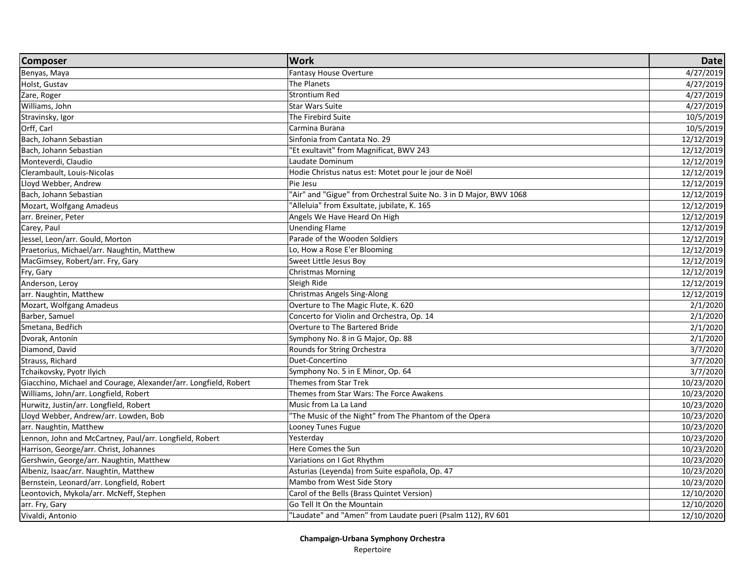| <b>Composer</b>                                                  | <b>Work</b>                                                        | <b>Date</b> |
|------------------------------------------------------------------|--------------------------------------------------------------------|-------------|
| Benyas, Maya                                                     | <b>Fantasy House Overture</b>                                      | 4/27/2019   |
| Holst, Gustav                                                    | The Planets                                                        | 4/27/2019   |
| Zare, Roger                                                      | <b>Strontium Red</b>                                               | 4/27/2019   |
| Williams, John                                                   | <b>Star Wars Suite</b>                                             | 4/27/2019   |
| Stravinsky, Igor                                                 | The Firebird Suite                                                 | 10/5/2019   |
| Orff, Carl                                                       | Carmina Burana                                                     | 10/5/2019   |
| Bach, Johann Sebastian                                           | Sinfonia from Cantata No. 29                                       | 12/12/2019  |
| Bach, Johann Sebastian                                           | "Et exultavit" from Magnificat, BWV 243                            | 12/12/2019  |
| Monteverdi, Claudio                                              | Laudate Dominum                                                    | 12/12/2019  |
| Clerambault, Louis-Nicolas                                       | Hodie Christus natus est: Motet pour le jour de Noël               | 12/12/2019  |
| Lloyd Webber, Andrew                                             | Pie Jesu                                                           | 12/12/2019  |
| Bach, Johann Sebastian                                           | "Air" and "Gigue" from Orchestral Suite No. 3 in D Major, BWV 1068 | 12/12/2019  |
| Mozart, Wolfgang Amadeus                                         | 'Alleluia" from Exsultate, jubilate, K. 165                        | 12/12/2019  |
| arr. Breiner, Peter                                              | Angels We Have Heard On High                                       | 12/12/2019  |
| Carey, Paul                                                      | <b>Unending Flame</b>                                              | 12/12/2019  |
| Jessel, Leon/arr. Gould, Morton                                  | Parade of the Wooden Soldiers                                      | 12/12/2019  |
| Praetorius, Michael/arr. Naughtin, Matthew                       | Lo, How a Rose E'er Blooming                                       | 12/12/2019  |
| MacGimsey, Robert/arr. Fry, Gary                                 | Sweet Little Jesus Boy                                             | 12/12/2019  |
| Fry, Gary                                                        | <b>Christmas Morning</b>                                           | 12/12/2019  |
| Anderson, Leroy                                                  | Sleigh Ride                                                        | 12/12/2019  |
| arr. Naughtin, Matthew                                           | <b>Christmas Angels Sing-Along</b>                                 | 12/12/2019  |
| Mozart, Wolfgang Amadeus                                         | Overture to The Magic Flute, K. 620                                | 2/1/2020    |
| Barber, Samuel                                                   | Concerto for Violin and Orchestra, Op. 14                          | 2/1/2020    |
| Smetana, Bedřich                                                 | Overture to The Bartered Bride                                     | 2/1/2020    |
| Dvorak, Antonín                                                  | Symphony No. 8 in G Major, Op. 88                                  | 2/1/2020    |
| Diamond, David                                                   | Rounds for String Orchestra                                        | 3/7/2020    |
| Strauss, Richard                                                 | Duet-Concertino                                                    | 3/7/2020    |
| Tchaikovsky, Pyotr Ilyich                                        | Symphony No. 5 in E Minor, Op. 64                                  | 3/7/2020    |
| Giacchino, Michael and Courage, Alexander/arr. Longfield, Robert | <b>Themes from Star Trek</b>                                       | 10/23/2020  |
| Williams, John/arr. Longfield, Robert                            | Themes from Star Wars: The Force Awakens                           | 10/23/2020  |
| Hurwitz, Justin/arr. Longfield, Robert                           | Music from La La Land                                              | 10/23/2020  |
| Lloyd Webber, Andrew/arr. Lowden, Bob                            | 'The Music of the Night" from The Phantom of the Opera             | 10/23/2020  |
| arr. Naughtin, Matthew                                           | Looney Tunes Fugue                                                 | 10/23/2020  |
| Lennon, John and McCartney, Paul/arr. Longfield, Robert          | Yesterday                                                          | 10/23/2020  |
| Harrison, George/arr. Christ, Johannes                           | Here Comes the Sun                                                 | 10/23/2020  |
| Gershwin, George/arr. Naughtin, Matthew                          | Variations on I Got Rhythm                                         | 10/23/2020  |
| Albeniz, Isaac/arr. Naughtin, Matthew                            | Asturias (Leyenda) from Suite española, Op. 47                     | 10/23/2020  |
| Bernstein, Leonard/arr. Longfield, Robert                        | Mambo from West Side Story                                         | 10/23/2020  |
| Leontovich, Mykola/arr. McNeff, Stephen                          | Carol of the Bells (Brass Quintet Version)                         | 12/10/2020  |
| arr. Fry, Gary                                                   | Go Tell It On the Mountain                                         | 12/10/2020  |
| Vivaldi, Antonio                                                 | "Laudate" and "Amen" from Laudate pueri (Psalm 112), RV 601        | 12/10/2020  |